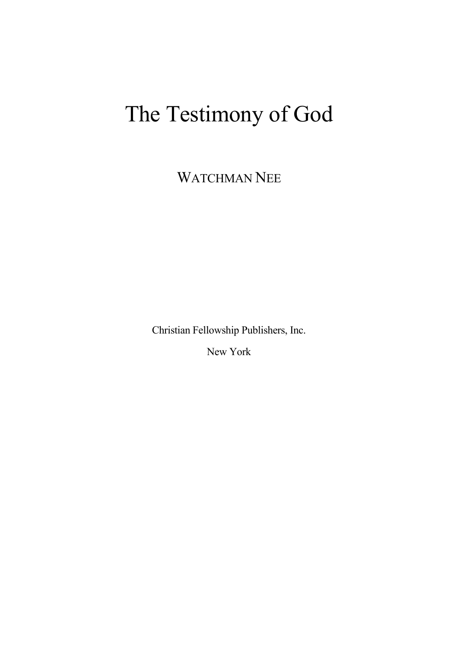## The Testimony of God

WATCHMAN NEE

Christian Fellowship Publishers, Inc.

New York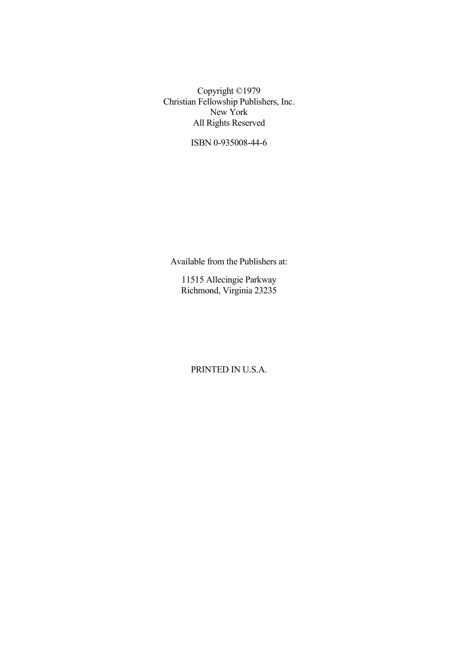Copyright ©1979 Christian Fellowship Publishers, Inc. New York All Rights Reserved

ISBN 0-935008-44-6

Available from the Publishers at:

11515 Allecingie Parkway Richmond, Virginia 23235

PRINTED IN U.S.A.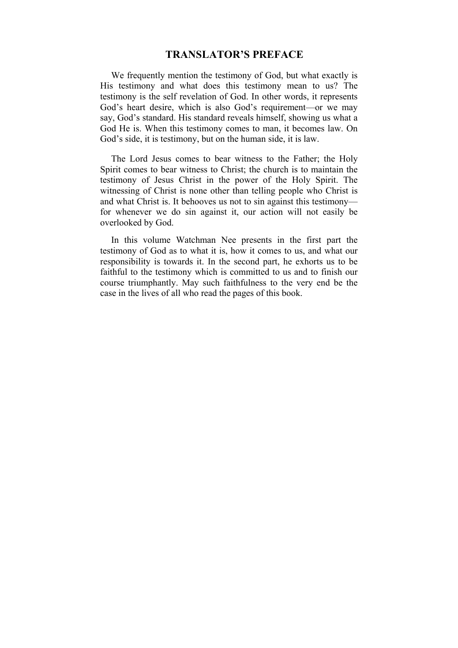#### **TRANSLATOR'S PREFACE**

We frequently mention the testimony of God, but what exactly is His testimony and what does this testimony mean to us? The testimony is the self revelation of God. In other words, it represents God's heart desire, which is also God's requirement—or we may say, God's standard. His standard reveals himself, showing us what a God He is. When this testimony comes to man, it becomes law. On God's side, it is testimony, but on the human side, it is law.

The Lord Jesus comes to bear witness to the Father; the Holy Spirit comes to bear witness to Christ; the church is to maintain the testimony of Jesus Christ in the power of the Holy Spirit. The witnessing of Christ is none other than telling people who Christ is and what Christ is. It behooves us not to sin against this testimony for whenever we do sin against it, our action will not easily be overlooked by God.

In this volume Watchman Nee presents in the first part the testimony of God as to what it is, how it comes to us, and what our responsibility is towards it. In the second part, he exhorts us to be faithful to the testimony which is committed to us and to finish our course triumphantly. May such faithfulness to the very end be the case in the lives of all who read the pages of this book.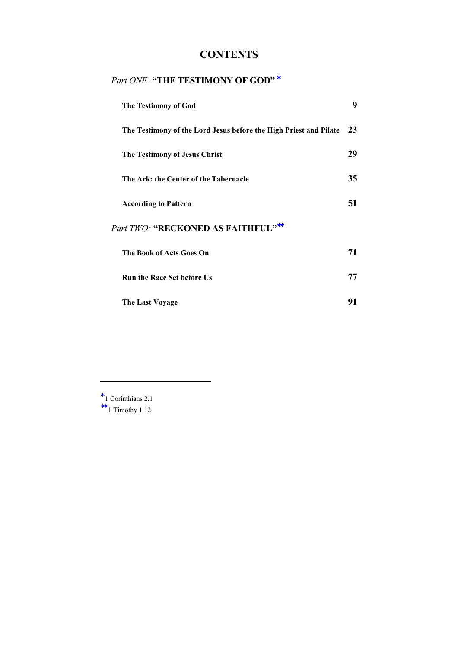## **CONTENTS**

#### *Part ONE:* **"THE TESTIMONY OF GOD"**<sup>∗</sup>

| <b>The Testimony of God</b>                                       | 9  |
|-------------------------------------------------------------------|----|
| The Testimony of the Lord Jesus before the High Priest and Pilate | 23 |
| The Testimony of Jesus Christ                                     | 29 |
| The Ark: the Center of the Tabernacle                             | 35 |
| <b>According to Pattern</b>                                       | 51 |
| Part TWO: "RECKONED AS FAITHFUL"**                                |    |
| The Book of Acts Goes On                                          | 71 |
| <b>Run the Race Set before Us</b>                                 | 77 |
| The Last Voyage                                                   | 91 |

-

<sup>∗</sup> 1 Corinthians 2.1

<sup>∗∗</sup> 1 Timothy 1.12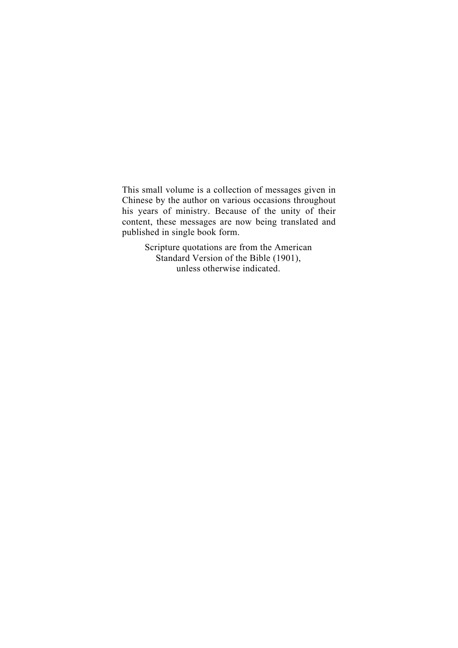This small volume is a collection of messages given in Chinese by the author on various occasions throughout his years of ministry. Because of the unity of their content, these messages are now being translated and published in single book form.

> Scripture quotations are from the American Standard Version of the Bible (1901), unless otherwise indicated.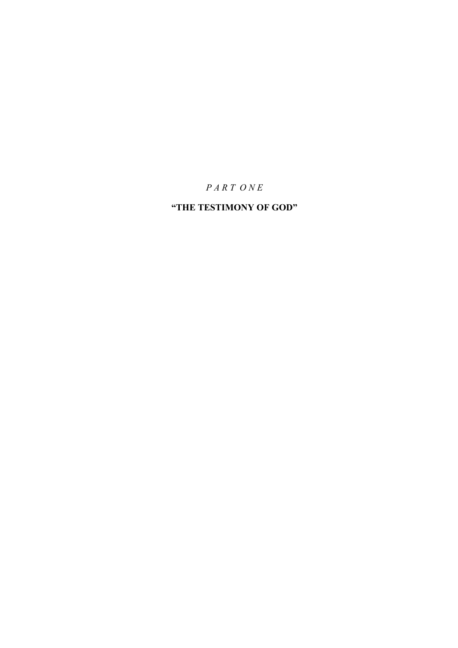### *P A R T O N E*

**"THE TESTIMONY OF GOD"**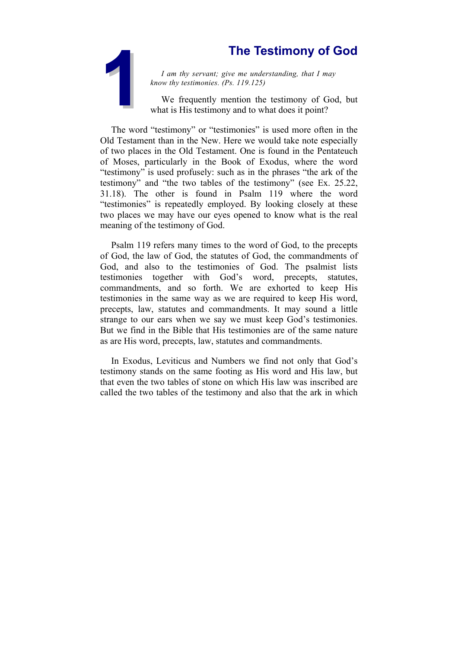

*I am thy servant; give me understanding, that I may know thy testimonies. (Ps. 119.125)*

<span id="page-8-0"></span>**1** *am thy servant; give me understanding, that I may know thy testimonies. (Ps. 119.125)*<br>We frequently mention the testimony of God, but what is His testimony and to what does it point? We frequently mention the testimony of God, but what is His testimony and to what does it point?

The word "testimony" or "testimonies" is used more often in the Old Testament than in the New. Here we would take note especially of two places in the Old Testament. One is found in the Pentateuch of Moses, particularly in the Book of Exodus, where the word "testimony" is used profusely: such as in the phrases "the ark of the testimony" and "the two tables of the testimony" (see Ex. 25.22, 31.18). The other is found in Psalm 119 where the word "testimonies" is repeatedly employed. By looking closely at these two places we may have our eyes opened to know what is the real meaning of the testimony of God.

Psalm 119 refers many times to the word of God, to the precepts of God, the law of God, the statutes of God, the commandments of God, and also to the testimonies of God. The psalmist lists testimonies together with God's word, precepts, statutes, commandments, and so forth. We are exhorted to keep His testimonies in the same way as we are required to keep His word, precepts, law, statutes and commandments. It may sound a little strange to our ears when we say we must keep God's testimonies. But we find in the Bible that His testimonies are of the same nature as are His word, precepts, law, statutes and commandments.

In Exodus, Leviticus and Numbers we find not only that God's testimony stands on the same footing as His word and His law, but that even the two tables of stone on which His law was inscribed are called the two tables of the testimony and also that the ark in which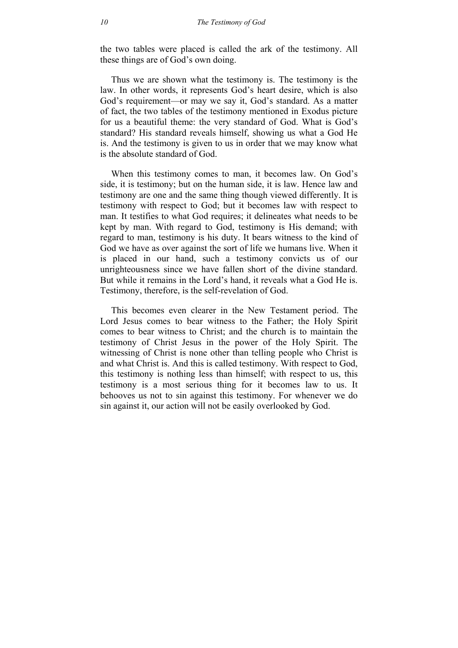the two tables were placed is called the ark of the testimony. All these things are of God's own doing.

Thus we are shown what the testimony is. The testimony is the law. In other words, it represents God's heart desire, which is also God's requirement—or may we say it, God's standard. As a matter of fact, the two tables of the testimony mentioned in Exodus picture for us a beautiful theme: the very standard of God. What is God's standard? His standard reveals himself, showing us what a God He is. And the testimony is given to us in order that we may know what is the absolute standard of God.

When this testimony comes to man, it becomes law. On God's side, it is testimony; but on the human side, it is law. Hence law and testimony are one and the same thing though viewed differently. It is testimony with respect to God; but it becomes law with respect to man. It testifies to what God requires; it delineates what needs to be kept by man. With regard to God, testimony is His demand; with regard to man, testimony is his duty. It bears witness to the kind of God we have as over against the sort of life we humans live. When it is placed in our hand, such a testimony convicts us of our unrighteousness since we have fallen short of the divine standard. But while it remains in the Lord's hand, it reveals what a God He is. Testimony, therefore, is the self-revelation of God.

This becomes even clearer in the New Testament period. The Lord Jesus comes to bear witness to the Father; the Holy Spirit comes to bear witness to Christ; and the church is to maintain the testimony of Christ Jesus in the power of the Holy Spirit. The witnessing of Christ is none other than telling people who Christ is and what Christ is. And this is called testimony. With respect to God, this testimony is nothing less than himself; with respect to us, this testimony is a most serious thing for it becomes law to us. It behooves us not to sin against this testimony. For whenever we do sin against it, our action will not be easily overlooked by God.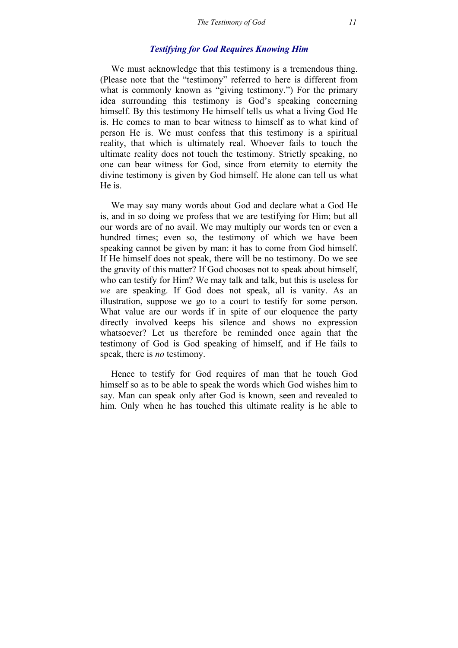#### *Testifying for God Requires Knowing Him*

We must acknowledge that this testimony is a tremendous thing. (Please note that the "testimony" referred to here is different from what is commonly known as "giving testimony.") For the primary idea surrounding this testimony is God's speaking concerning himself. By this testimony He himself tells us what a living God He is. He comes to man to bear witness to himself as to what kind of person He is. We must confess that this testimony is a spiritual reality, that which is ultimately real. Whoever fails to touch the ultimate reality does not touch the testimony. Strictly speaking, no one can bear witness for God, since from eternity to eternity the divine testimony is given by God himself. He alone can tell us what He is.

We may say many words about God and declare what a God He is, and in so doing we profess that we are testifying for Him; but all our words are of no avail. We may multiply our words ten or even a hundred times; even so, the testimony of which we have been speaking cannot be given by man: it has to come from God himself. If He himself does not speak, there will be no testimony. Do we see the gravity of this matter? If God chooses not to speak about himself, who can testify for Him? We may talk and talk, but this is useless for *we* are speaking. If God does not speak, all is vanity. As an illustration, suppose we go to a court to testify for some person. What value are our words if in spite of our eloquence the party directly involved keeps his silence and shows no expression whatsoever? Let us therefore be reminded once again that the testimony of God is God speaking of himself, and if He fails to speak, there is *no* testimony.

Hence to testify for God requires of man that he touch God himself so as to be able to speak the words which God wishes him to say. Man can speak only after God is known, seen and revealed to him. Only when he has touched this ultimate reality is he able to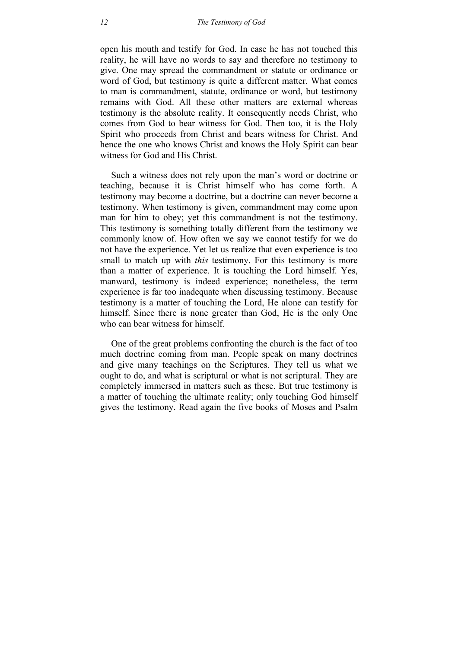open his mouth and testify for God. In case he has not touched this reality, he will have no words to say and therefore no testimony to give. One may spread the commandment or statute or ordinance or word of God, but testimony is quite a different matter. What comes to man is commandment, statute, ordinance or word, but testimony remains with God. All these other matters are external whereas testimony is the absolute reality. It consequently needs Christ, who comes from God to bear witness for God. Then too, it is the Holy Spirit who proceeds from Christ and bears witness for Christ. And hence the one who knows Christ and knows the Holy Spirit can bear witness for God and His Christ.

Such a witness does not rely upon the man's word or doctrine or teaching, because it is Christ himself who has come forth. A testimony may become a doctrine, but a doctrine can never become a testimony. When testimony is given, commandment may come upon man for him to obey; yet this commandment is not the testimony. This testimony is something totally different from the testimony we commonly know of. How often we say we cannot testify for we do not have the experience. Yet let us realize that even experience is too small to match up with *this* testimony. For this testimony is more than a matter of experience. It is touching the Lord himself. Yes, manward, testimony is indeed experience; nonetheless, the term experience is far too inadequate when discussing testimony. Because testimony is a matter of touching the Lord, He alone can testify for himself. Since there is none greater than God, He is the only One who can bear witness for himself.

One of the great problems confronting the church is the fact of too much doctrine coming from man. People speak on many doctrines and give many teachings on the Scriptures. They tell us what we ought to do, and what is scriptural or what is not scriptural. They are completely immersed in matters such as these. But true testimony is a matter of touching the ultimate reality; only touching God himself gives the testimony. Read again the five books of Moses and Psalm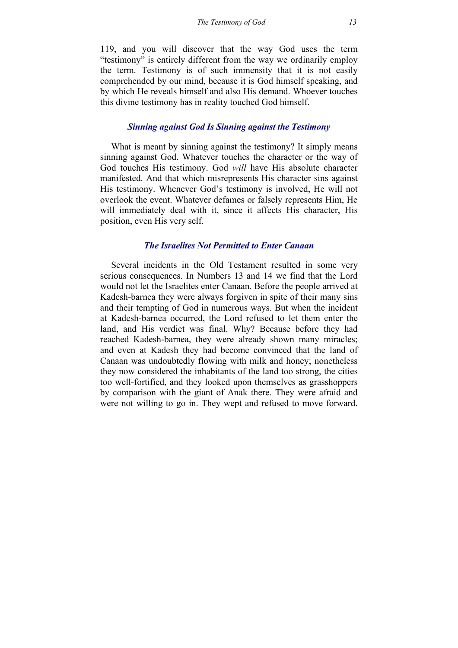119, and you will discover that the way God uses the term "testimony" is entirely different from the way we ordinarily employ the term. Testimony is of such immensity that it is not easily comprehended by our mind, because it is God himself speaking, and by which He reveals himself and also His demand. Whoever touches this divine testimony has in reality touched God himself.

#### *Sinning against God Is Sinning against the Testimony*

What is meant by sinning against the testimony? It simply means sinning against God. Whatever touches the character or the way of God touches His testimony. God *will* have His absolute character manifested. And that which misrepresents His character sins against His testimony. Whenever God's testimony is involved, He will not overlook the event. Whatever defames or falsely represents Him, He will immediately deal with it, since it affects His character, His position, even His very self.

#### *The Israelites Not Permitted to Enter Canaan*

Several incidents in the Old Testament resulted in some very serious consequences. In Numbers 13 and 14 we find that the Lord would not let the Israelites enter Canaan. Before the people arrived at Kadesh-barnea they were always forgiven in spite of their many sins and their tempting of God in numerous ways. But when the incident at Kadesh-barnea occurred, the Lord refused to let them enter the land, and His verdict was final. Why? Because before they had reached Kadesh-barnea, they were already shown many miracles; and even at Kadesh they had become convinced that the land of Canaan was undoubtedly flowing with milk and honey; nonetheless they now considered the inhabitants of the land too strong, the cities too well-fortified, and they looked upon themselves as grasshoppers by comparison with the giant of Anak there. They were afraid and were not willing to go in. They wept and refused to move forward.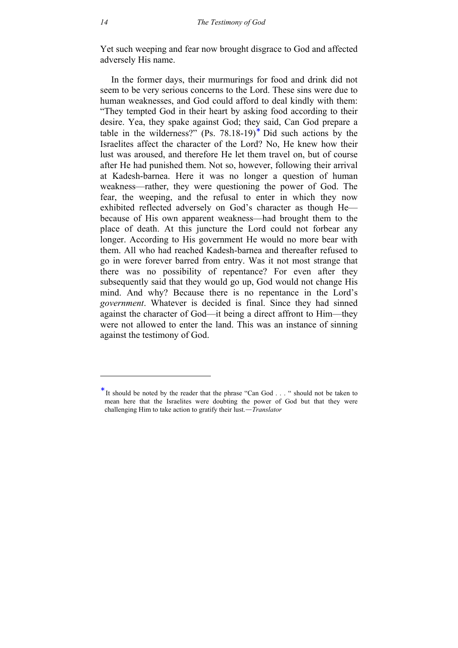Yet such weeping and fear now brought disgrace to God and affected adversely His name.

In the former days, their murmurings for food and drink did not seem to be very serious concerns to the Lord. These sins were due to human weaknesses, and God could afford to deal kindly with them: "They tempted God in their heart by asking food according to their desire. Yea, they spake against God; they said, Can God prepare a table in the wilderness?" (Ps.  $78.18-19$ )<sup>\*</sup> Did such actions by the Israelites affect the character of the Lord? No, He knew how their lust was aroused, and therefore He let them travel on, but of course after He had punished them. Not so, however, following their arrival at Kadesh-barnea. Here it was no longer a question of human weakness—rather, they were questioning the power of God. The fear, the weeping, and the refusal to enter in which they now exhibited reflected adversely on God's character as though He because of His own apparent weakness—had brought them to the place of death. At this juncture the Lord could not forbear any longer. According to His government He would no more bear with them. All who had reached Kadesh-barnea and thereafter refused to go in were forever barred from entry. Was it not most strange that there was no possibility of repentance? For even after they subsequently said that they would go up, God would not change His mind. And why? Because there is no repentance in the Lord's *government*. Whatever is decided is final. Since they had sinned against the character of God—it being a direct affront to Him—they were not allowed to enter the land. This was an instance of sinning against the testimony of God.

-

<sup>∗</sup> It should be noted by the reader that the phrase "Can God . . . " should not be taken to mean here that the Israelites were doubting the power of God but that they were challenging Him to take action to gratify their lust.—*Translator*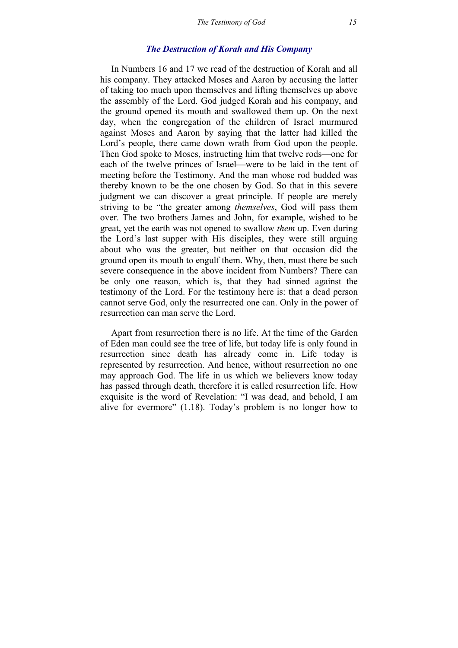#### *The Destruction of Korah and His Company*

In Numbers 16 and 17 we read of the destruction of Korah and all his company. They attacked Moses and Aaron by accusing the latter of taking too much upon themselves and lifting themselves up above the assembly of the Lord. God judged Korah and his company, and the ground opened its mouth and swallowed them up. On the next day, when the congregation of the children of Israel murmured against Moses and Aaron by saying that the latter had killed the Lord's people, there came down wrath from God upon the people. Then God spoke to Moses, instructing him that twelve rods—one for each of the twelve princes of Israel—were to be laid in the tent of meeting before the Testimony. And the man whose rod budded was thereby known to be the one chosen by God. So that in this severe judgment we can discover a great principle. If people are merely striving to be "the greater among *themselves*, God will pass them over. The two brothers James and John, for example, wished to be great, yet the earth was not opened to swallow *them* up. Even during the Lord's last supper with His disciples, they were still arguing about who was the greater, but neither on that occasion did the ground open its mouth to engulf them. Why, then, must there be such severe consequence in the above incident from Numbers? There can be only one reason, which is, that they had sinned against the testimony of the Lord. For the testimony here is: that a dead person cannot serve God, only the resurrected one can. Only in the power of resurrection can man serve the Lord.

Apart from resurrection there is no life. At the time of the Garden of Eden man could see the tree of life, but today life is only found in resurrection since death has already come in. Life today is represented by resurrection. And hence, without resurrection no one may approach God. The life in us which we believers know today has passed through death, therefore it is called resurrection life. How exquisite is the word of Revelation: "I was dead, and behold, I am alive for evermore" (1.18). Today's problem is no longer how to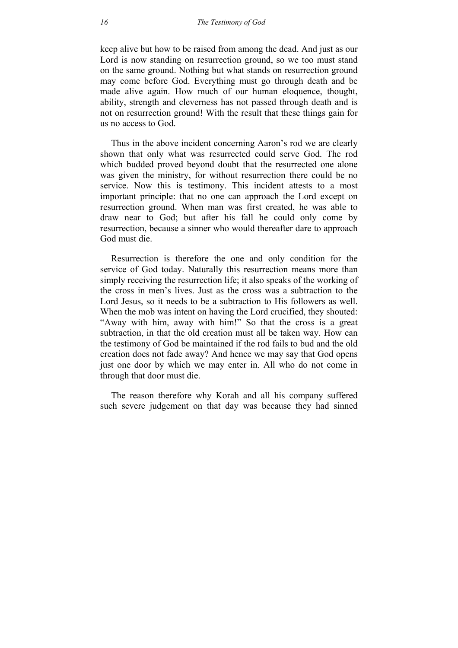keep alive but how to be raised from among the dead. And just as our Lord is now standing on resurrection ground, so we too must stand on the same ground. Nothing but what stands on resurrection ground may come before God. Everything must go through death and be made alive again. How much of our human eloquence, thought, ability, strength and cleverness has not passed through death and is not on resurrection ground! With the result that these things gain for us no access to God.

Thus in the above incident concerning Aaron's rod we are clearly shown that only what was resurrected could serve God. The rod which budded proved beyond doubt that the resurrected one alone was given the ministry, for without resurrection there could be no service. Now this is testimony. This incident attests to a most important principle: that no one can approach the Lord except on resurrection ground. When man was first created, he was able to draw near to God; but after his fall he could only come by resurrection, because a sinner who would thereafter dare to approach God must die.

Resurrection is therefore the one and only condition for the service of God today. Naturally this resurrection means more than simply receiving the resurrection life; it also speaks of the working of the cross in men's lives. Just as the cross was a subtraction to the Lord Jesus, so it needs to be a subtraction to His followers as well. When the mob was intent on having the Lord crucified, they shouted: "Away with him, away with him!" So that the cross is a great subtraction, in that the old creation must all be taken way. How can the testimony of God be maintained if the rod fails to bud and the old creation does not fade away? And hence we may say that God opens just one door by which we may enter in. All who do not come in through that door must die.

The reason therefore why Korah and all his company suffered such severe judgement on that day was because they had sinned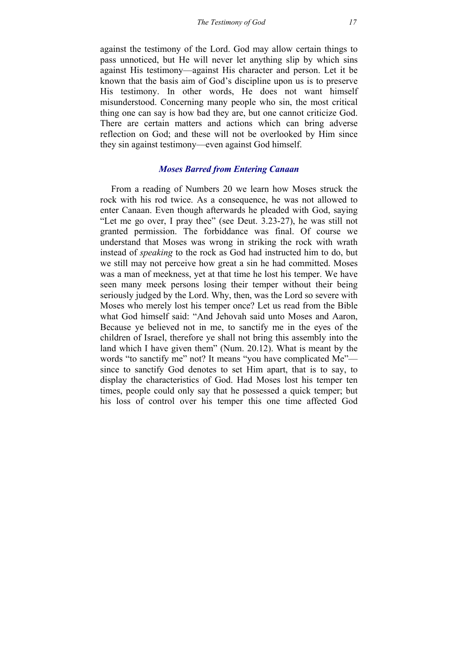against the testimony of the Lord. God may allow certain things to pass unnoticed, but He will never let anything slip by which sins against His testimony—against His character and person. Let it be known that the basis aim of God's discipline upon us is to preserve His testimony. In other words, He does not want himself misunderstood. Concerning many people who sin, the most critical thing one can say is how bad they are, but one cannot criticize God. There are certain matters and actions which can bring adverse reflection on God; and these will not be overlooked by Him since they sin against testimony—even against God himself.

#### *Moses Barred from Entering Canaan*

From a reading of Numbers 20 we learn how Moses struck the rock with his rod twice. As a consequence, he was not allowed to enter Canaan. Even though afterwards he pleaded with God, saying "Let me go over, I pray thee" (see Deut. 3.23-27), he was still not granted permission. The forbiddance was final. Of course we understand that Moses was wrong in striking the rock with wrath instead of *speaking* to the rock as God had instructed him to do, but we still may not perceive how great a sin he had committed. Moses was a man of meekness, yet at that time he lost his temper. We have seen many meek persons losing their temper without their being seriously judged by the Lord. Why, then, was the Lord so severe with Moses who merely lost his temper once? Let us read from the Bible what God himself said: "And Jehovah said unto Moses and Aaron, Because ye believed not in me, to sanctify me in the eyes of the children of Israel, therefore ye shall not bring this assembly into the land which I have given them" (Num. 20.12). What is meant by the words "to sanctify me" not? It means "you have complicated Me" since to sanctify God denotes to set Him apart, that is to say, to display the characteristics of God. Had Moses lost his temper ten times, people could only say that he possessed a quick temper; but his loss of control over his temper this one time affected God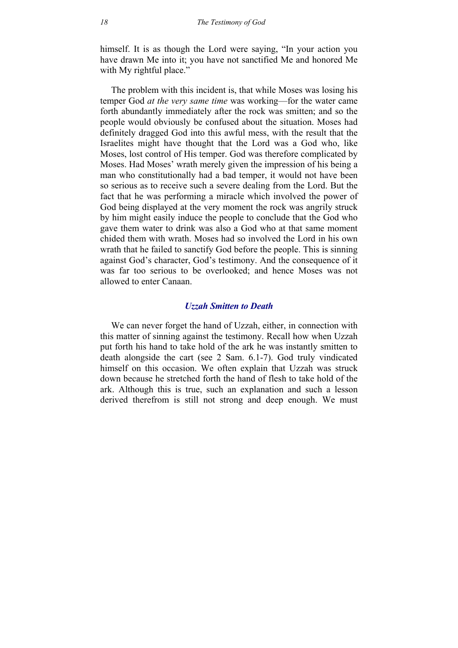himself. It is as though the Lord were saying, "In your action you have drawn Me into it; you have not sanctified Me and honored Me with My rightful place."

The problem with this incident is, that while Moses was losing his temper God *at the very same time* was working—for the water came forth abundantly immediately after the rock was smitten; and so the people would obviously be confused about the situation. Moses had definitely dragged God into this awful mess, with the result that the Israelites might have thought that the Lord was a God who, like Moses, lost control of His temper. God was therefore complicated by Moses. Had Moses' wrath merely given the impression of his being a man who constitutionally had a bad temper, it would not have been so serious as to receive such a severe dealing from the Lord. But the fact that he was performing a miracle which involved the power of God being displayed at the very moment the rock was angrily struck by him might easily induce the people to conclude that the God who gave them water to drink was also a God who at that same moment chided them with wrath. Moses had so involved the Lord in his own wrath that he failed to sanctify God before the people. This is sinning against God's character, God's testimony. And the consequence of it was far too serious to be overlooked; and hence Moses was not allowed to enter Canaan.

#### *Uzzah Smitten to Death*

We can never forget the hand of Uzzah, either, in connection with this matter of sinning against the testimony. Recall how when Uzzah put forth his hand to take hold of the ark he was instantly smitten to death alongside the cart (see 2 Sam. 6.1-7). God truly vindicated himself on this occasion. We often explain that Uzzah was struck down because he stretched forth the hand of flesh to take hold of the ark. Although this is true, such an explanation and such a lesson derived therefrom is still not strong and deep enough. We must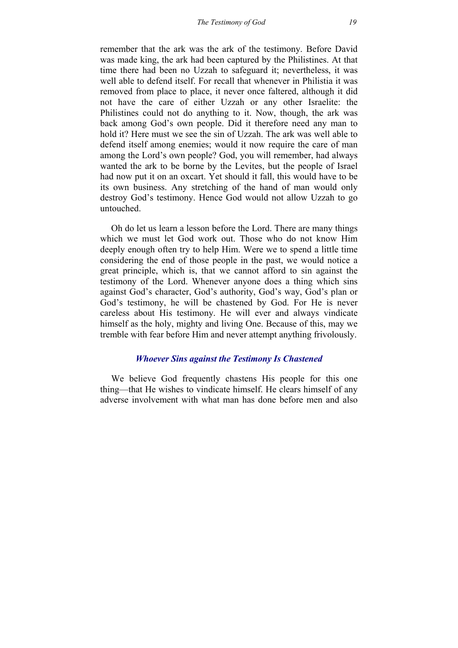remember that the ark was the ark of the testimony. Before David was made king, the ark had been captured by the Philistines. At that time there had been no Uzzah to safeguard it; nevertheless, it was well able to defend itself. For recall that whenever in Philistia it was removed from place to place, it never once faltered, although it did not have the care of either Uzzah or any other Israelite: the Philistines could not do anything to it. Now, though, the ark was back among God's own people. Did it therefore need any man to hold it? Here must we see the sin of Uzzah. The ark was well able to defend itself among enemies; would it now require the care of man among the Lord's own people? God, you will remember, had always wanted the ark to be borne by the Levites, but the people of Israel had now put it on an oxcart. Yet should it fall, this would have to be its own business. Any stretching of the hand of man would only destroy God's testimony. Hence God would not allow Uzzah to go untouched.

Oh do let us learn a lesson before the Lord. There are many things which we must let God work out. Those who do not know Him deeply enough often try to help Him. Were we to spend a little time considering the end of those people in the past, we would notice a great principle, which is, that we cannot afford to sin against the testimony of the Lord. Whenever anyone does a thing which sins against God's character, God's authority, God's way, God's plan or God's testimony, he will be chastened by God. For He is never careless about His testimony. He will ever and always vindicate himself as the holy, mighty and living One. Because of this, may we tremble with fear before Him and never attempt anything frivolously.

#### *Whoever Sins against the Testimony Is Chastened*

We believe God frequently chastens His people for this one thing—that He wishes to vindicate himself. He clears himself of any adverse involvement with what man has done before men and also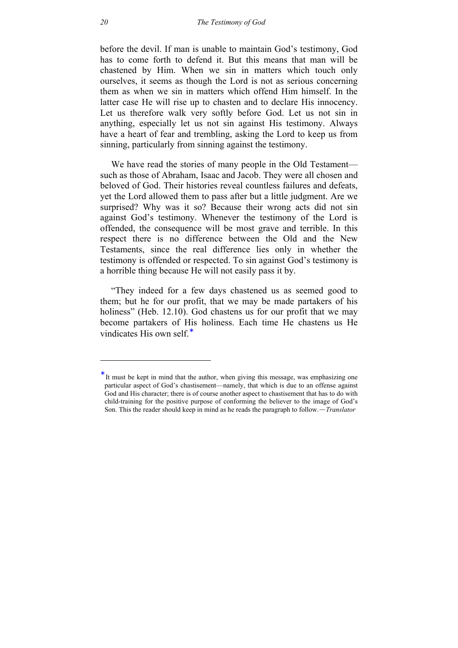before the devil. If man is unable to maintain God's testimony, God has to come forth to defend it. But this means that man will be chastened by Him. When we sin in matters which touch only ourselves, it seems as though the Lord is not as serious concerning them as when we sin in matters which offend Him himself. In the latter case He will rise up to chasten and to declare His innocency. Let us therefore walk very softly before God. Let us not sin in anything, especially let us not sin against His testimony. Always have a heart of fear and trembling, asking the Lord to keep us from sinning, particularly from sinning against the testimony.

We have read the stories of many people in the Old Testament such as those of Abraham, Isaac and Jacob. They were all chosen and beloved of God. Their histories reveal countless failures and defeats, yet the Lord allowed them to pass after but a little judgment. Are we surprised? Why was it so? Because their wrong acts did not sin against God's testimony. Whenever the testimony of the Lord is offended, the consequence will be most grave and terrible. In this respect there is no difference between the Old and the New Testaments, since the real difference lies only in whether the testimony is offended or respected. To sin against God's testimony is a horrible thing because He will not easily pass it by.

"They indeed for a few days chastened us as seemed good to them; but he for our profit, that we may be made partakers of his holiness" (Heb. 12.10). God chastens us for our profit that we may become partakers of His holiness. Each time He chastens us He vindicates His own self<sup>\*</sup>

-

<sup>∗</sup> It must be kept in mind that the author, when giving this message, was emphasizing one particular aspect of God's chastisement—namely, that which is due to an offense against God and His character; there is of course another aspect to chastisement that has to do with child-training for the positive purpose of conforming the believer to the image of God's Son. This the reader should keep in mind as he reads the paragraph to follow.—*Translator*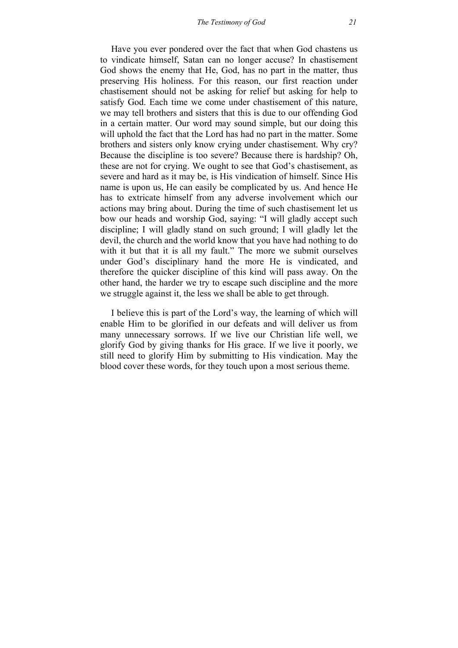Have you ever pondered over the fact that when God chastens us to vindicate himself, Satan can no longer accuse? In chastisement God shows the enemy that He, God, has no part in the matter, thus preserving His holiness. For this reason, our first reaction under chastisement should not be asking for relief but asking for help to satisfy God. Each time we come under chastisement of this nature, we may tell brothers and sisters that this is due to our offending God in a certain matter. Our word may sound simple, but our doing this will uphold the fact that the Lord has had no part in the matter. Some brothers and sisters only know crying under chastisement. Why cry? Because the discipline is too severe? Because there is hardship? Oh, these are not for crying. We ought to see that God's chastisement, as severe and hard as it may be, is His vindication of himself. Since His name is upon us, He can easily be complicated by us. And hence He has to extricate himself from any adverse involvement which our actions may bring about. During the time of such chastisement let us bow our heads and worship God, saying: "I will gladly accept such discipline; I will gladly stand on such ground; I will gladly let the devil, the church and the world know that you have had nothing to do with it but that it is all my fault." The more we submit ourselves under God's disciplinary hand the more He is vindicated, and therefore the quicker discipline of this kind will pass away. On the other hand, the harder we try to escape such discipline and the more we struggle against it, the less we shall be able to get through.

I believe this is part of the Lord's way, the learning of which will enable Him to be glorified in our defeats and will deliver us from many unnecessary sorrows. If we live our Christian life well, we glorify God by giving thanks for His grace. If we live it poorly, we still need to glorify Him by submitting to His vindication. May the blood cover these words, for they touch upon a most serious theme.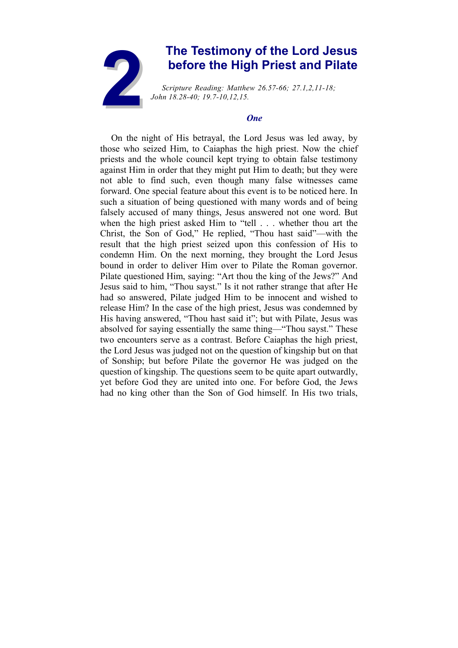

# <span id="page-22-0"></span>**2The Testimony of the Lord Jesus<br>before the High Priest and Pilate**<br>*Scripture Reading: Matthew 26.57-66; 27.1,2,11-18;*<br>*John 18.28-40; 19.7-10,12,15.* **before the High Priest and Pilate**

*Scripture Reading: Matthew 26.57-66; 27.1,2,11-18; John 18.28-40; 19.7-10,12,15.* 

#### *One*

On the night of His betrayal, the Lord Jesus was led away, by those who seized Him, to Caiaphas the high priest. Now the chief priests and the whole council kept trying to obtain false testimony against Him in order that they might put Him to death; but they were not able to find such, even though many false witnesses came forward. One special feature about this event is to be noticed here. In such a situation of being questioned with many words and of being falsely accused of many things, Jesus answered not one word. But when the high priest asked Him to "tell . . . whether thou art the Christ, the Son of God," He replied, "Thou hast said"—with the result that the high priest seized upon this confession of His to condemn Him. On the next morning, they brought the Lord Jesus bound in order to deliver Him over to Pilate the Roman governor. Pilate questioned Him, saying: "Art thou the king of the Jews?" And Jesus said to him, "Thou sayst." Is it not rather strange that after He had so answered, Pilate judged Him to be innocent and wished to release Him? In the case of the high priest, Jesus was condemned by His having answered, "Thou hast said it"; but with Pilate, Jesus was absolved for saying essentially the same thing—"Thou sayst." These two encounters serve as a contrast. Before Caiaphas the high priest, the Lord Jesus was judged not on the question of kingship but on that of Sonship; but before Pilate the governor He was judged on the question of kingship. The questions seem to be quite apart outwardly, yet before God they are united into one. For before God, the Jews had no king other than the Son of God himself. In His two trials,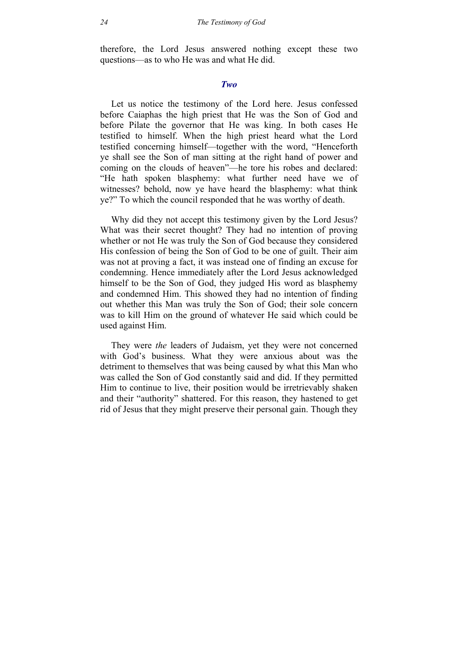therefore, the Lord Jesus answered nothing except these two questions—as to who He was and what He did.

#### *Two*

Let us notice the testimony of the Lord here. Jesus confessed before Caiaphas the high priest that He was the Son of God and before Pilate the governor that He was king. In both cases He testified to himself. When the high priest heard what the Lord testified concerning himself—together with the word, "Henceforth ye shall see the Son of man sitting at the right hand of power and coming on the clouds of heaven"—he tore his robes and declared: "He hath spoken blasphemy: what further need have we of witnesses? behold, now ye have heard the blasphemy: what think ye?" To which the council responded that he was worthy of death.

Why did they not accept this testimony given by the Lord Jesus? What was their secret thought? They had no intention of proving whether or not He was truly the Son of God because they considered His confession of being the Son of God to be one of guilt. Their aim was not at proving a fact, it was instead one of finding an excuse for condemning. Hence immediately after the Lord Jesus acknowledged himself to be the Son of God, they judged His word as blasphemy and condemned Him. This showed they had no intention of finding out whether this Man was truly the Son of God; their sole concern was to kill Him on the ground of whatever He said which could be used against Him.

They were *the* leaders of Judaism, yet they were not concerned with God's business. What they were anxious about was the detriment to themselves that was being caused by what this Man who was called the Son of God constantly said and did. If they permitted Him to continue to live, their position would be irretrievably shaken and their "authority" shattered. For this reason, they hastened to get rid of Jesus that they might preserve their personal gain. Though they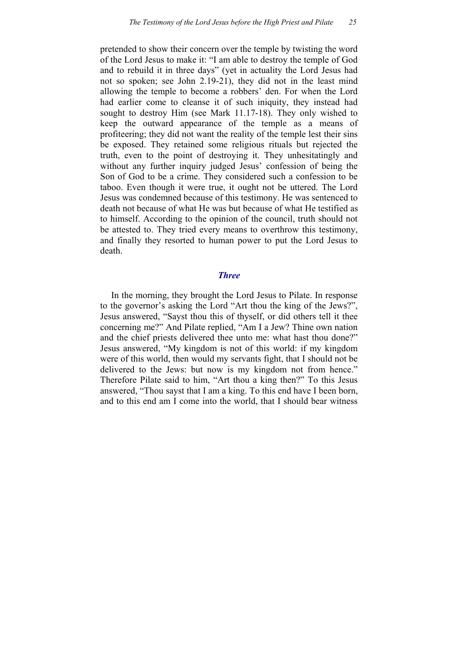pretended to show their concern over the temple by twisting the word of the Lord Jesus to make it: "I am able to destroy the temple of God and to rebuild it in three days" (yet in actuality the Lord Jesus had not so spoken; see John 2.19-21), they did not in the least mind allowing the temple to become a robbers' den. For when the Lord had earlier come to cleanse it of such iniquity, they instead had sought to destroy Him (see Mark 11.17-18). They only wished to keep the outward appearance of the temple as a means of profiteering; they did not want the reality of the temple lest their sins be exposed. They retained some religious rituals but rejected the truth, even to the point of destroying it. They unhesitatingly and without any further inquiry judged Jesus' confession of being the Son of God to be a crime. They considered such a confession to be taboo. Even though it were true, it ought not be uttered. The Lord Jesus was condemned because of this testimony. He was sentenced to death not because of what He was but because of what He testified as to himself. According to the opinion of the council, truth should not be attested to. They tried every means to overthrow this testimony, and finally they resorted to human power to put the Lord Jesus to death.

#### *Three*

In the morning, they brought the Lord Jesus to Pilate. In response to the governor's asking the Lord "Art thou the king of the Jews?", Jesus answered, "Sayst thou this of thyself, or did others tell it thee concerning me?" And Pilate replied, "Am I a Jew? Thine own nation and the chief priests delivered thee unto me: what hast thou done?" Jesus answered, "My kingdom is not of this world: if my kingdom were of this world, then would my servants fight, that I should not be delivered to the Jews: but now is my kingdom not from hence." Therefore Pilate said to him, "Art thou a king then?" To this Jesus answered, "Thou sayst that I am a king. To this end have I been born, and to this end am I come into the world, that I should bear witness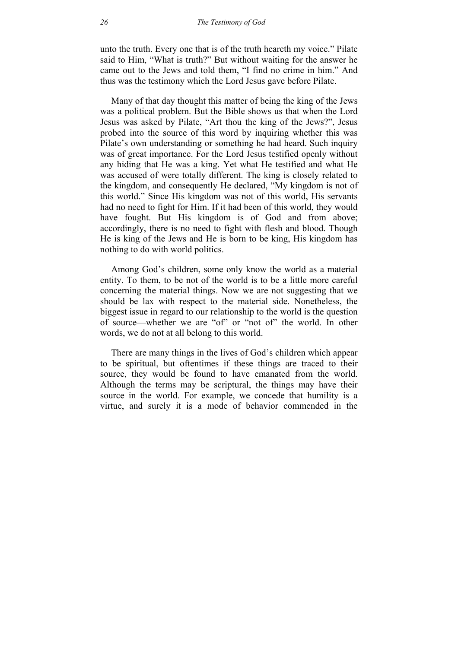unto the truth. Every one that is of the truth heareth my voice." Pilate said to Him, "What is truth?" But without waiting for the answer he came out to the Jews and told them, "I find no crime in him." And thus was the testimony which the Lord Jesus gave before Pilate.

Many of that day thought this matter of being the king of the Jews was a political problem. But the Bible shows us that when the Lord Jesus was asked by Pilate, "Art thou the king of the Jews?", Jesus probed into the source of this word by inquiring whether this was Pilate's own understanding or something he had heard. Such inquiry was of great importance. For the Lord Jesus testified openly without any hiding that He was a king. Yet what He testified and what He was accused of were totally different. The king is closely related to the kingdom, and consequently He declared, "My kingdom is not of this world." Since His kingdom was not of this world, His servants had no need to fight for Him. If it had been of this world, they would have fought. But His kingdom is of God and from above; accordingly, there is no need to fight with flesh and blood. Though He is king of the Jews and He is born to be king, His kingdom has nothing to do with world politics.

Among God's children, some only know the world as a material entity. To them, to be not of the world is to be a little more careful concerning the material things. Now we are not suggesting that we should be lax with respect to the material side. Nonetheless, the biggest issue in regard to our relationship to the world is the question of source—whether we are "of" or "not of" the world. In other words, we do not at all belong to this world.

There are many things in the lives of God's children which appear to be spiritual, but oftentimes if these things are traced to their source, they would be found to have emanated from the world. Although the terms may be scriptural, the things may have their source in the world. For example, we concede that humility is a virtue, and surely it is a mode of behavior commended in the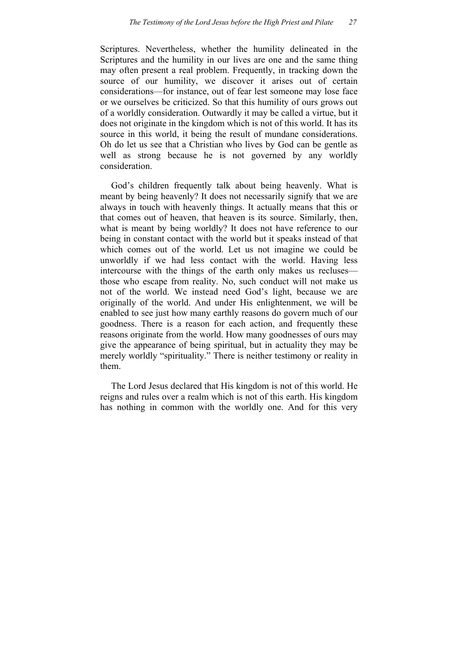Scriptures. Nevertheless, whether the humility delineated in the Scriptures and the humility in our lives are one and the same thing may often present a real problem. Frequently, in tracking down the source of our humility, we discover it arises out of certain considerations—for instance, out of fear lest someone may lose face or we ourselves be criticized. So that this humility of ours grows out of a worldly consideration. Outwardly it may be called a virtue, but it does not originate in the kingdom which is not of this world. It has its source in this world, it being the result of mundane considerations. Oh do let us see that a Christian who lives by God can be gentle as well as strong because he is not governed by any worldly consideration.

God's children frequently talk about being heavenly. What is meant by being heavenly? It does not necessarily signify that we are always in touch with heavenly things. It actually means that this or that comes out of heaven, that heaven is its source. Similarly, then, what is meant by being worldly? It does not have reference to our being in constant contact with the world but it speaks instead of that which comes out of the world. Let us not imagine we could be unworldly if we had less contact with the world. Having less intercourse with the things of the earth only makes us recluses those who escape from reality. No, such conduct will not make us not of the world. We instead need God's light, because we are originally of the world. And under His enlightenment, we will be enabled to see just how many earthly reasons do govern much of our goodness. There is a reason for each action, and frequently these reasons originate from the world. How many goodnesses of ours may give the appearance of being spiritual, but in actuality they may be merely worldly "spirituality." There is neither testimony or reality in them.

The Lord Jesus declared that His kingdom is not of this world. He reigns and rules over a realm which is not of this earth. His kingdom has nothing in common with the worldly one. And for this very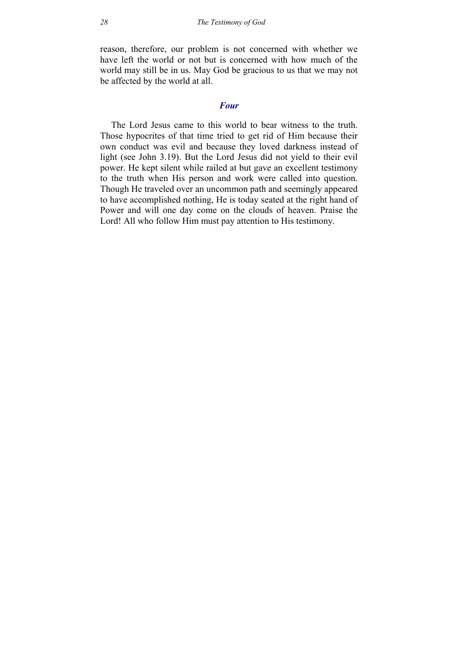reason, therefore, our problem is not concerned with whether we have left the world or not but is concerned with how much of the world may still be in us. May God be gracious to us that we may not be affected by the world at all.

#### *Four*

The Lord Jesus came to this world to bear witness to the truth. Those hypocrites of that time tried to get rid of Him because their own conduct was evil and because they loved darkness instead of light (see John 3.19). But the Lord Jesus did not yield to their evil power. He kept silent while railed at but gave an excellent testimony to the truth when His person and work were called into question. Though He traveled over an uncommon path and seemingly appeared to have accomplished nothing, He is today seated at the right hand of Power and will one day come on the clouds of heaven. Praise the Lord! All who follow Him must pay attention to His testimony.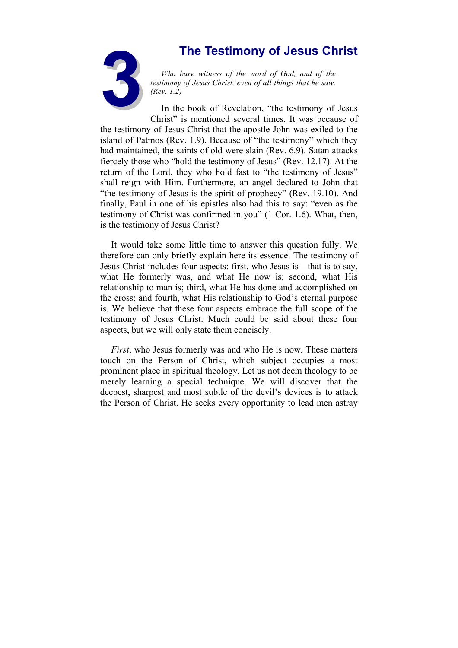

<span id="page-28-0"></span>**3The Testimony of Jesus Christ**<br>Who bare witness of the word of God, and of the<br>testimony of Jesus Christ, even of all things that he saw.<br>(Rev. 1.2)<br>In the book of Revelation, "the testimony of Jesus<br>Christ" is mentioned *Who bare witness of the word of God, and of the testimony of Jesus Christ, even of all things that he saw. (Rev. 1.2)*

In the book of Revelation, "the testimony of Jesus Christ" is mentioned several times. It was because of the testimony of Jesus Christ that the apostle John was exiled to the island of Patmos (Rev. 1.9). Because of "the testimony" which they had maintained, the saints of old were slain (Rev. 6.9). Satan attacks fiercely those who "hold the testimony of Jesus" (Rev. 12.17). At the return of the Lord, they who hold fast to "the testimony of Jesus" shall reign with Him. Furthermore, an angel declared to John that "the testimony of Jesus is the spirit of prophecy" (Rev. 19.10). And finally, Paul in one of his epistles also had this to say: "even as the testimony of Christ was confirmed in you" (1 Cor. 1.6). What, then, is the testimony of Jesus Christ?

It would take some little time to answer this question fully. We therefore can only briefly explain here its essence. The testimony of Jesus Christ includes four aspects: first, who Jesus is—that is to say, what He formerly was, and what He now is; second, what His relationship to man is; third, what He has done and accomplished on the cross; and fourth, what His relationship to God's eternal purpose is. We believe that these four aspects embrace the full scope of the testimony of Jesus Christ. Much could be said about these four aspects, but we will only state them concisely.

*First*, who Jesus formerly was and who He is now. These matters touch on the Person of Christ, which subject occupies a most prominent place in spiritual theology. Let us not deem theology to be merely learning a special technique. We will discover that the deepest, sharpest and most subtle of the devil's devices is to attack the Person of Christ. He seeks every opportunity to lead men astray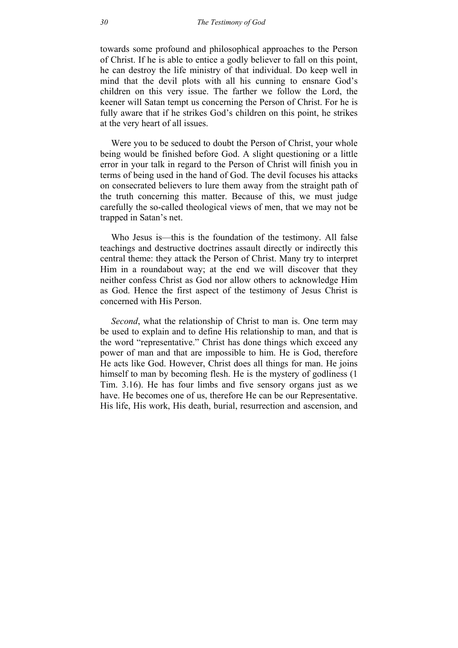towards some profound and philosophical approaches to the Person of Christ. If he is able to entice a godly believer to fall on this point, he can destroy the life ministry of that individual. Do keep well in mind that the devil plots with all his cunning to ensnare God's children on this very issue. The farther we follow the Lord, the keener will Satan tempt us concerning the Person of Christ. For he is fully aware that if he strikes God's children on this point, he strikes at the very heart of all issues.

Were you to be seduced to doubt the Person of Christ, your whole being would be finished before God. A slight questioning or a little error in your talk in regard to the Person of Christ will finish you in terms of being used in the hand of God. The devil focuses his attacks on consecrated believers to lure them away from the straight path of the truth concerning this matter. Because of this, we must judge carefully the so-called theological views of men, that we may not be trapped in Satan's net.

Who Jesus is—this is the foundation of the testimony. All false teachings and destructive doctrines assault directly or indirectly this central theme: they attack the Person of Christ. Many try to interpret Him in a roundabout way; at the end we will discover that they neither confess Christ as God nor allow others to acknowledge Him as God. Hence the first aspect of the testimony of Jesus Christ is concerned with His Person.

*Second*, what the relationship of Christ to man is. One term may be used to explain and to define His relationship to man, and that is the word "representative." Christ has done things which exceed any power of man and that are impossible to him. He is God, therefore He acts like God. However, Christ does all things for man. He joins himself to man by becoming flesh. He is the mystery of godliness (1) Tim. 3.16). He has four limbs and five sensory organs just as we have. He becomes one of us, therefore He can be our Representative. His life, His work, His death, burial, resurrection and ascension, and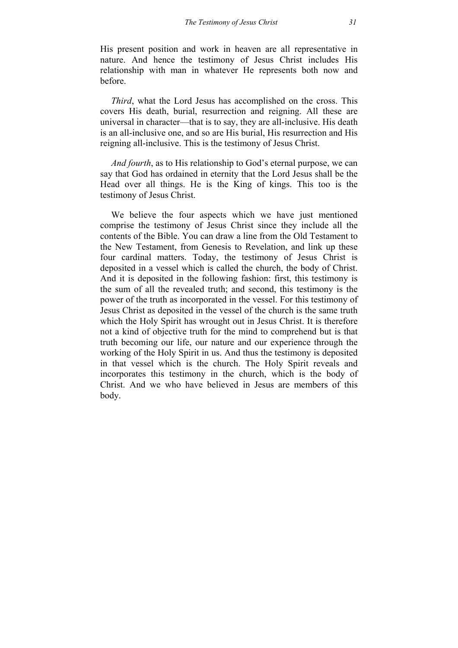His present position and work in heaven are all representative in nature. And hence the testimony of Jesus Christ includes His relationship with man in whatever He represents both now and before.

*Third*, what the Lord Jesus has accomplished on the cross. This covers His death, burial, resurrection and reigning. All these are universal in character—that is to say, they are all-inclusive. His death is an all-inclusive one, and so are His burial, His resurrection and His reigning all-inclusive. This is the testimony of Jesus Christ.

*And fourth*, as to His relationship to God's eternal purpose, we can say that God has ordained in eternity that the Lord Jesus shall be the Head over all things. He is the King of kings. This too is the testimony of Jesus Christ.

We believe the four aspects which we have just mentioned comprise the testimony of Jesus Christ since they include all the contents of the Bible. You can draw a line from the Old Testament to the New Testament, from Genesis to Revelation, and link up these four cardinal matters. Today, the testimony of Jesus Christ is deposited in a vessel which is called the church, the body of Christ. And it is deposited in the following fashion: first, this testimony is the sum of all the revealed truth; and second, this testimony is the power of the truth as incorporated in the vessel. For this testimony of Jesus Christ as deposited in the vessel of the church is the same truth which the Holy Spirit has wrought out in Jesus Christ. It is therefore not a kind of objective truth for the mind to comprehend but is that truth becoming our life, our nature and our experience through the working of the Holy Spirit in us. And thus the testimony is deposited in that vessel which is the church. The Holy Spirit reveals and incorporates this testimony in the church, which is the body of Christ. And we who have believed in Jesus are members of this body.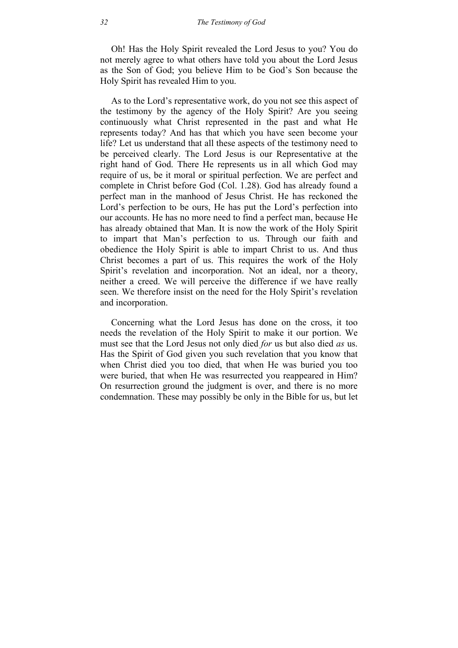Oh! Has the Holy Spirit revealed the Lord Jesus to you? You do not merely agree to what others have told you about the Lord Jesus as the Son of God; you believe Him to be God's Son because the Holy Spirit has revealed Him to you.

As to the Lord's representative work, do you not see this aspect of the testimony by the agency of the Holy Spirit? Are you seeing continuously what Christ represented in the past and what He represents today? And has that which you have seen become your life? Let us understand that all these aspects of the testimony need to be perceived clearly. The Lord Jesus is our Representative at the right hand of God. There He represents us in all which God may require of us, be it moral or spiritual perfection. We are perfect and complete in Christ before God (Col. 1.28). God has already found a perfect man in the manhood of Jesus Christ. He has reckoned the Lord's perfection to be ours, He has put the Lord's perfection into our accounts. He has no more need to find a perfect man, because He has already obtained that Man. It is now the work of the Holy Spirit to impart that Man's perfection to us. Through our faith and obedience the Holy Spirit is able to impart Christ to us. And thus Christ becomes a part of us. This requires the work of the Holy Spirit's revelation and incorporation. Not an ideal, nor a theory, neither a creed. We will perceive the difference if we have really seen. We therefore insist on the need for the Holy Spirit's revelation and incorporation.

Concerning what the Lord Jesus has done on the cross, it too needs the revelation of the Holy Spirit to make it our portion. We must see that the Lord Jesus not only died *for* us but also died *as* us. Has the Spirit of God given you such revelation that you know that when Christ died you too died, that when He was buried you too were buried, that when He was resurrected you reappeared in Him? On resurrection ground the judgment is over, and there is no more condemnation. These may possibly be only in the Bible for us, but let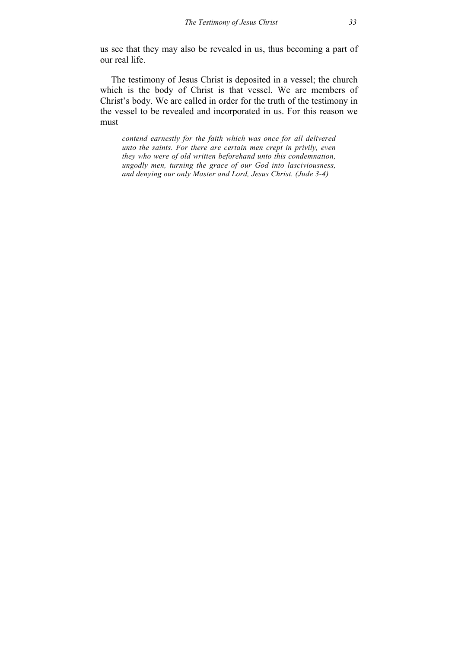us see that they may also be revealed in us, thus becoming a part of our real life.

The testimony of Jesus Christ is deposited in a vessel; the church which is the body of Christ is that vessel. We are members of Christ's body. We are called in order for the truth of the testimony in the vessel to be revealed and incorporated in us. For this reason we must

*contend earnestly for the faith which was once for all delivered unto the saints. For there are certain men crept in privily, even they who were of old written beforehand unto this condemnation, ungodly men, turning the grace of our God into lasciviousness, and denying our only Master and Lord, Jesus Christ. (Jude 3-4)*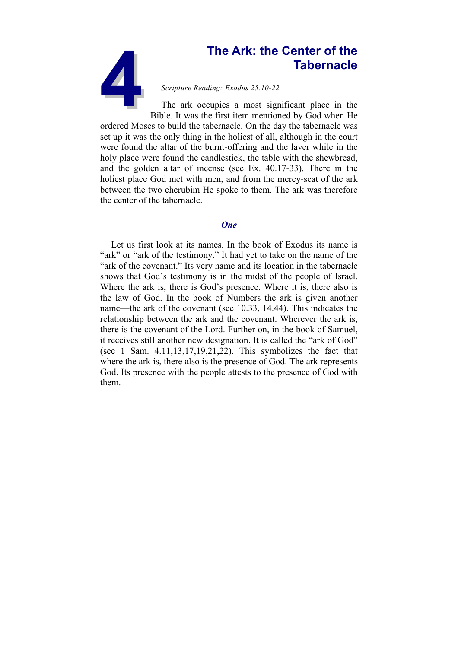# **Tabernacle**

#### *Scripture Reading: Exodus 25.10-22.*

<span id="page-34-0"></span>**4The Ark: the Center of the<br>
4The Tabernacle**<br>
5Cripture Reading: Exodus 25.10-22.<br>
The ark occupies a most significant place in the<br>
Bible. It was the first item mentioned by God when He The ark occupies a most significant place in the Bible. It was the first item mentioned by God when He ordered Moses to build the tabernacle. On the day the tabernacle was set up it was the only thing in the holiest of all, although in the court were found the altar of the burnt-offering and the laver while in the holy place were found the candlestick, the table with the shewbread, and the golden altar of incense (see Ex. 40.17-33). There in the holiest place God met with men, and from the mercy-seat of the ark between the two cherubim He spoke to them. The ark was therefore the center of the tabernacle.

#### *One*

Let us first look at its names. In the book of Exodus its name is "ark" or "ark of the testimony." It had yet to take on the name of the "ark of the covenant." Its very name and its location in the tabernacle shows that God's testimony is in the midst of the people of Israel. Where the ark is, there is God's presence. Where it is, there also is the law of God. In the book of Numbers the ark is given another name—the ark of the covenant (see 10.33, 14.44). This indicates the relationship between the ark and the covenant. Wherever the ark is, there is the covenant of the Lord. Further on, in the book of Samuel, it receives still another new designation. It is called the "ark of God" (see 1 Sam.  $4.11,13,17,19,21,22$ ). This symbolizes the fact that where the ark is, there also is the presence of God. The ark represents God. Its presence with the people attests to the presence of God with them.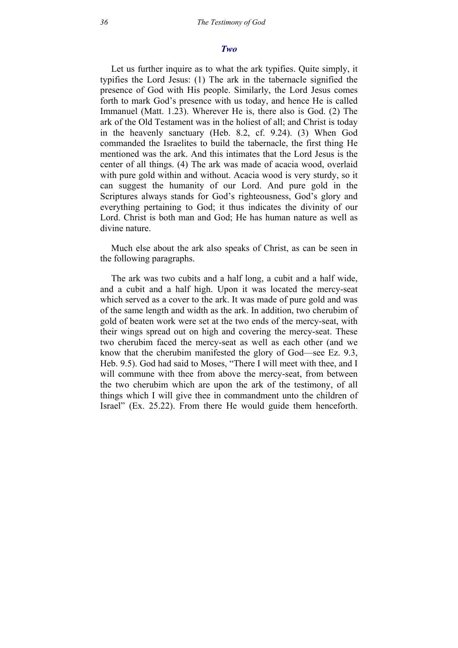#### *Two*

Let us further inquire as to what the ark typifies. Quite simply, it typifies the Lord Jesus: (1) The ark in the tabernacle signified the presence of God with His people. Similarly, the Lord Jesus comes forth to mark God's presence with us today, and hence He is called Immanuel (Matt. 1.23). Wherever He is, there also is God. (2) The ark of the Old Testament was in the holiest of all; and Christ is today in the heavenly sanctuary (Heb. 8.2, cf. 9.24). (3) When God commanded the Israelites to build the tabernacle, the first thing He mentioned was the ark. And this intimates that the Lord Jesus is the center of all things. (4) The ark was made of acacia wood, overlaid with pure gold within and without. Acacia wood is very sturdy, so it can suggest the humanity of our Lord. And pure gold in the Scriptures always stands for God's righteousness, God's glory and everything pertaining to God; it thus indicates the divinity of our Lord. Christ is both man and God; He has human nature as well as divine nature.

Much else about the ark also speaks of Christ, as can be seen in the following paragraphs.

The ark was two cubits and a half long, a cubit and a half wide, and a cubit and a half high. Upon it was located the mercy-seat which served as a cover to the ark. It was made of pure gold and was of the same length and width as the ark. In addition, two cherubim of gold of beaten work were set at the two ends of the mercy-seat, with their wings spread out on high and covering the mercy-seat. These two cherubim faced the mercy-seat as well as each other (and we know that the cherubim manifested the glory of God—see Ez. 9.3, Heb. 9.5). God had said to Moses, "There I will meet with thee, and I will commune with thee from above the mercy-seat, from between the two cherubim which are upon the ark of the testimony, of all things which I will give thee in commandment unto the children of Israel" (Ex. 25.22). From there He would guide them henceforth.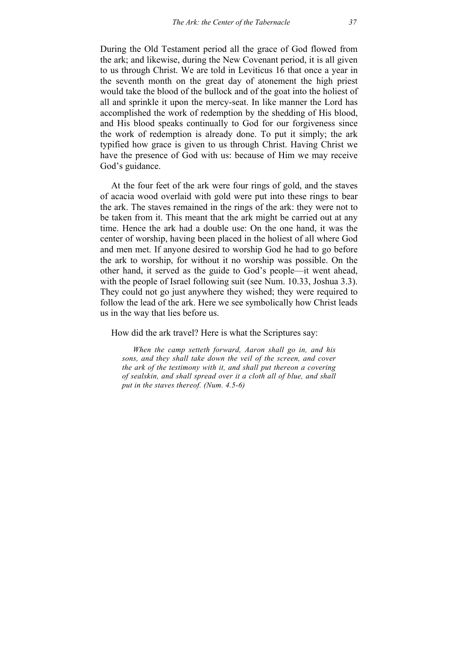During the Old Testament period all the grace of God flowed from the ark; and likewise, during the New Covenant period, it is all given to us through Christ. We are told in Leviticus 16 that once a year in the seventh month on the great day of atonement the high priest would take the blood of the bullock and of the goat into the holiest of all and sprinkle it upon the mercy-seat. In like manner the Lord has accomplished the work of redemption by the shedding of His blood, and His blood speaks continually to God for our forgiveness since the work of redemption is already done. To put it simply; the ark typified how grace is given to us through Christ. Having Christ we have the presence of God with us: because of Him we may receive God's guidance.

At the four feet of the ark were four rings of gold, and the staves of acacia wood overlaid with gold were put into these rings to bear the ark. The staves remained in the rings of the ark: they were not to be taken from it. This meant that the ark might be carried out at any time. Hence the ark had a double use: On the one hand, it was the center of worship, having been placed in the holiest of all where God and men met. If anyone desired to worship God he had to go before the ark to worship, for without it no worship was possible. On the other hand, it served as the guide to God's people—it went ahead, with the people of Israel following suit (see Num. 10.33, Joshua 3.3). They could not go just anywhere they wished; they were required to follow the lead of the ark. Here we see symbolically how Christ leads us in the way that lies before us.

How did the ark travel? Here is what the Scriptures say:

*When the camp setteth forward, Aaron shall go in, and his sons, and they shall take down the veil of the screen, and cover the ark of the testimony with it, and shall put thereon a covering of sealskin, and shall spread over it a cloth all of blue, and shall put in the staves thereof. (Num. 4.5-6)*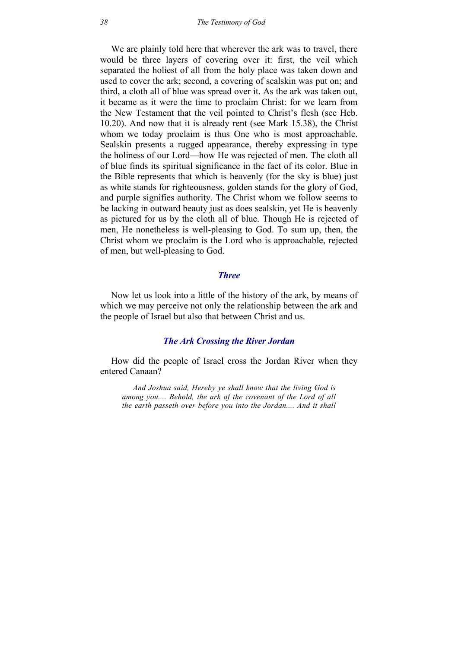We are plainly told here that wherever the ark was to travel, there would be three layers of covering over it: first, the veil which separated the holiest of all from the holy place was taken down and used to cover the ark; second, a covering of sealskin was put on; and third, a cloth all of blue was spread over it. As the ark was taken out, it became as it were the time to proclaim Christ: for we learn from the New Testament that the veil pointed to Christ's flesh (see Heb. 10.20). And now that it is already rent (see Mark 15.38), the Christ whom we today proclaim is thus One who is most approachable. Sealskin presents a rugged appearance, thereby expressing in type the holiness of our Lord—how He was rejected of men. The cloth all of blue finds its spiritual significance in the fact of its color. Blue in the Bible represents that which is heavenly (for the sky is blue) just as white stands for righteousness, golden stands for the glory of God, and purple signifies authority. The Christ whom we follow seems to be lacking in outward beauty just as does sealskin, yet He is heavenly as pictured for us by the cloth all of blue. Though He is rejected of men, He nonetheless is well-pleasing to God. To sum up, then, the Christ whom we proclaim is the Lord who is approachable, rejected of men, but well-pleasing to God.

## *Three*

Now let us look into a little of the history of the ark, by means of which we may perceive not only the relationship between the ark and the people of Israel but also that between Christ and us.

# *The Ark Crossing the River Jordan*

How did the people of Israel cross the Jordan River when they entered Canaan?

*And Joshua said, Hereby ye shall know that the living God is among you.... Behold, the ark of the covenant of the Lord of all the earth passeth over before you into the Jordan.... And it shall*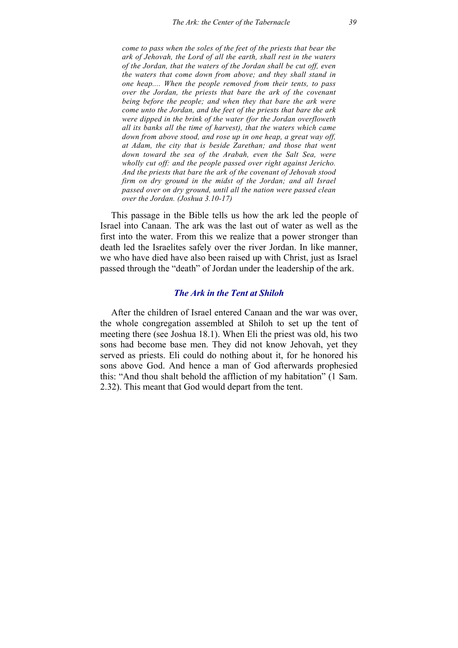*come to pass when the soles of the feet of the priests that bear the ark of Jehovah, the Lord of all the earth, shall rest in the waters of the Jordan, that the waters of the Jordan shall be cut off, even the waters that come down from above; and they shall stand in one heap.... When the people removed from their tents, to pass over the Jordan, the priests that bare the ark of the covenant being before the people; and when they that bare the ark were come unto the Jordan, and the feet of the priests that bare the ark were dipped in the brink of the water (for the Jordan overfloweth all its banks all the time of harvest), that the waters which came down from above stood, and rose up in one heap, a great way off, at Adam, the city that is beside Zarethan; and those that went down toward the sea of the Arabah, even the Salt Sea, were wholly cut off: and the people passed over right against Jericho. And the priests that bare the ark of the covenant of Jehovah stood firm on dry ground in the midst of the Jordan; and all Israel passed over on dry ground, until all the nation were passed clean over the Jordan. (Joshua 3.10-17)* 

This passage in the Bible tells us how the ark led the people of Israel into Canaan. The ark was the last out of water as well as the first into the water. From this we realize that a power stronger than death led the Israelites safely over the river Jordan. In like manner, we who have died have also been raised up with Christ, just as Israel passed through the "death" of Jordan under the leadership of the ark.

## *The Ark in the Tent at Shiloh*

After the children of Israel entered Canaan and the war was over, the whole congregation assembled at Shiloh to set up the tent of meeting there (see Joshua 18.1). When Eli the priest was old, his two sons had become base men. They did not know Jehovah, yet they served as priests. Eli could do nothing about it, for he honored his sons above God. And hence a man of God afterwards prophesied this: "And thou shalt behold the affliction of my habitation" (1 Sam. 2.32). This meant that God would depart from the tent.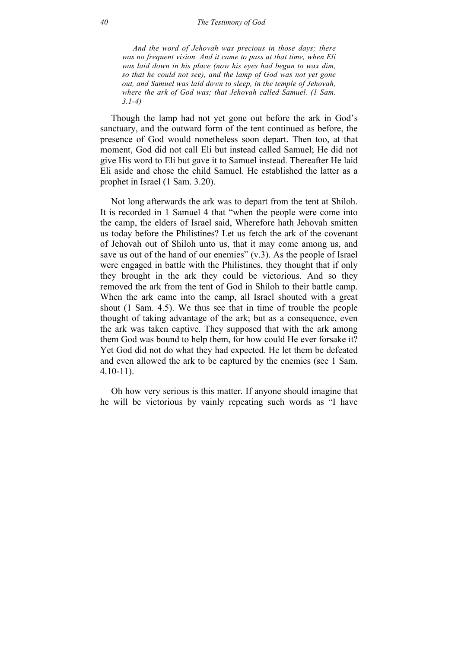*And the word of Jehovah was precious in those days; there was no frequent vision. And it came to pass at that time, when Eli was laid down in his place (now his eyes had begun to wax dim, so that he could not see), and the lamp of God was not yet gone out, and Samuel was laid down to sleep, in the temple of Jehovah, where the ark of God was; that Jehovah called Samuel. (1 Sam. 3.1-4)* 

Though the lamp had not yet gone out before the ark in God's sanctuary, and the outward form of the tent continued as before, the presence of God would nonetheless soon depart. Then too, at that moment, God did not call Eli but instead called Samuel; He did not give His word to Eli but gave it to Samuel instead. Thereafter He laid Eli aside and chose the child Samuel. He established the latter as a prophet in Israel (1 Sam. 3.20).

Not long afterwards the ark was to depart from the tent at Shiloh. It is recorded in 1 Samuel 4 that "when the people were come into the camp, the elders of Israel said, Wherefore hath Jehovah smitten us today before the Philistines? Let us fetch the ark of the covenant of Jehovah out of Shiloh unto us, that it may come among us, and save us out of the hand of our enemies" (v.3). As the people of Israel were engaged in battle with the Philistines, they thought that if only they brought in the ark they could be victorious. And so they removed the ark from the tent of God in Shiloh to their battle camp. When the ark came into the camp, all Israel shouted with a great shout (1 Sam. 4.5). We thus see that in time of trouble the people thought of taking advantage of the ark; but as a consequence, even the ark was taken captive. They supposed that with the ark among them God was bound to help them, for how could He ever forsake it? Yet God did not do what they had expected. He let them be defeated and even allowed the ark to be captured by the enemies (see 1 Sam. 4.10-11).

Oh how very serious is this matter. If anyone should imagine that he will be victorious by vainly repeating such words as "I have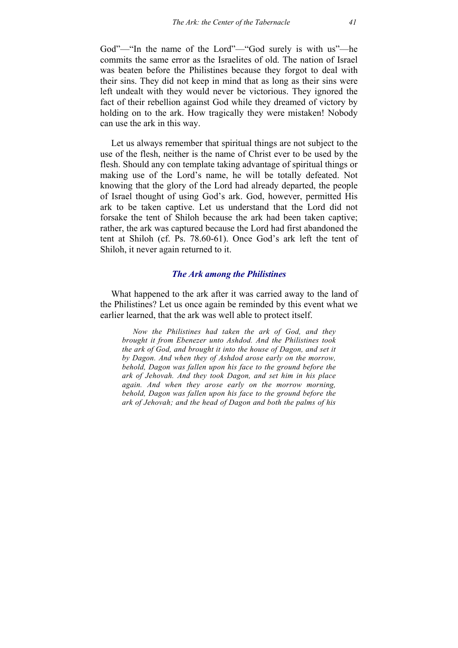God"—"In the name of the Lord"—"God surely is with us"—he commits the same error as the Israelites of old. The nation of Israel was beaten before the Philistines because they forgot to deal with their sins. They did not keep in mind that as long as their sins were left undealt with they would never be victorious. They ignored the fact of their rebellion against God while they dreamed of victory by holding on to the ark. How tragically they were mistaken! Nobody can use the ark in this way.

Let us always remember that spiritual things are not subject to the use of the flesh, neither is the name of Christ ever to be used by the flesh. Should any con template taking advantage of spiritual things or making use of the Lord's name, he will be totally defeated. Not knowing that the glory of the Lord had already departed, the people of Israel thought of using God's ark. God, however, permitted His ark to be taken captive. Let us understand that the Lord did not forsake the tent of Shiloh because the ark had been taken captive; rather, the ark was captured because the Lord had first abandoned the tent at Shiloh (cf. Ps. 78.60-61). Once God's ark left the tent of Shiloh, it never again returned to it.

# *The Ark among the Philistines*

What happened to the ark after it was carried away to the land of the Philistines? Let us once again be reminded by this event what we earlier learned, that the ark was well able to protect itself.

*Now the Philistines had taken the ark of God, and they brought it from Ebenezer unto Ashdod. And the Philistines took the ark of God, and brought it into the house of Dagon, and set it by Dagon. And when they of Ashdod arose early on the morrow, behold, Dagon was fallen upon his face to the ground before the ark of Jehovah. And they took Dagon, and set him in his place again. And when they arose early on the morrow morning, behold, Dagon was fallen upon his face to the ground before the ark of Jehovah; and the head of Dagon and both the palms of his*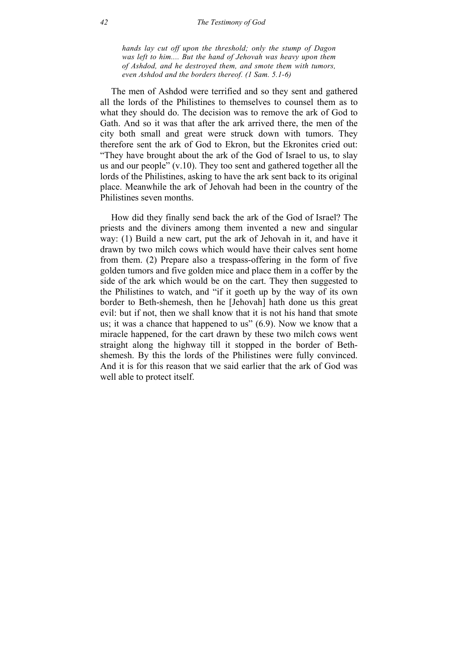*hands lay cut off upon the threshold; only the stump of Dagon was left to him.... But the hand of Jehovah was heavy upon them of Ashdod, and he destroyed them, and smote them with tumors, even Ashdod and the borders thereof. (1 Sam. 5.1-6)* 

The men of Ashdod were terrified and so they sent and gathered all the lords of the Philistines to themselves to counsel them as to what they should do. The decision was to remove the ark of God to Gath. And so it was that after the ark arrived there, the men of the city both small and great were struck down with tumors. They therefore sent the ark of God to Ekron, but the Ekronites cried out: "They have brought about the ark of the God of Israel to us, to slay us and our people" (v.10). They too sent and gathered together all the lords of the Philistines, asking to have the ark sent back to its original place. Meanwhile the ark of Jehovah had been in the country of the Philistines seven months.

How did they finally send back the ark of the God of Israel? The priests and the diviners among them invented a new and singular way: (1) Build a new cart, put the ark of Jehovah in it, and have it drawn by two milch cows which would have their calves sent home from them. (2) Prepare also a trespass-offering in the form of five golden tumors and five golden mice and place them in a coffer by the side of the ark which would be on the cart. They then suggested to the Philistines to watch, and "if it goeth up by the way of its own border to Beth-shemesh, then he [Jehovah] hath done us this great evil: but if not, then we shall know that it is not his hand that smote us; it was a chance that happened to us" (6.9). Now we know that a miracle happened, for the cart drawn by these two milch cows went straight along the highway till it stopped in the border of Bethshemesh. By this the lords of the Philistines were fully convinced. And it is for this reason that we said earlier that the ark of God was well able to protect itself.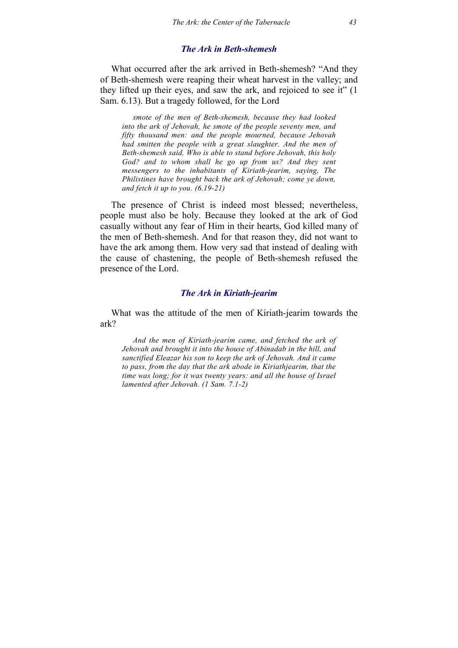### *The Ark in Beth-shemesh*

What occurred after the ark arrived in Beth-shemesh? "And they of Beth-shemesh were reaping their wheat harvest in the valley; and they lifted up their eyes, and saw the ark, and rejoiced to see it" (1 Sam. 6.13). But a tragedy followed, for the Lord

*smote of the men of Beth-shemesh, because they had looked into the ark of Jehovah, he smote of the people seventy men, and fifty thousand men: and the people mourned, because Jehovah had smitten the people with a great slaughter. And the men of Beth-shemesh said, Who is able to stand before Jehovah, this holy God? and to whom shall he go up from us? And they sent messengers to the inhabitants of Kiriath-jearim, saying, The Philistines have brought back the ark of Jehovah; come ye down, and fetch it up to you. (6.19-21)* 

The presence of Christ is indeed most blessed; nevertheless, people must also be holy. Because they looked at the ark of God casually without any fear of Him in their hearts, God killed many of the men of Beth-shemesh. And for that reason they, did not want to have the ark among them. How very sad that instead of dealing with the cause of chastening, the people of Beth-shemesh refused the presence of the Lord.

### *The Ark in Kiriath-jearim*

What was the attitude of the men of Kiriath-jearim towards the ark?

*And the men of Kiriath-jearim came, and fetched the ark of Jehovah and brought it into the house of Abinadab in the hill, and sanctified Eleazar his son to keep the ark of Jehovah. And it came to pass, from the day that the ark abode in Kiriathjearim, that the time was long; for it was twenty years: and all the house of Israel lamented after Jehovah. (1 Sam. 7.1-2)*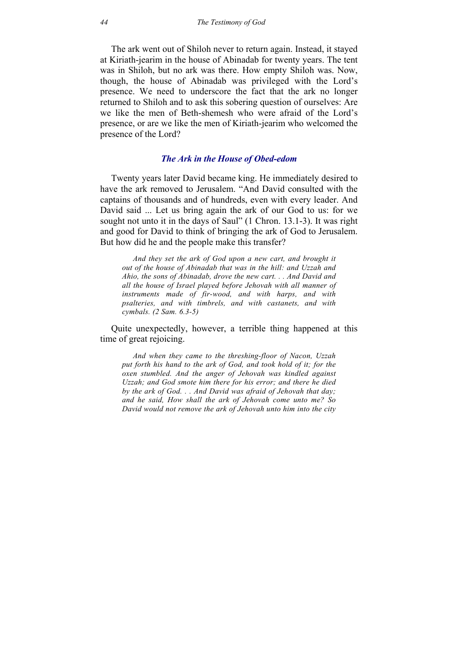The ark went out of Shiloh never to return again. Instead, it stayed at Kiriath-jearim in the house of Abinadab for twenty years. The tent was in Shiloh, but no ark was there. How empty Shiloh was. Now, though, the house of Abinadab was privileged with the Lord's presence. We need to underscore the fact that the ark no longer returned to Shiloh and to ask this sobering question of ourselves: Are we like the men of Beth-shemesh who were afraid of the Lord's presence, or are we like the men of Kiriath-jearim who welcomed the presence of the Lord?

### *The Ark in the House of Obed-edom*

Twenty years later David became king. He immediately desired to have the ark removed to Jerusalem. "And David consulted with the captains of thousands and of hundreds, even with every leader. And David said ... Let us bring again the ark of our God to us: for we sought not unto it in the days of Saul" (1 Chron. 13.1-3). It was right and good for David to think of bringing the ark of God to Jerusalem. But how did he and the people make this transfer?

*And they set the ark of God upon a new cart, and brought it out of the house of Abinadab that was in the hill: and Uzzah and Ahio, the sons of Abinadab, drove the new cart. . . And David and all the house of Israel played before Jehovah with all manner of instruments made of fir-wood, and with harps, and with psalteries, and with timbrels, and with castanets, and with cymbals. (2 Sam. 6.3-5)* 

Quite unexpectedly, however, a terrible thing happened at this time of great rejoicing.

*And when they came to the threshing-floor of Nacon, Uzzah put forth his hand to the ark of God, and took hold of it; for the oxen stumbled. And the anger of Jehovah was kindled against Uzzah; and God smote him there for his error; and there he died by the ark of God. . . And David was afraid of Jehovah that day; and he said, How shall the ark of Jehovah come unto me? So David would not remove the ark of Jehovah unto him into the city*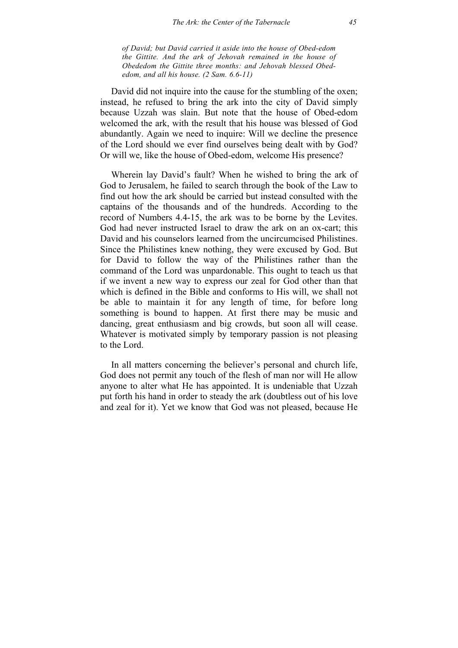*of David; but David carried it aside into the house of Obed-edom the Gittite. And the ark of Jehovah remained in the house of Obededom the Gittite three months: and Jehovah blessed Obededom, and all his house. (2 Sam. 6.6-11)* 

David did not inquire into the cause for the stumbling of the oxen; instead, he refused to bring the ark into the city of David simply because Uzzah was slain. But note that the house of Obed-edom welcomed the ark, with the result that his house was blessed of God abundantly. Again we need to inquire: Will we decline the presence of the Lord should we ever find ourselves being dealt with by God? Or will we, like the house of Obed-edom, welcome His presence?

Wherein lay David's fault? When he wished to bring the ark of God to Jerusalem, he failed to search through the book of the Law to find out how the ark should be carried but instead consulted with the captains of the thousands and of the hundreds. According to the record of Numbers 4.4-15, the ark was to be borne by the Levites. God had never instructed Israel to draw the ark on an ox-cart; this David and his counselors learned from the uncircumcised Philistines. Since the Philistines knew nothing, they were excused by God. But for David to follow the way of the Philistines rather than the command of the Lord was unpardonable. This ought to teach us that if we invent a new way to express our zeal for God other than that which is defined in the Bible and conforms to His will, we shall not be able to maintain it for any length of time, for before long something is bound to happen. At first there may be music and dancing, great enthusiasm and big crowds, but soon all will cease. Whatever is motivated simply by temporary passion is not pleasing to the Lord.

In all matters concerning the believer's personal and church life, God does not permit any touch of the flesh of man nor will He allow anyone to alter what He has appointed. It is undeniable that Uzzah put forth his hand in order to steady the ark (doubtless out of his love and zeal for it). Yet we know that God was not pleased, because He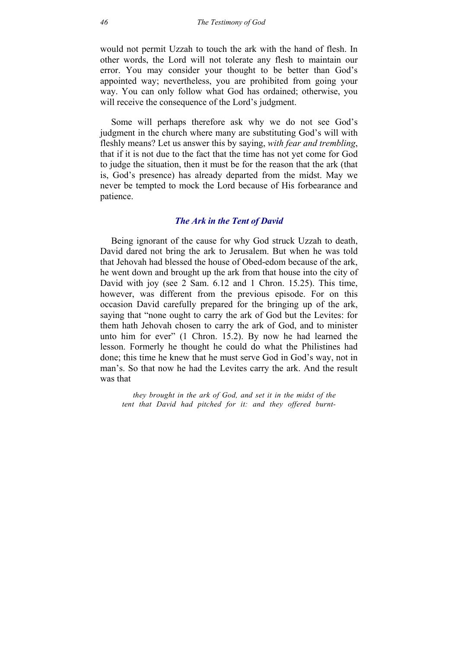would not permit Uzzah to touch the ark with the hand of flesh. In other words, the Lord will not tolerate any flesh to maintain our error. You may consider your thought to be better than God's appointed way; nevertheless, you are prohibited from going your way. You can only follow what God has ordained; otherwise, you will receive the consequence of the Lord's judgment.

Some will perhaps therefore ask why we do not see God's judgment in the church where many are substituting God's will with fleshly means? Let us answer this by saying, *with fear and trembling*, that if it is not due to the fact that the time has not yet come for God to judge the situation, then it must be for the reason that the ark (that is, God's presence) has already departed from the midst. May we never be tempted to mock the Lord because of His forbearance and patience.

# *The Ark in the Tent of David*

Being ignorant of the cause for why God struck Uzzah to death, David dared not bring the ark to Jerusalem. But when he was told that Jehovah had blessed the house of Obed-edom because of the ark, he went down and brought up the ark from that house into the city of David with joy (see 2 Sam. 6.12 and 1 Chron. 15.25). This time, however, was different from the previous episode. For on this occasion David carefully prepared for the bringing up of the ark, saying that "none ought to carry the ark of God but the Levites: for them hath Jehovah chosen to carry the ark of God, and to minister unto him for ever" (1 Chron. 15.2). By now he had learned the lesson. Formerly he thought he could do what the Philistines had done; this time he knew that he must serve God in God's way, not in man's. So that now he had the Levites carry the ark. And the result was that

*they brought in the ark of God, and set it in the midst of the tent that David had pitched for it: and they offered burnt-*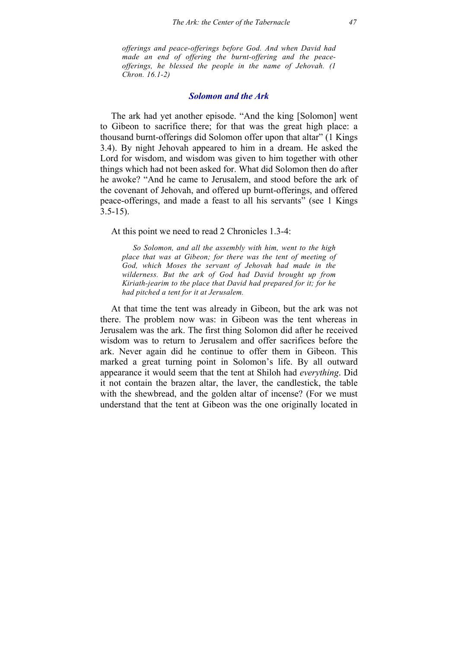*offerings and peace-offerings before God. And when David had made an end of offering the burnt-offering and the peaceofferings, he blessed the people in the name of Jehovah. (1 Chron. 16.1-2)* 

# *Solomon and the Ark*

The ark had yet another episode. "And the king [Solomon] went to Gibeon to sacrifice there; for that was the great high place: a thousand burnt-offerings did Solomon offer upon that altar" (1 Kings 3.4). By night Jehovah appeared to him in a dream. He asked the Lord for wisdom, and wisdom was given to him together with other things which had not been asked for. What did Solomon then do after he awoke? "And he came to Jerusalem, and stood before the ark of the covenant of Jehovah, and offered up burnt-offerings, and offered peace-offerings, and made a feast to all his servants" (see 1 Kings 3.5-15).

At this point we need to read 2 Chronicles 1.3-4:

*So Solomon, and all the assembly with him, went to the high place that was at Gibeon; for there was the tent of meeting of God, which Moses the servant of Jehovah had made in the wilderness. But the ark of God had David brought up from Kiriath-jearim to the place that David had prepared for it; for he had pitched a tent for it at Jerusalem.* 

At that time the tent was already in Gibeon, but the ark was not there. The problem now was: in Gibeon was the tent whereas in Jerusalem was the ark. The first thing Solomon did after he received wisdom was to return to Jerusalem and offer sacrifices before the ark. Never again did he continue to offer them in Gibeon. This marked a great turning point in Solomon's life. By all outward appearance it would seem that the tent at Shiloh had *everything*. Did it not contain the brazen altar, the laver, the candlestick, the table with the shewbread, and the golden altar of incense? (For we must understand that the tent at Gibeon was the one originally located in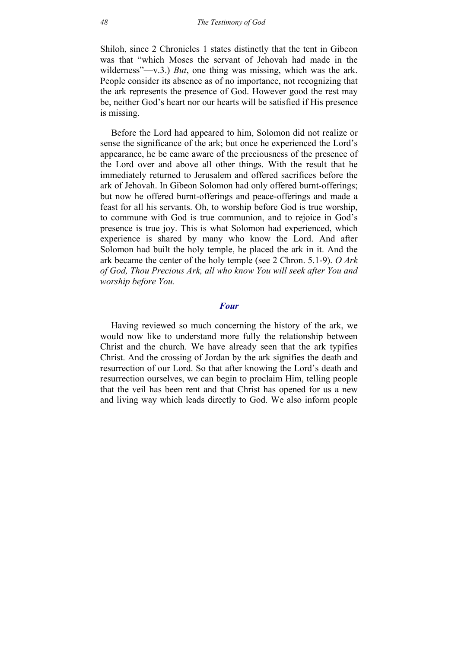Shiloh, since 2 Chronicles 1 states distinctly that the tent in Gibeon was that "which Moses the servant of Jehovah had made in the wilderness"—v.3.) *But*, one thing was missing, which was the ark. People consider its absence as of no importance, not recognizing that the ark represents the presence of God. However good the rest may be, neither God's heart nor our hearts will be satisfied if His presence is missing.

Before the Lord had appeared to him, Solomon did not realize or sense the significance of the ark; but once he experienced the Lord's appearance, he be came aware of the preciousness of the presence of the Lord over and above all other things. With the result that he immediately returned to Jerusalem and offered sacrifices before the ark of Jehovah. In Gibeon Solomon had only offered burnt-offerings; but now he offered burnt-offerings and peace-offerings and made a feast for all his servants. Oh, to worship before God is true worship, to commune with God is true communion, and to rejoice in God's presence is true joy. This is what Solomon had experienced, which experience is shared by many who know the Lord. And after Solomon had built the holy temple, he placed the ark in it. And the ark became the center of the holy temple (see 2 Chron. 5.1-9). *O Ark of God, Thou Precious Ark, all who know You will seek after You and worship before You.*

### *Four*

Having reviewed so much concerning the history of the ark, we would now like to understand more fully the relationship between Christ and the church. We have already seen that the ark typifies Christ. And the crossing of Jordan by the ark signifies the death and resurrection of our Lord. So that after knowing the Lord's death and resurrection ourselves, we can begin to proclaim Him, telling people that the veil has been rent and that Christ has opened for us a new and living way which leads directly to God. We also inform people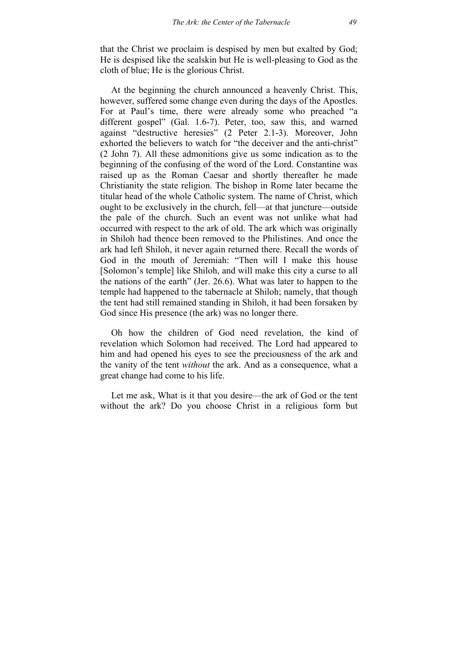that the Christ we proclaim is despised by men but exalted by God; He is despised like the sealskin but He is well-pleasing to God as the cloth of blue; He is the glorious Christ.

At the beginning the church announced a heavenly Christ. This, however, suffered some change even during the days of the Apostles. For at Paul's time, there were already some who preached "a different gospel" (Gal. 1.6-7). Peter, too, saw this, and warned against "destructive heresies" (2 Peter 2.1-3). Moreover, John exhorted the believers to watch for "the deceiver and the anti-christ" (2 John 7). All these admonitions give us some indication as to the beginning of the confusing of the word of the Lord. Constantine was raised up as the Roman Caesar and shortly thereafter he made Christianity the state religion. The bishop in Rome later became the titular head of the whole Catholic system. The name of Christ, which ought to be exclusively in the church, fell—at that juncture—outside the pale of the church. Such an event was not unlike what had occurred with respect to the ark of old. The ark which was originally in Shiloh had thence been removed to the Philistines. And once the ark had left Shiloh, it never again returned there. Recall the words of God in the mouth of Jeremiah: "Then will I make this house [Solomon's temple] like Shiloh, and will make this city a curse to all the nations of the earth" (Jer. 26.6). What was later to happen to the temple had happened to the tabernacle at Shiloh; namely, that though the tent had still remained standing in Shiloh, it had been forsaken by God since His presence (the ark) was no longer there.

Oh how the children of God need revelation, the kind of revelation which Solomon had received. The Lord had appeared to him and had opened his eyes to see the preciousness of the ark and the vanity of the tent *without* the ark. And as a consequence, what a great change had come to his life.

Let me ask, What is it that you desire—the ark of God or the tent without the ark? Do you choose Christ in a religious form but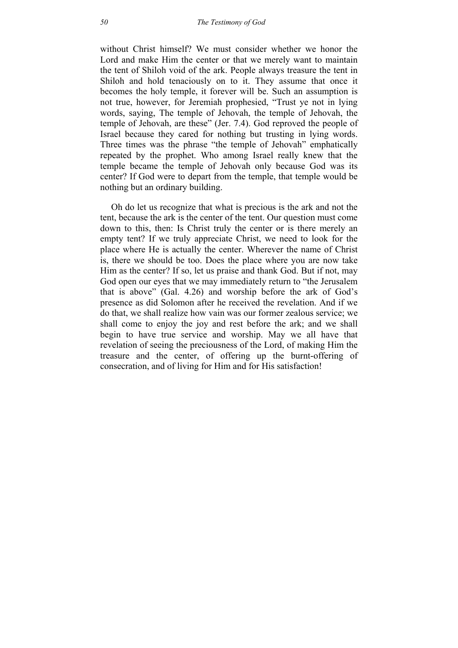without Christ himself? We must consider whether we honor the Lord and make Him the center or that we merely want to maintain the tent of Shiloh void of the ark. People always treasure the tent in Shiloh and hold tenaciously on to it. They assume that once it becomes the holy temple, it forever will be. Such an assumption is not true, however, for Jeremiah prophesied, "Trust ye not in lying words, saying, The temple of Jehovah, the temple of Jehovah, the temple of Jehovah, are these" (Jer. 7.4). God reproved the people of Israel because they cared for nothing but trusting in lying words. Three times was the phrase "the temple of Jehovah" emphatically repeated by the prophet. Who among Israel really knew that the temple became the temple of Jehovah only because God was its center? If God were to depart from the temple, that temple would be nothing but an ordinary building.

Oh do let us recognize that what is precious is the ark and not the tent, because the ark is the center of the tent. Our question must come down to this, then: Is Christ truly the center or is there merely an empty tent? If we truly appreciate Christ, we need to look for the place where He is actually the center. Wherever the name of Christ is, there we should be too. Does the place where you are now take Him as the center? If so, let us praise and thank God. But if not, may God open our eyes that we may immediately return to "the Jerusalem that is above" (Gal. 4.26) and worship before the ark of God's presence as did Solomon after he received the revelation. And if we do that, we shall realize how vain was our former zealous service; we shall come to enjoy the joy and rest before the ark; and we shall begin to have true service and worship. May we all have that revelation of seeing the preciousness of the Lord, of making Him the treasure and the center, of offering up the burnt-offering of consecration, and of living for Him and for His satisfaction!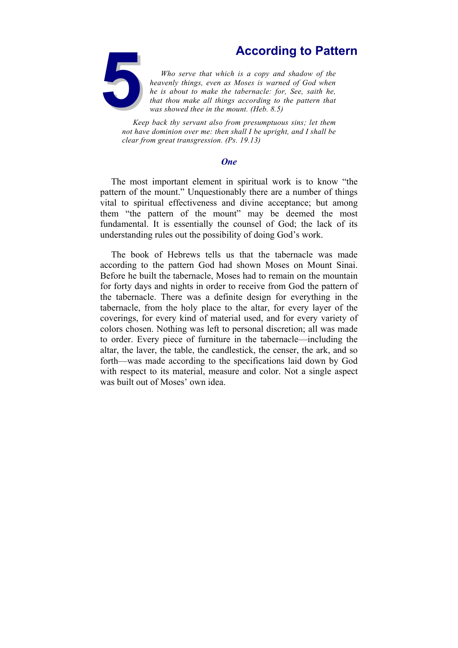

**5According to Pattern**  *Who serve that which is a copy and shadow of the heavenly things, even as Moses is warned of God when he is about to make the tabernacle: for, See, saith he, that thou make all things according to the pattern that was showed thee in the mount. (Heb. 8.5)*

*Keep back thy servant also from presumptuous sins; let them not have dominion over me: then shall I be upright, and I shall be clear from great transgression. (Ps. 19.13)*

### *One*

The most important element in spiritual work is to know "the pattern of the mount." Unquestionably there are a number of things vital to spiritual effectiveness and divine acceptance; but among them "the pattern of the mount" may be deemed the most fundamental. It is essentially the counsel of God; the lack of its understanding rules out the possibility of doing God's work.

The book of Hebrews tells us that the tabernacle was made according to the pattern God had shown Moses on Mount Sinai. Before he built the tabernacle, Moses had to remain on the mountain for forty days and nights in order to receive from God the pattern of the tabernacle. There was a definite design for everything in the tabernacle, from the holy place to the altar, for every layer of the coverings, for every kind of material used, and for every variety of colors chosen. Nothing was left to personal discretion; all was made to order. Every piece of furniture in the tabernacle—including the altar, the laver, the table, the candlestick, the censer, the ark, and so forth—was made according to the specifications laid down by God with respect to its material, measure and color. Not a single aspect was built out of Moses' own idea.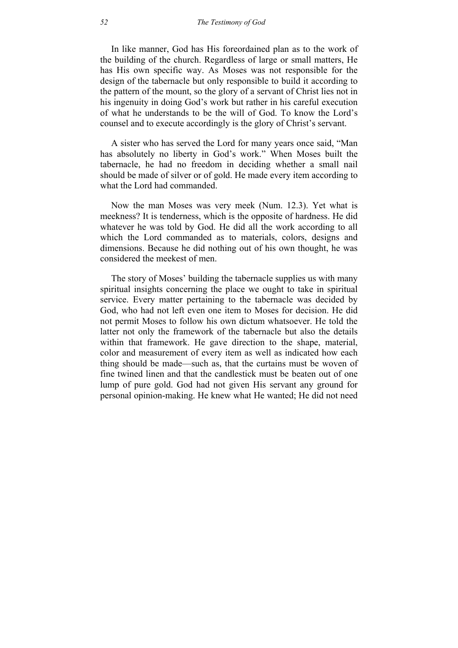In like manner, God has His foreordained plan as to the work of the building of the church. Regardless of large or small matters, He has His own specific way. As Moses was not responsible for the design of the tabernacle but only responsible to build it according to the pattern of the mount, so the glory of a servant of Christ lies not in his ingenuity in doing God's work but rather in his careful execution of what he understands to be the will of God. To know the Lord's counsel and to execute accordingly is the glory of Christ's servant.

A sister who has served the Lord for many years once said, "Man has absolutely no liberty in God's work." When Moses built the tabernacle, he had no freedom in deciding whether a small nail should be made of silver or of gold. He made every item according to what the Lord had commanded.

Now the man Moses was very meek (Num. 12.3). Yet what is meekness? It is tenderness, which is the opposite of hardness. He did whatever he was told by God. He did all the work according to all which the Lord commanded as to materials, colors, designs and dimensions. Because he did nothing out of his own thought, he was considered the meekest of men.

The story of Moses' building the tabernacle supplies us with many spiritual insights concerning the place we ought to take in spiritual service. Every matter pertaining to the tabernacle was decided by God, who had not left even one item to Moses for decision. He did not permit Moses to follow his own dictum whatsoever. He told the latter not only the framework of the tabernacle but also the details within that framework. He gave direction to the shape, material, color and measurement of every item as well as indicated how each thing should be made—such as, that the curtains must be woven of fine twined linen and that the candlestick must be beaten out of one lump of pure gold. God had not given His servant any ground for personal opinion-making. He knew what He wanted; He did not need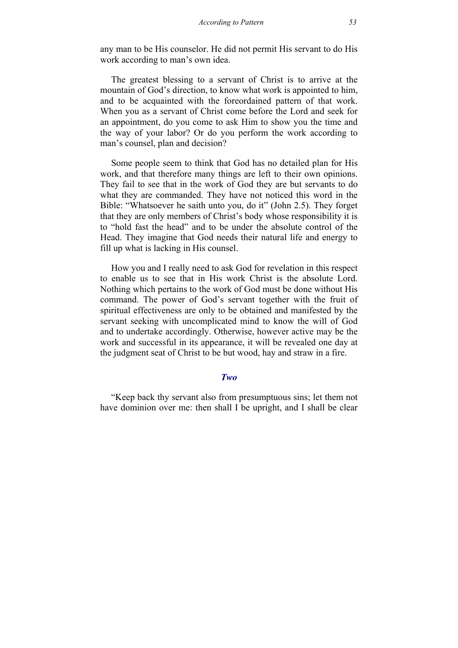any man to be His counselor. He did not permit His servant to do His work according to man's own idea.

The greatest blessing to a servant of Christ is to arrive at the mountain of God's direction, to know what work is appointed to him, and to be acquainted with the foreordained pattern of that work. When you as a servant of Christ come before the Lord and seek for an appointment, do you come to ask Him to show you the time and the way of your labor? Or do you perform the work according to man's counsel, plan and decision?

Some people seem to think that God has no detailed plan for His work, and that therefore many things are left to their own opinions. They fail to see that in the work of God they are but servants to do what they are commanded. They have not noticed this word in the Bible: "Whatsoever he saith unto you, do it" (John 2.5). They forget that they are only members of Christ's body whose responsibility it is to "hold fast the head" and to be under the absolute control of the Head. They imagine that God needs their natural life and energy to fill up what is lacking in His counsel.

How you and I really need to ask God for revelation in this respect to enable us to see that in His work Christ is the absolute Lord. Nothing which pertains to the work of God must be done without His command. The power of God's servant together with the fruit of spiritual effectiveness are only to be obtained and manifested by the servant seeking with uncomplicated mind to know the will of God and to undertake accordingly. Otherwise, however active may be the work and successful in its appearance, it will be revealed one day at the judgment seat of Christ to be but wood, hay and straw in a fire.

### *Two*

"Keep back thy servant also from presumptuous sins; let them not have dominion over me: then shall I be upright, and I shall be clear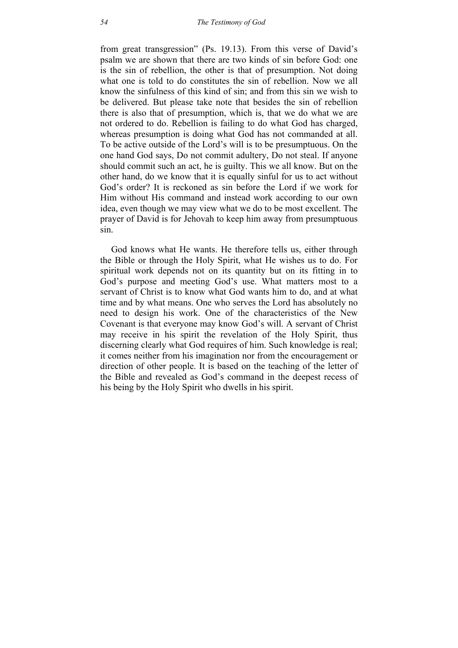from great transgression" (Ps. 19.13). From this verse of David's psalm we are shown that there are two kinds of sin before God: one is the sin of rebellion, the other is that of presumption. Not doing what one is told to do constitutes the sin of rebellion. Now we all know the sinfulness of this kind of sin; and from this sin we wish to be delivered. But please take note that besides the sin of rebellion there is also that of presumption, which is, that we do what we are not ordered to do. Rebellion is failing to do what God has charged, whereas presumption is doing what God has not commanded at all. To be active outside of the Lord's will is to be presumptuous. On the one hand God says, Do not commit adultery, Do not steal. If anyone should commit such an act, he is guilty. This we all know. But on the other hand, do we know that it is equally sinful for us to act without God's order? It is reckoned as sin before the Lord if we work for Him without His command and instead work according to our own idea, even though we may view what we do to be most excellent. The prayer of David is for Jehovah to keep him away from presumptuous sin.

God knows what He wants. He therefore tells us, either through the Bible or through the Holy Spirit, what He wishes us to do. For spiritual work depends not on its quantity but on its fitting in to God's purpose and meeting God's use. What matters most to a servant of Christ is to know what God wants him to do, and at what time and by what means. One who serves the Lord has absolutely no need to design his work. One of the characteristics of the New Covenant is that everyone may know God's will. A servant of Christ may receive in his spirit the revelation of the Holy Spirit, thus discerning clearly what God requires of him. Such knowledge is real; it comes neither from his imagination nor from the encouragement or direction of other people. It is based on the teaching of the letter of the Bible and revealed as God's command in the deepest recess of his being by the Holy Spirit who dwells in his spirit.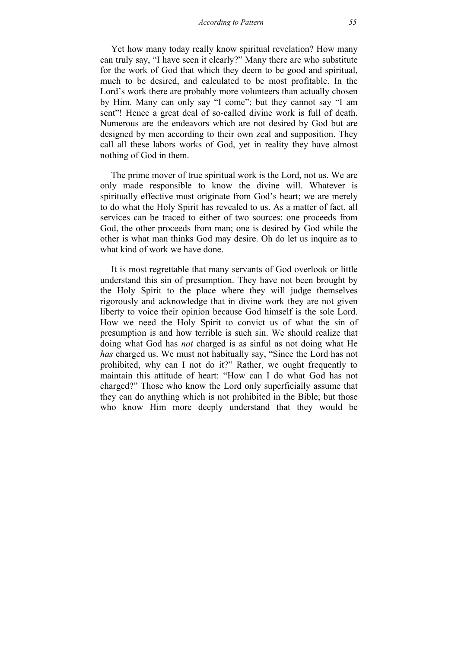Yet how many today really know spiritual revelation? How many can truly say, "I have seen it clearly?" Many there are who substitute for the work of God that which they deem to be good and spiritual, much to be desired, and calculated to be most profitable. In the Lord's work there are probably more volunteers than actually chosen by Him. Many can only say "I come"; but they cannot say "I am sent"! Hence a great deal of so-called divine work is full of death. Numerous are the endeavors which are not desired by God but are designed by men according to their own zeal and supposition. They call all these labors works of God, yet in reality they have almost nothing of God in them.

The prime mover of true spiritual work is the Lord, not us. We are only made responsible to know the divine will. Whatever is spiritually effective must originate from God's heart; we are merely to do what the Holy Spirit has revealed to us. As a matter of fact, all services can be traced to either of two sources: one proceeds from God, the other proceeds from man; one is desired by God while the other is what man thinks God may desire. Oh do let us inquire as to what kind of work we have done.

It is most regrettable that many servants of God overlook or little understand this sin of presumption. They have not been brought by the Holy Spirit to the place where they will judge themselves rigorously and acknowledge that in divine work they are not given liberty to voice their opinion because God himself is the sole Lord. How we need the Holy Spirit to convict us of what the sin of presumption is and how terrible is such sin. We should realize that doing what God has *not* charged is as sinful as not doing what He *has* charged us. We must not habitually say, "Since the Lord has not prohibited, why can I not do it?" Rather, we ought frequently to maintain this attitude of heart: "How can I do what God has not charged?" Those who know the Lord only superficially assume that they can do anything which is not prohibited in the Bible; but those who know Him more deeply understand that they would be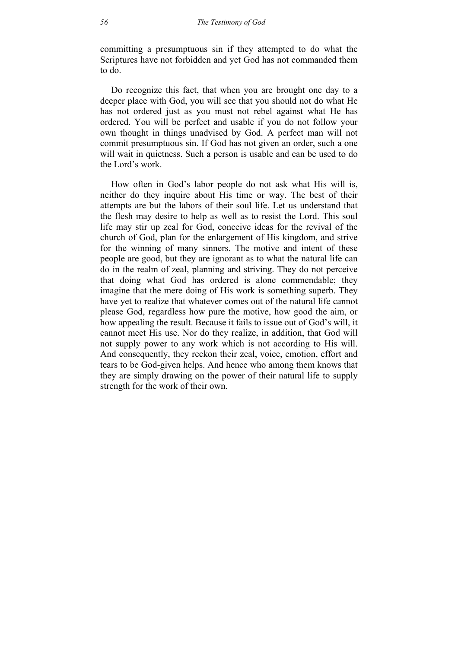committing a presumptuous sin if they attempted to do what the Scriptures have not forbidden and yet God has not commanded them to do.

Do recognize this fact, that when you are brought one day to a deeper place with God, you will see that you should not do what He has not ordered just as you must not rebel against what He has ordered. You will be perfect and usable if you do not follow your own thought in things unadvised by God. A perfect man will not commit presumptuous sin. If God has not given an order, such a one will wait in quietness. Such a person is usable and can be used to do the Lord's work.

How often in God's labor people do not ask what His will is, neither do they inquire about His time or way. The best of their attempts are but the labors of their soul life. Let us understand that the flesh may desire to help as well as to resist the Lord. This soul life may stir up zeal for God, conceive ideas for the revival of the church of God, plan for the enlargement of His kingdom, and strive for the winning of many sinners. The motive and intent of these people are good, but they are ignorant as to what the natural life can do in the realm of zeal, planning and striving. They do not perceive that doing what God has ordered is alone commendable; they imagine that the mere doing of His work is something superb. They have yet to realize that whatever comes out of the natural life cannot please God, regardless how pure the motive, how good the aim, or how appealing the result. Because it fails to issue out of God's will, it cannot meet His use. Nor do they realize, in addition, that God will not supply power to any work which is not according to His will. And consequently, they reckon their zeal, voice, emotion, effort and tears to be God-given helps. And hence who among them knows that they are simply drawing on the power of their natural life to supply strength for the work of their own.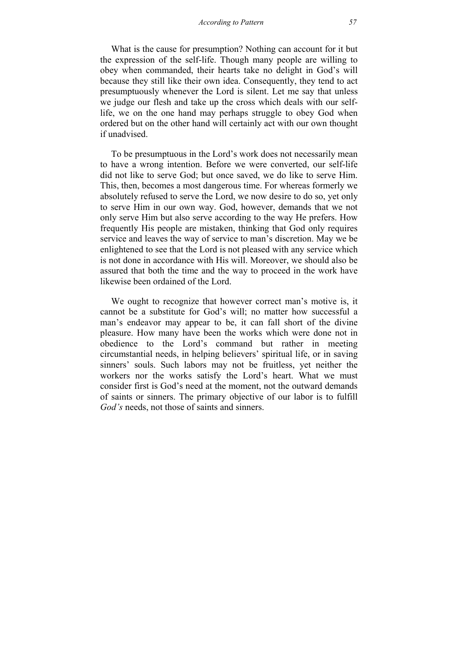What is the cause for presumption? Nothing can account for it but the expression of the self-life. Though many people are willing to obey when commanded, their hearts take no delight in God's will because they still like their own idea. Consequently, they tend to act presumptuously whenever the Lord is silent. Let me say that unless we judge our flesh and take up the cross which deals with our selflife, we on the one hand may perhaps struggle to obey God when ordered but on the other hand will certainly act with our own thought if unadvised.

To be presumptuous in the Lord's work does not necessarily mean to have a wrong intention. Before we were converted, our self-life did not like to serve God; but once saved, we do like to serve Him. This, then, becomes a most dangerous time. For whereas formerly we absolutely refused to serve the Lord, we now desire to do so, yet only to serve Him in our own way. God, however, demands that we not only serve Him but also serve according to the way He prefers. How frequently His people are mistaken, thinking that God only requires service and leaves the way of service to man's discretion. May we be enlightened to see that the Lord is not pleased with any service which is not done in accordance with His will. Moreover, we should also be assured that both the time and the way to proceed in the work have likewise been ordained of the Lord.

We ought to recognize that however correct man's motive is, it cannot be a substitute for God's will; no matter how successful a man's endeavor may appear to be, it can fall short of the divine pleasure. How many have been the works which were done not in obedience to the Lord's command but rather in meeting circumstantial needs, in helping believers' spiritual life, or in saving sinners' souls. Such labors may not be fruitless, yet neither the workers nor the works satisfy the Lord's heart. What we must consider first is God's need at the moment, not the outward demands of saints or sinners. The primary objective of our labor is to fulfill *God's* needs, not those of saints and sinners.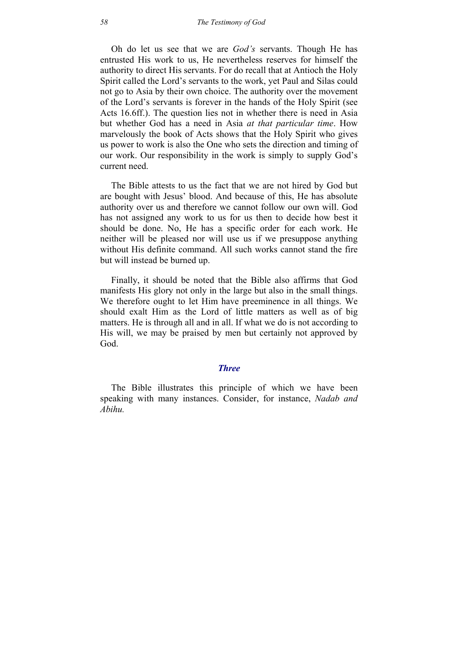Oh do let us see that we are *God's* servants. Though He has entrusted His work to us, He nevertheless reserves for himself the authority to direct His servants. For do recall that at Antioch the Holy Spirit called the Lord's servants to the work, yet Paul and Silas could not go to Asia by their own choice. The authority over the movement of the Lord's servants is forever in the hands of the Holy Spirit (see Acts 16.6ff.). The question lies not in whether there is need in Asia but whether God has a need in Asia *at that particular time*. How marvelously the book of Acts shows that the Holy Spirit who gives us power to work is also the One who sets the direction and timing of our work. Our responsibility in the work is simply to supply God's current need.

The Bible attests to us the fact that we are not hired by God but are bought with Jesus' blood. And because of this, He has absolute authority over us and therefore we cannot follow our own will. God has not assigned any work to us for us then to decide how best it should be done. No, He has a specific order for each work. He neither will be pleased nor will use us if we presuppose anything without His definite command. All such works cannot stand the fire but will instead be burned up.

Finally, it should be noted that the Bible also affirms that God manifests His glory not only in the large but also in the small things. We therefore ought to let Him have preeminence in all things. We should exalt Him as the Lord of little matters as well as of big matters. He is through all and in all. If what we do is not according to His will, we may be praised by men but certainly not approved by God.

# *Three*

The Bible illustrates this principle of which we have been speaking with many instances. Consider, for instance, *Nadab and Abihu.*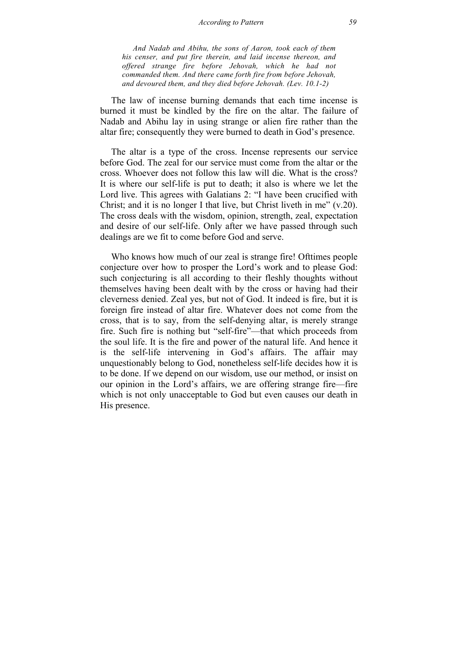*And Nadab and Abihu, the sons of Aaron, took each of them his censer, and put fire therein, and laid incense thereon, and offered strange fire before Jehovah, which he had not commanded them. And there came forth fire from before Jehovah, and devoured them, and they died before Jehovah. (Lev. 10.1-2)* 

The law of incense burning demands that each time incense is burned it must be kindled by the fire on the altar. The failure of Nadab and Abihu lay in using strange or alien fire rather than the altar fire; consequently they were burned to death in God's presence.

The altar is a type of the cross. Incense represents our service before God. The zeal for our service must come from the altar or the cross. Whoever does not follow this law will die. What is the cross? It is where our self-life is put to death; it also is where we let the Lord live. This agrees with Galatians 2: "I have been crucified with Christ; and it is no longer I that live, but Christ liveth in me" (v.20). The cross deals with the wisdom, opinion, strength, zeal, expectation and desire of our self-life. Only after we have passed through such dealings are we fit to come before God and serve.

Who knows how much of our zeal is strange fire! Ofttimes people conjecture over how to prosper the Lord's work and to please God: such conjecturing is all according to their fleshly thoughts without themselves having been dealt with by the cross or having had their cleverness denied. Zeal yes, but not of God. It indeed is fire, but it is foreign fire instead of altar fire. Whatever does not come from the cross, that is to say, from the self-denying altar, is merely strange fire. Such fire is nothing but "self-fire"—that which proceeds from the soul life. It is the fire and power of the natural life. And hence it is the self-life intervening in God's affairs. The affair may unquestionably belong to God, nonetheless self-life decides how it is to be done. If we depend on our wisdom, use our method, or insist on our opinion in the Lord's affairs, we are offering strange fire—fire which is not only unacceptable to God but even causes our death in His presence.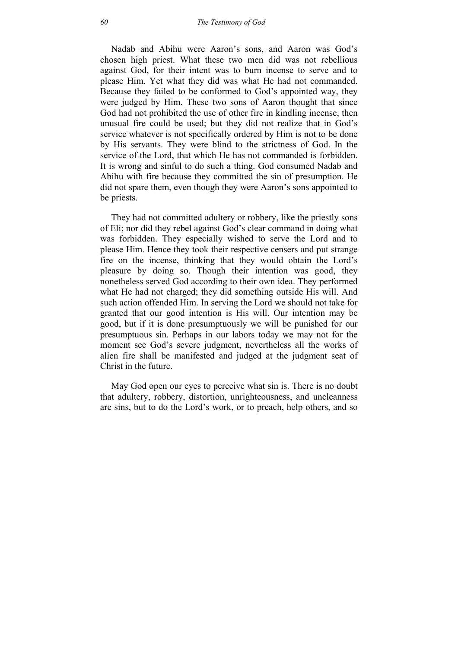Nadab and Abihu were Aaron's sons, and Aaron was God's chosen high priest. What these two men did was not rebellious against God, for their intent was to burn incense to serve and to please Him. Yet what they did was what He had not commanded. Because they failed to be conformed to God's appointed way, they were judged by Him. These two sons of Aaron thought that since God had not prohibited the use of other fire in kindling incense, then unusual fire could be used; but they did not realize that in God's service whatever is not specifically ordered by Him is not to be done by His servants. They were blind to the strictness of God. In the service of the Lord, that which He has not commanded is forbidden. It is wrong and sinful to do such a thing. God consumed Nadab and Abihu with fire because they committed the sin of presumption. He did not spare them, even though they were Aaron's sons appointed to be priests.

They had not committed adultery or robbery, like the priestly sons of Eli; nor did they rebel against God's clear command in doing what was forbidden. They especially wished to serve the Lord and to please Him. Hence they took their respective censers and put strange fire on the incense, thinking that they would obtain the Lord's pleasure by doing so. Though their intention was good, they nonetheless served God according to their own idea. They performed what He had not charged; they did something outside His will. And such action offended Him. In serving the Lord we should not take for granted that our good intention is His will. Our intention may be good, but if it is done presumptuously we will be punished for our presumptuous sin. Perhaps in our labors today we may not for the moment see God's severe judgment, nevertheless all the works of alien fire shall be manifested and judged at the judgment seat of Christ in the future.

May God open our eyes to perceive what sin is. There is no doubt that adultery, robbery, distortion, unrighteousness, and uncleanness are sins, but to do the Lord's work, or to preach, help others, and so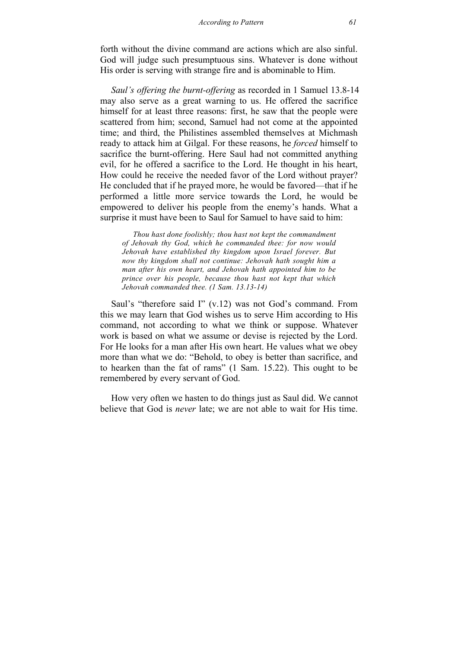forth without the divine command are actions which are also sinful. God will judge such presumptuous sins. Whatever is done without His order is serving with strange fire and is abominable to Him.

*Saul's offering the burnt-offering* as recorded in 1 Samuel 13.8-14 may also serve as a great warning to us. He offered the sacrifice himself for at least three reasons: first, he saw that the people were scattered from him; second, Samuel had not come at the appointed time; and third, the Philistines assembled themselves at Michmash ready to attack him at Gilgal. For these reasons, he *forced* himself to sacrifice the burnt-offering. Here Saul had not committed anything evil, for he offered a sacrifice to the Lord. He thought in his heart, How could he receive the needed favor of the Lord without prayer? He concluded that if he prayed more, he would be favored—that if he performed a little more service towards the Lord, he would be empowered to deliver his people from the enemy's hands. What a surprise it must have been to Saul for Samuel to have said to him:

*Thou hast done foolishly; thou hast not kept the commandment of Jehovah thy God, which he commanded thee: for now would Jehovah have established thy kingdom upon Israel forever. But now thy kingdom shall not continue: Jehovah hath sought him a man after his own heart, and Jehovah hath appointed him to be prince over his people, because thou hast not kept that which Jehovah commanded thee. (1 Sam. 13.13-14)* 

Saul's "therefore said I" (v.12) was not God's command. From this we may learn that God wishes us to serve Him according to His command, not according to what we think or suppose. Whatever work is based on what we assume or devise is rejected by the Lord. For He looks for a man after His own heart. He values what we obey more than what we do: "Behold, to obey is better than sacrifice, and to hearken than the fat of rams" (1 Sam. 15.22). This ought to be remembered by every servant of God.

How very often we hasten to do things just as Saul did. We cannot believe that God is *never* late; we are not able to wait for His time.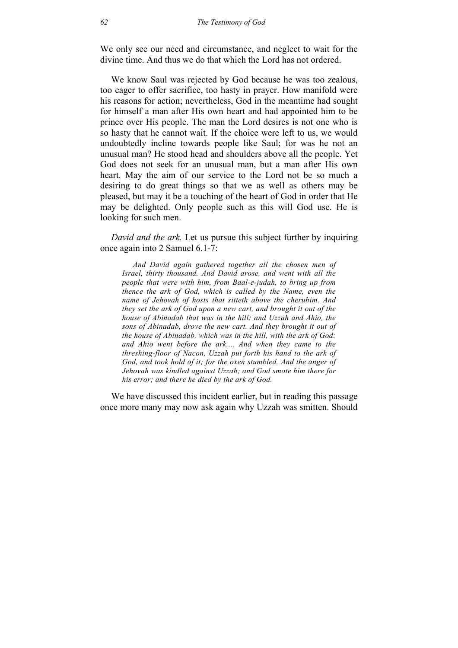We only see our need and circumstance, and neglect to wait for the divine time. And thus we do that which the Lord has not ordered.

We know Saul was rejected by God because he was too zealous, too eager to offer sacrifice, too hasty in prayer. How manifold were his reasons for action; nevertheless, God in the meantime had sought for himself a man after His own heart and had appointed him to be prince over His people. The man the Lord desires is not one who is so hasty that he cannot wait. If the choice were left to us, we would undoubtedly incline towards people like Saul; for was he not an unusual man? He stood head and shoulders above all the people. Yet God does not seek for an unusual man, but a man after His own heart. May the aim of our service to the Lord not be so much a desiring to do great things so that we as well as others may be pleased, but may it be a touching of the heart of God in order that He may be delighted. Only people such as this will God use. He is looking for such men.

*David and the ark.* Let us pursue this subject further by inquiring once again into 2 Samuel 6.1-7:

*And David again gathered together all the chosen men of Israel, thirty thousand. And David arose, and went with all the people that were with him, from Baal-e-judah, to bring up from thence the ark of God, which is called by the Name, even the name of Jehovah of hosts that sitteth above the cherubim. And they set the ark of God upon a new cart, and brought it out of the house of Abinadab that was in the hill: and Uzzah and Ahio, the sons of Abinadab, drove the new cart. And they brought it out of the house of Abinadab, which was in the hill, with the ark of God: and Ahio went before the ark.... And when they came to the threshing-floor of Nacon, Uzzah put forth his hand to the ark of God, and took hold of it; for the oxen stumbled. And the anger of Jehovah was kindled against Uzzah; and God smote him there for his error; and there he died by the ark of God.* 

We have discussed this incident earlier, but in reading this passage once more many may now ask again why Uzzah was smitten. Should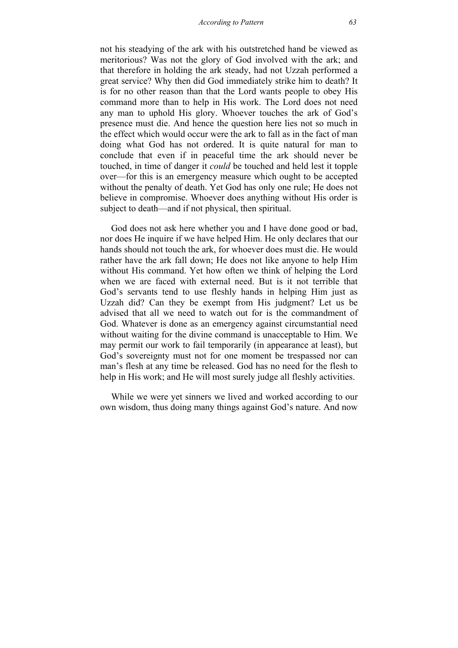not his steadying of the ark with his outstretched hand be viewed as meritorious? Was not the glory of God involved with the ark; and that therefore in holding the ark steady, had not Uzzah performed a great service? Why then did God immediately strike him to death? It is for no other reason than that the Lord wants people to obey His command more than to help in His work. The Lord does not need any man to uphold His glory. Whoever touches the ark of God's presence must die. And hence the question here lies not so much in the effect which would occur were the ark to fall as in the fact of man doing what God has not ordered. It is quite natural for man to conclude that even if in peaceful time the ark should never be touched, in time of danger it *could* be touched and held lest it topple over—for this is an emergency measure which ought to be accepted without the penalty of death. Yet God has only one rule; He does not believe in compromise. Whoever does anything without His order is subject to death—and if not physical, then spiritual.

God does not ask here whether you and I have done good or bad, nor does He inquire if we have helped Him. He only declares that our hands should not touch the ark, for whoever does must die. He would rather have the ark fall down; He does not like anyone to help Him without His command. Yet how often we think of helping the Lord when we are faced with external need. But is it not terrible that God's servants tend to use fleshly hands in helping Him just as Uzzah did? Can they be exempt from His judgment? Let us be advised that all we need to watch out for is the commandment of God. Whatever is done as an emergency against circumstantial need without waiting for the divine command is unacceptable to Him. We may permit our work to fail temporarily (in appearance at least), but God's sovereignty must not for one moment be trespassed nor can man's flesh at any time be released. God has no need for the flesh to help in His work; and He will most surely judge all fleshly activities.

While we were yet sinners we lived and worked according to our own wisdom, thus doing many things against God's nature. And now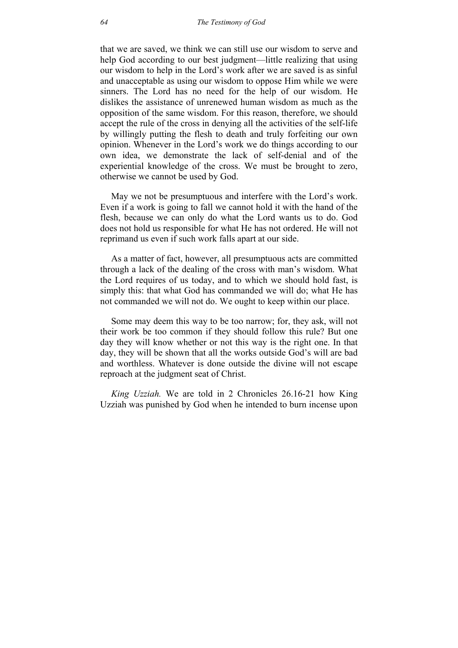that we are saved, we think we can still use our wisdom to serve and help God according to our best judgment—little realizing that using our wisdom to help in the Lord's work after we are saved is as sinful and unacceptable as using our wisdom to oppose Him while we were sinners. The Lord has no need for the help of our wisdom. He dislikes the assistance of unrenewed human wisdom as much as the opposition of the same wisdom. For this reason, therefore, we should accept the rule of the cross in denying all the activities of the self-life by willingly putting the flesh to death and truly forfeiting our own opinion. Whenever in the Lord's work we do things according to our own idea, we demonstrate the lack of self-denial and of the experiential knowledge of the cross. We must be brought to zero, otherwise we cannot be used by God.

May we not be presumptuous and interfere with the Lord's work. Even if a work is going to fall we cannot hold it with the hand of the flesh, because we can only do what the Lord wants us to do. God does not hold us responsible for what He has not ordered. He will not reprimand us even if such work falls apart at our side.

As a matter of fact, however, all presumptuous acts are committed through a lack of the dealing of the cross with man's wisdom. What the Lord requires of us today, and to which we should hold fast, is simply this: that what God has commanded we will do; what He has not commanded we will not do. We ought to keep within our place.

Some may deem this way to be too narrow; for, they ask, will not their work be too common if they should follow this rule? But one day they will know whether or not this way is the right one. In that day, they will be shown that all the works outside God's will are bad and worthless. Whatever is done outside the divine will not escape reproach at the judgment seat of Christ.

*King Uzziah.* We are told in 2 Chronicles 26.16-21 how King Uzziah was punished by God when he intended to burn incense upon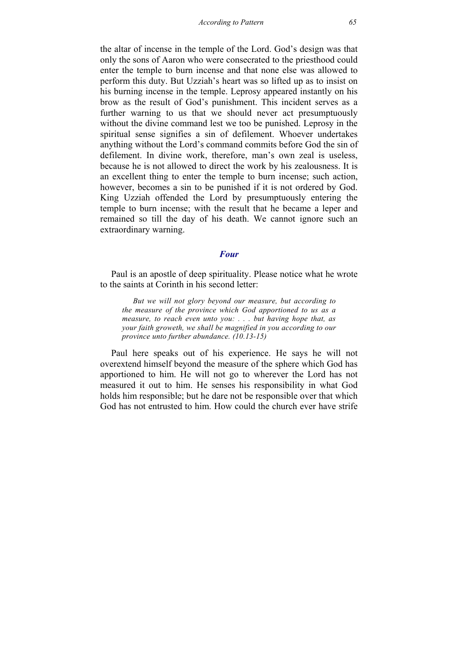the altar of incense in the temple of the Lord. God's design was that only the sons of Aaron who were consecrated to the priesthood could enter the temple to burn incense and that none else was allowed to perform this duty. But Uzziah's heart was so lifted up as to insist on his burning incense in the temple. Leprosy appeared instantly on his brow as the result of God's punishment. This incident serves as a further warning to us that we should never act presumptuously without the divine command lest we too be punished. Leprosy in the spiritual sense signifies a sin of defilement. Whoever undertakes anything without the Lord's command commits before God the sin of defilement. In divine work, therefore, man's own zeal is useless, because he is not allowed to direct the work by his zealousness. It is an excellent thing to enter the temple to burn incense; such action, however, becomes a sin to be punished if it is not ordered by God. King Uzziah offended the Lord by presumptuously entering the temple to burn incense; with the result that he became a leper and remained so till the day of his death. We cannot ignore such an extraordinary warning.

## *Four*

Paul is an apostle of deep spirituality. Please notice what he wrote to the saints at Corinth in his second letter:

*But we will not glory beyond our measure, but according to the measure of the province which God apportioned to us as a measure, to reach even unto you: . . . but having hope that, as your faith groweth, we shall be magnified in you according to our province unto further abundance. (10.13-15)* 

Paul here speaks out of his experience. He says he will not overextend himself beyond the measure of the sphere which God has apportioned to him. He will not go to wherever the Lord has not measured it out to him. He senses his responsibility in what God holds him responsible; but he dare not be responsible over that which God has not entrusted to him. How could the church ever have strife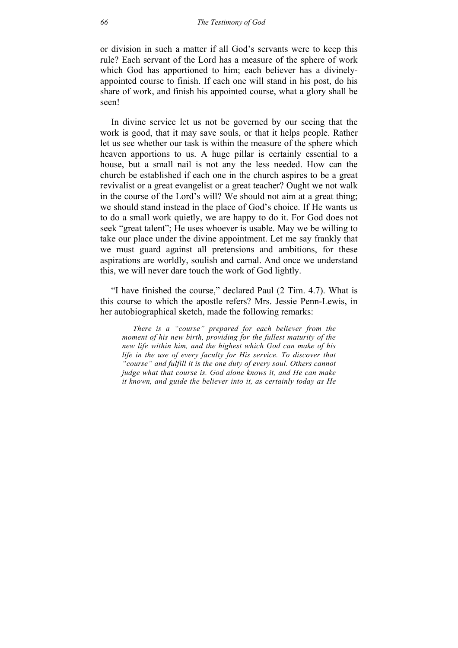or division in such a matter if all God's servants were to keep this rule? Each servant of the Lord has a measure of the sphere of work which God has apportioned to him; each believer has a divinelyappointed course to finish. If each one will stand in his post, do his share of work, and finish his appointed course, what a glory shall be seen!

In divine service let us not be governed by our seeing that the work is good, that it may save souls, or that it helps people. Rather let us see whether our task is within the measure of the sphere which heaven apportions to us. A huge pillar is certainly essential to a house, but a small nail is not any the less needed. How can the church be established if each one in the church aspires to be a great revivalist or a great evangelist or a great teacher? Ought we not walk in the course of the Lord's will? We should not aim at a great thing; we should stand instead in the place of God's choice. If He wants us to do a small work quietly, we are happy to do it. For God does not seek "great talent"; He uses whoever is usable. May we be willing to take our place under the divine appointment. Let me say frankly that we must guard against all pretensions and ambitions, for these aspirations are worldly, soulish and carnal. And once we understand this, we will never dare touch the work of God lightly.

"I have finished the course," declared Paul (2 Tim. 4.7). What is this course to which the apostle refers? Mrs. Jessie Penn-Lewis, in her autobiographical sketch, made the following remarks:

*There is a "course" prepared for each believer from the moment of his new birth, providing for the fullest maturity of the new life within him, and the highest which God can make of his life in the use of every faculty for His service. To discover that "course" and fulfill it is the one duty of every soul. Others cannot judge what that course is. God alone knows it, and He can make it known, and guide the believer into it, as certainly today as He*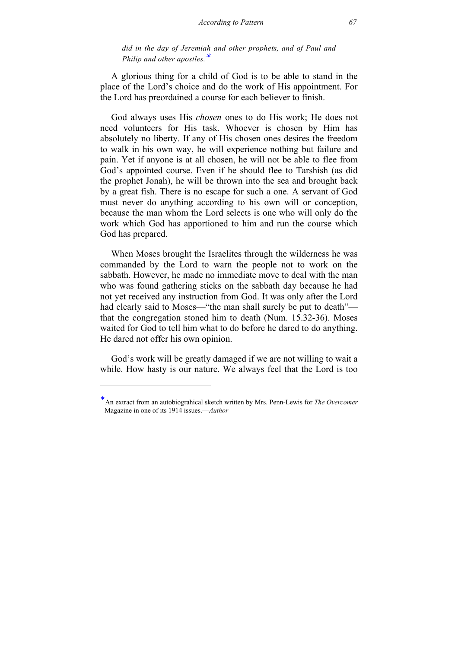*did in the day of Jeremiah and other prophets, and of Paul and Philip and other apostles.*<sup>∗</sup>

A glorious thing for a child of God is to be able to stand in the place of the Lord's choice and do the work of His appointment. For the Lord has preordained a course for each believer to finish.

God always uses His *chosen* ones to do His work; He does not need volunteers for His task. Whoever is chosen by Him has absolutely no liberty. If any of His chosen ones desires the freedom to walk in his own way, he will experience nothing but failure and pain. Yet if anyone is at all chosen, he will not be able to flee from God's appointed course. Even if he should flee to Tarshish (as did the prophet Jonah), he will be thrown into the sea and brought back by a great fish. There is no escape for such a one. A servant of God must never do anything according to his own will or conception, because the man whom the Lord selects is one who will only do the work which God has apportioned to him and run the course which God has prepared.

When Moses brought the Israelites through the wilderness he was commanded by the Lord to warn the people not to work on the sabbath. However, he made no immediate move to deal with the man who was found gathering sticks on the sabbath day because he had not yet received any instruction from God. It was only after the Lord had clearly said to Moses—"the man shall surely be put to death" that the congregation stoned him to death (Num. 15.32-36). Moses waited for God to tell him what to do before he dared to do anything. He dared not offer his own opinion.

God's work will be greatly damaged if we are not willing to wait a while. How hasty is our nature. We always feel that the Lord is too

1

<sup>∗</sup> An extract from an autobiograhical sketch written by Mrs. Penn-Lewis for *The Overcomer* Magazine in one of its 1914 issues.—*Author*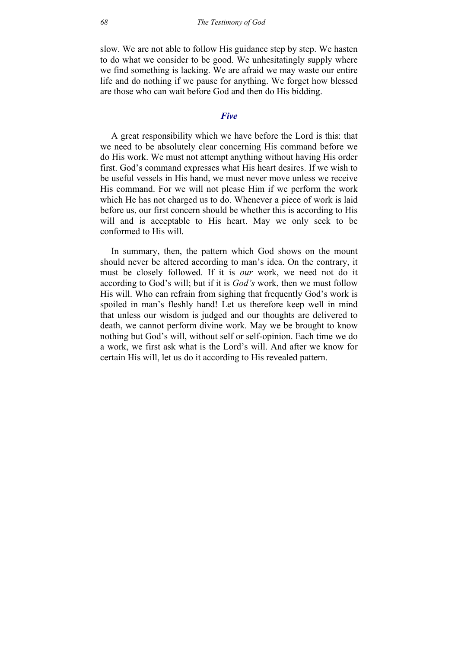slow. We are not able to follow His guidance step by step. We hasten to do what we consider to be good. We unhesitatingly supply where we find something is lacking. We are afraid we may waste our entire life and do nothing if we pause for anything. We forget how blessed are those who can wait before God and then do His bidding.

### *Five*

A great responsibility which we have before the Lord is this: that we need to be absolutely clear concerning His command before we do His work. We must not attempt anything without having His order first. God's command expresses what His heart desires. If we wish to be useful vessels in His hand, we must never move unless we receive His command. For we will not please Him if we perform the work which He has not charged us to do. Whenever a piece of work is laid before us, our first concern should be whether this is according to His will and is acceptable to His heart. May we only seek to be conformed to His will.

In summary, then, the pattern which God shows on the mount should never be altered according to man's idea. On the contrary, it must be closely followed. If it is *our* work, we need not do it according to God's will; but if it is *God's* work, then we must follow His will. Who can refrain from sighing that frequently God's work is spoiled in man's fleshly hand! Let us therefore keep well in mind that unless our wisdom is judged and our thoughts are delivered to death, we cannot perform divine work. May we be brought to know nothing but God's will, without self or self-opinion. Each time we do a work, we first ask what is the Lord's will. And after we know for certain His will, let us do it according to His revealed pattern.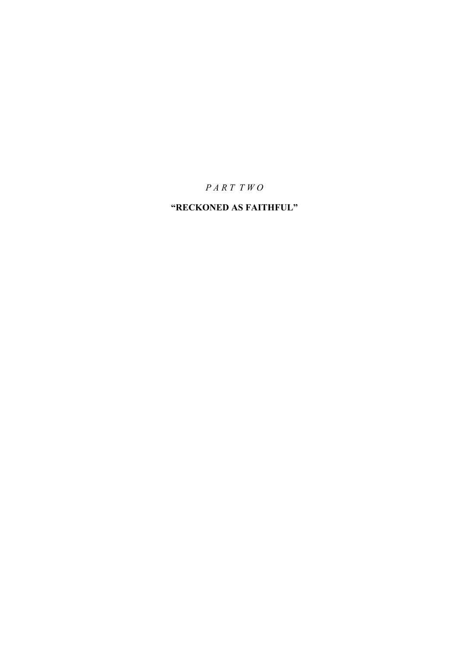# *P A R T T W O*

# **"RECKONED AS FAITHFUL"**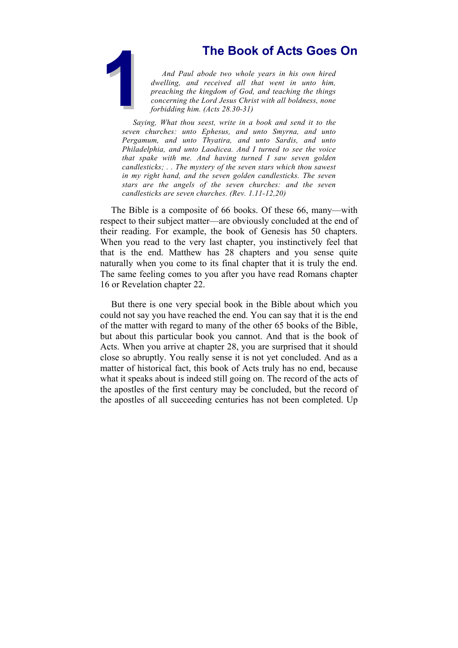**11 12 11 12 11 12 11 12 11 12 11 12 11 12 11 12 11 12 11 12 11 12 11 12 11 12 11 12 11 12 11 12 11 12 11 12 11 12 11 12 11 12 11 12 11 12 11 12 11 12 11 12 11 12 11 12 11 12 11 12 11 12 11 12 11 12 11 12 11 12 11 12 11 12** *And Paul abode two whole years in his own hired dwelling, and received all that went in unto him, preaching the kingdom of God, and teaching the things concerning the Lord Jesus Christ with all boldness, none forbidding him. (Acts 28.30-31)*

*Saying, What thou seest, write in a book and send it to the seven churches: unto Ephesus, and unto Smyrna, and unto Pergamum, and unto Thyatira, and unto Sardis, and unto Philadelphia, and unto Laodicea. And I turned to see the voice that spake with me. And having turned I saw seven golden candlesticks; . . The mystery of the seven stars which thou sawest in my right hand, and the seven golden candlesticks. The seven stars are the angels of the seven churches: and the seven candlesticks are seven churches. (Rev. 1.11-12,20)*

The Bible is a composite of 66 books. Of these 66, many—with respect to their subject matter—are obviously concluded at the end of their reading. For example, the book of Genesis has 50 chapters. When you read to the very last chapter, you instinctively feel that that is the end. Matthew has 28 chapters and you sense quite naturally when you come to its final chapter that it is truly the end. The same feeling comes to you after you have read Romans chapter 16 or Revelation chapter 22.

But there is one very special book in the Bible about which you could not say you have reached the end. You can say that it is the end of the matter with regard to many of the other 65 books of the Bible, but about this particular book you cannot. And that is the book of Acts. When you arrive at chapter 28, you are surprised that it should close so abruptly. You really sense it is not yet concluded. And as a matter of historical fact, this book of Acts truly has no end, because what it speaks about is indeed still going on. The record of the acts of the apostles of the first century may be concluded, but the record of the apostles of all succeeding centuries has not been completed. Up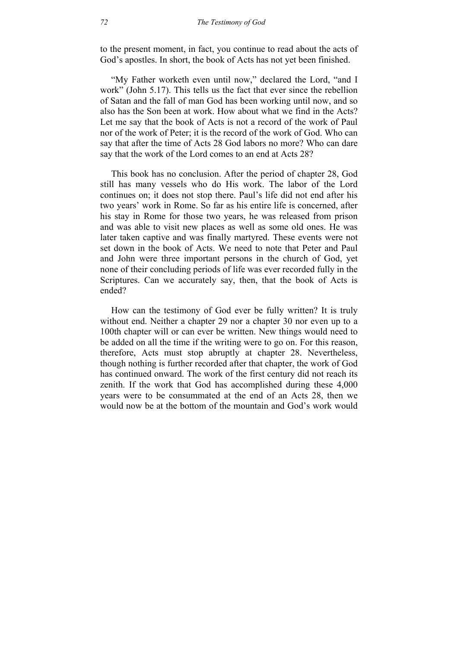to the present moment, in fact, you continue to read about the acts of God's apostles. In short, the book of Acts has not yet been finished.

"My Father worketh even until now," declared the Lord, "and I work" (John 5.17). This tells us the fact that ever since the rebellion of Satan and the fall of man God has been working until now, and so also has the Son been at work. How about what we find in the Acts? Let me say that the book of Acts is not a record of the work of Paul nor of the work of Peter; it is the record of the work of God. Who can say that after the time of Acts 28 God labors no more? Who can dare say that the work of the Lord comes to an end at Acts 28?

This book has no conclusion. After the period of chapter 28, God still has many vessels who do His work. The labor of the Lord continues on; it does not stop there. Paul's life did not end after his two years' work in Rome. So far as his entire life is concerned, after his stay in Rome for those two years, he was released from prison and was able to visit new places as well as some old ones. He was later taken captive and was finally martyred. These events were not set down in the book of Acts. We need to note that Peter and Paul and John were three important persons in the church of God, yet none of their concluding periods of life was ever recorded fully in the Scriptures. Can we accurately say, then, that the book of Acts is ended?

How can the testimony of God ever be fully written? It is truly without end. Neither a chapter 29 nor a chapter 30 nor even up to a 100th chapter will or can ever be written. New things would need to be added on all the time if the writing were to go on. For this reason, therefore, Acts must stop abruptly at chapter 28. Nevertheless, though nothing is further recorded after that chapter, the work of God has continued onward. The work of the first century did not reach its zenith. If the work that God has accomplished during these 4,000 years were to be consummated at the end of an Acts 28, then we would now be at the bottom of the mountain and God's work would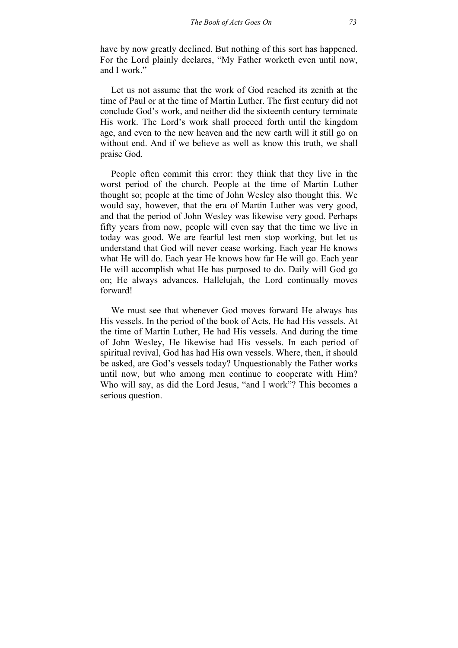have by now greatly declined. But nothing of this sort has happened. For the Lord plainly declares, "My Father worketh even until now, and I work"

Let us not assume that the work of God reached its zenith at the time of Paul or at the time of Martin Luther. The first century did not conclude God's work, and neither did the sixteenth century terminate His work. The Lord's work shall proceed forth until the kingdom age, and even to the new heaven and the new earth will it still go on without end. And if we believe as well as know this truth, we shall praise God.

People often commit this error: they think that they live in the worst period of the church. People at the time of Martin Luther thought so; people at the time of John Wesley also thought this. We would say, however, that the era of Martin Luther was very good, and that the period of John Wesley was likewise very good. Perhaps fifty years from now, people will even say that the time we live in today was good. We are fearful lest men stop working, but let us understand that God will never cease working. Each year He knows what He will do. Each year He knows how far He will go. Each year He will accomplish what He has purposed to do. Daily will God go on; He always advances. Hallelujah, the Lord continually moves forward!

We must see that whenever God moves forward He always has His vessels. In the period of the book of Acts, He had His vessels. At the time of Martin Luther, He had His vessels. And during the time of John Wesley, He likewise had His vessels. In each period of spiritual revival, God has had His own vessels. Where, then, it should be asked, are God's vessels today? Unquestionably the Father works until now, but who among men continue to cooperate with Him? Who will say, as did the Lord Jesus, "and I work"? This becomes a serious question.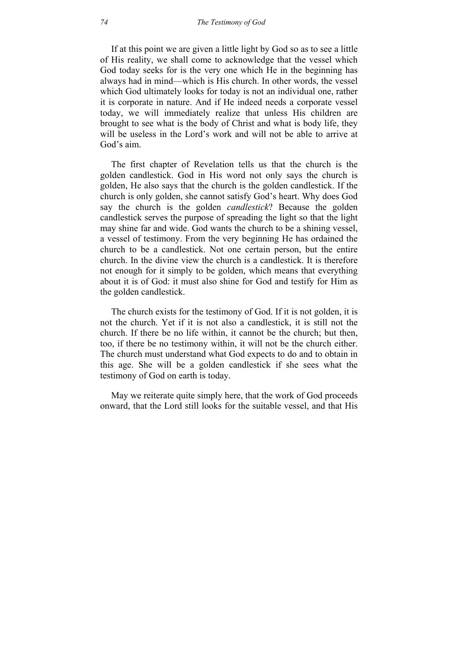If at this point we are given a little light by God so as to see a little of His reality, we shall come to acknowledge that the vessel which God today seeks for is the very one which He in the beginning has always had in mind—which is His church. In other words, the vessel which God ultimately looks for today is not an individual one, rather it is corporate in nature. And if He indeed needs a corporate vessel today, we will immediately realize that unless His children are brought to see what is the body of Christ and what is body life, they will be useless in the Lord's work and will not be able to arrive at God's aim.

The first chapter of Revelation tells us that the church is the golden candlestick. God in His word not only says the church is golden, He also says that the church is the golden candlestick. If the church is only golden, she cannot satisfy God's heart. Why does God say the church is the golden *candlestick*? Because the golden candlestick serves the purpose of spreading the light so that the light may shine far and wide. God wants the church to be a shining vessel, a vessel of testimony. From the very beginning He has ordained the church to be a candlestick. Not one certain person, but the entire church. In the divine view the church is a candlestick. It is therefore not enough for it simply to be golden, which means that everything about it is of God: it must also shine for God and testify for Him as the golden candlestick.

The church exists for the testimony of God. If it is not golden, it is not the church. Yet if it is not also a candlestick, it is still not the church. If there be no life within, it cannot be the church; but then, too, if there be no testimony within, it will not be the church either. The church must understand what God expects to do and to obtain in this age. She will be a golden candlestick if she sees what the testimony of God on earth is today.

May we reiterate quite simply here, that the work of God proceeds onward, that the Lord still looks for the suitable vessel, and that His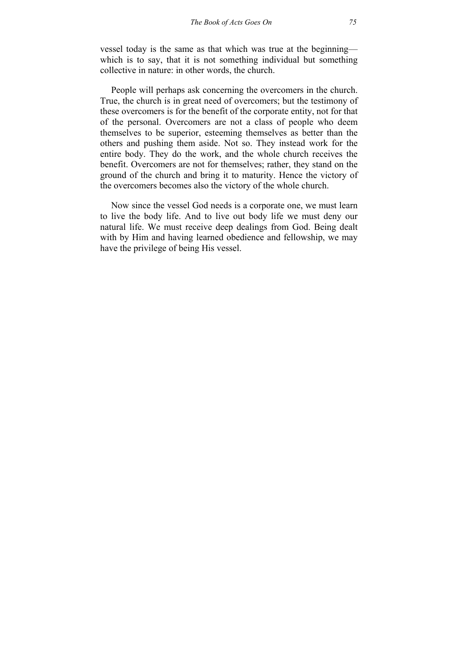vessel today is the same as that which was true at the beginning which is to say, that it is not something individual but something collective in nature: in other words, the church.

People will perhaps ask concerning the overcomers in the church. True, the church is in great need of overcomers; but the testimony of these overcomers is for the benefit of the corporate entity, not for that of the personal. Overcomers are not a class of people who deem themselves to be superior, esteeming themselves as better than the others and pushing them aside. Not so. They instead work for the entire body. They do the work, and the whole church receives the benefit. Overcomers are not for themselves; rather, they stand on the ground of the church and bring it to maturity. Hence the victory of the overcomers becomes also the victory of the whole church.

Now since the vessel God needs is a corporate one, we must learn to live the body life. And to live out body life we must deny our natural life. We must receive deep dealings from God. Being dealt with by Him and having learned obedience and fellowship, we may have the privilege of being His vessel.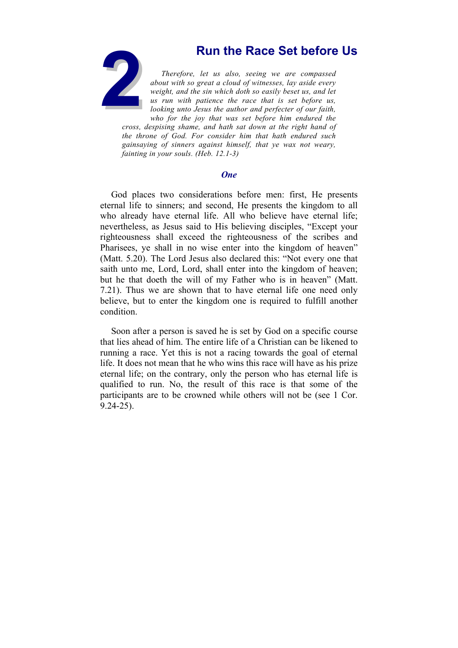

**2Run the Race Set before Us**  *Therefore, let us also, seeing we are compassed about with so great a cloud of witnesses, lay aside every weight, and the sin which doth so easily beset us, and let us run with patience the race that is set before us, looking unto Jesus the author and perfecter of our faith, who for the joy that was set before him endured the cross, despising shame, and hath sat down at the right hand of the throne of God. For consider him that hath endured such gainsaying of sinners against himself, that ye wax not weary, fainting in your souls. (Heb. 12.1-3)*

## *One*

God places two considerations before men: first, He presents eternal life to sinners; and second, He presents the kingdom to all who already have eternal life. All who believe have eternal life; nevertheless, as Jesus said to His believing disciples, "Except your righteousness shall exceed the righteousness of the scribes and Pharisees, ye shall in no wise enter into the kingdom of heaven" (Matt. 5.20). The Lord Jesus also declared this: "Not every one that saith unto me, Lord, Lord, shall enter into the kingdom of heaven; but he that doeth the will of my Father who is in heaven" (Matt. 7.21). Thus we are shown that to have eternal life one need only believe, but to enter the kingdom one is required to fulfill another condition.

Soon after a person is saved he is set by God on a specific course that lies ahead of him. The entire life of a Christian can be likened to running a race. Yet this is not a racing towards the goal of eternal life. It does not mean that he who wins this race will have as his prize eternal life; on the contrary, only the person who has eternal life is qualified to run. No, the result of this race is that some of the participants are to be crowned while others will not be (see 1 Cor. 9.24-25).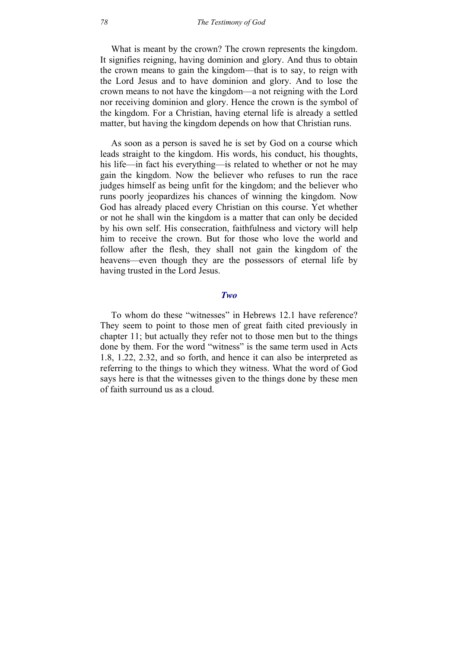What is meant by the crown? The crown represents the kingdom. It signifies reigning, having dominion and glory. And thus to obtain the crown means to gain the kingdom—that is to say, to reign with the Lord Jesus and to have dominion and glory. And to lose the crown means to not have the kingdom—a not reigning with the Lord nor receiving dominion and glory. Hence the crown is the symbol of the kingdom. For a Christian, having eternal life is already a settled matter, but having the kingdom depends on how that Christian runs.

As soon as a person is saved he is set by God on a course which leads straight to the kingdom. His words, his conduct, his thoughts, his life—in fact his everything—is related to whether or not he may gain the kingdom. Now the believer who refuses to run the race judges himself as being unfit for the kingdom; and the believer who runs poorly jeopardizes his chances of winning the kingdom. Now God has already placed every Christian on this course. Yet whether or not he shall win the kingdom is a matter that can only be decided by his own self. His consecration, faithfulness and victory will help him to receive the crown. But for those who love the world and follow after the flesh, they shall not gain the kingdom of the heavens—even though they are the possessors of eternal life by having trusted in the Lord Jesus.

# *Two*

To whom do these "witnesses" in Hebrews 12.1 have reference? They seem to point to those men of great faith cited previously in chapter 11; but actually they refer not to those men but to the things done by them. For the word "witness" is the same term used in Acts 1.8, 1.22, 2.32, and so forth, and hence it can also be interpreted as referring to the things to which they witness. What the word of God says here is that the witnesses given to the things done by these men of faith surround us as a cloud.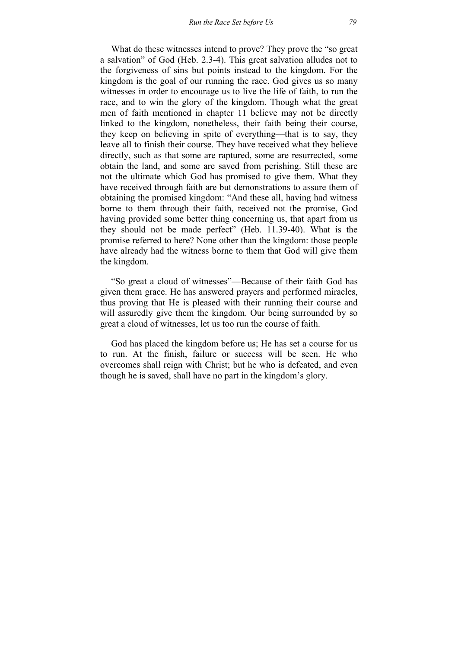What do these witnesses intend to prove? They prove the "so great a salvation" of God (Heb. 2.3-4). This great salvation alludes not to the forgiveness of sins but points instead to the kingdom. For the kingdom is the goal of our running the race. God gives us so many witnesses in order to encourage us to live the life of faith, to run the race, and to win the glory of the kingdom. Though what the great men of faith mentioned in chapter 11 believe may not be directly linked to the kingdom, nonetheless, their faith being their course, they keep on believing in spite of everything—that is to say, they leave all to finish their course. They have received what they believe directly, such as that some are raptured, some are resurrected, some obtain the land, and some are saved from perishing. Still these are not the ultimate which God has promised to give them. What they have received through faith are but demonstrations to assure them of obtaining the promised kingdom: "And these all, having had witness borne to them through their faith, received not the promise, God having provided some better thing concerning us, that apart from us they should not be made perfect" (Heb. 11.39-40). What is the promise referred to here? None other than the kingdom: those people have already had the witness borne to them that God will give them the kingdom.

"So great a cloud of witnesses"—Because of their faith God has given them grace. He has answered prayers and performed miracles, thus proving that He is pleased with their running their course and will assuredly give them the kingdom. Our being surrounded by so great a cloud of witnesses, let us too run the course of faith.

God has placed the kingdom before us; He has set a course for us to run. At the finish, failure or success will be seen. He who overcomes shall reign with Christ; but he who is defeated, and even though he is saved, shall have no part in the kingdom's glory.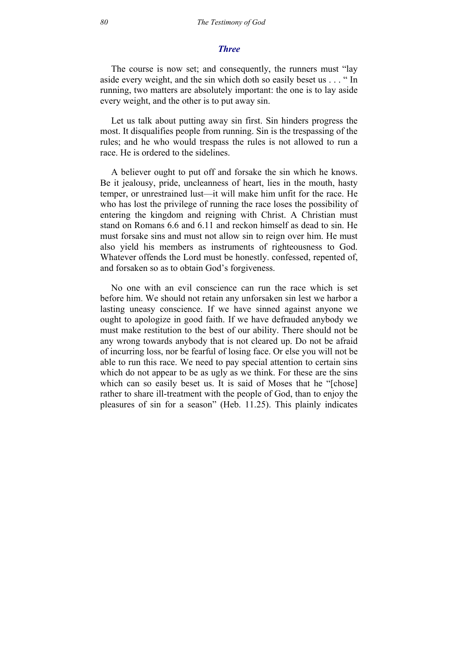# *Three*

The course is now set; and consequently, the runners must "lay aside every weight, and the sin which doth so easily beset us . . . " In running, two matters are absolutely important: the one is to lay aside every weight, and the other is to put away sin.

Let us talk about putting away sin first. Sin hinders progress the most. It disqualifies people from running. Sin is the trespassing of the rules; and he who would trespass the rules is not allowed to run a race. He is ordered to the sidelines.

A believer ought to put off and forsake the sin which he knows. Be it jealousy, pride, uncleanness of heart, lies in the mouth, hasty temper, or unrestrained lust—it will make him unfit for the race. He who has lost the privilege of running the race loses the possibility of entering the kingdom and reigning with Christ. A Christian must stand on Romans 6.6 and 6.11 and reckon himself as dead to sin. He must forsake sins and must not allow sin to reign over him. He must also yield his members as instruments of righteousness to God. Whatever offends the Lord must be honestly. confessed, repented of, and forsaken so as to obtain God's forgiveness.

No one with an evil conscience can run the race which is set before him. We should not retain any unforsaken sin lest we harbor a lasting uneasy conscience. If we have sinned against anyone we ought to apologize in good faith. If we have defrauded anybody we must make restitution to the best of our ability. There should not be any wrong towards anybody that is not cleared up. Do not be afraid of incurring loss, nor be fearful of losing face. Or else you will not be able to run this race. We need to pay special attention to certain sins which do not appear to be as ugly as we think. For these are the sins which can so easily beset us. It is said of Moses that he "[chose] rather to share ill-treatment with the people of God, than to enjoy the pleasures of sin for a season" (Heb. 11.25). This plainly indicates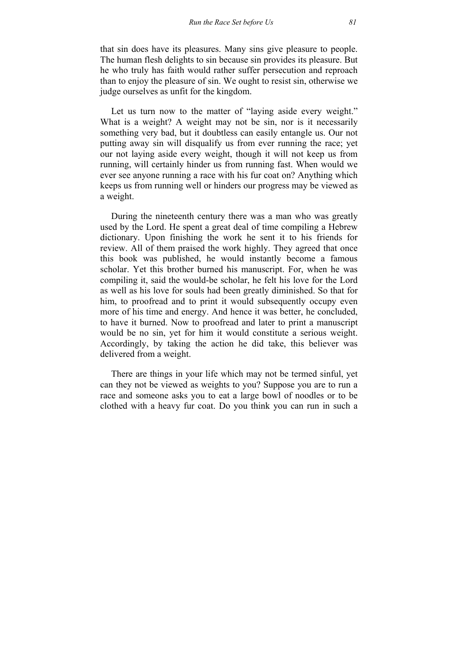that sin does have its pleasures. Many sins give pleasure to people. The human flesh delights to sin because sin provides its pleasure. But he who truly has faith would rather suffer persecution and reproach than to enjoy the pleasure of sin. We ought to resist sin, otherwise we judge ourselves as unfit for the kingdom.

Let us turn now to the matter of "laying aside every weight." What is a weight? A weight may not be sin, nor is it necessarily something very bad, but it doubtless can easily entangle us. Our not putting away sin will disqualify us from ever running the race; yet our not laying aside every weight, though it will not keep us from running, will certainly hinder us from running fast. When would we ever see anyone running a race with his fur coat on? Anything which keeps us from running well or hinders our progress may be viewed as a weight.

During the nineteenth century there was a man who was greatly used by the Lord. He spent a great deal of time compiling a Hebrew dictionary. Upon finishing the work he sent it to his friends for review. All of them praised the work highly. They agreed that once this book was published, he would instantly become a famous scholar. Yet this brother burned his manuscript. For, when he was compiling it, said the would-be scholar, he felt his love for the Lord as well as his love for souls had been greatly diminished. So that for him, to proofread and to print it would subsequently occupy even more of his time and energy. And hence it was better, he concluded, to have it burned. Now to proofread and later to print a manuscript would be no sin, yet for him it would constitute a serious weight. Accordingly, by taking the action he did take, this believer was delivered from a weight.

There are things in your life which may not be termed sinful, yet can they not be viewed as weights to you? Suppose you are to run a race and someone asks you to eat a large bowl of noodles or to be clothed with a heavy fur coat. Do you think you can run in such a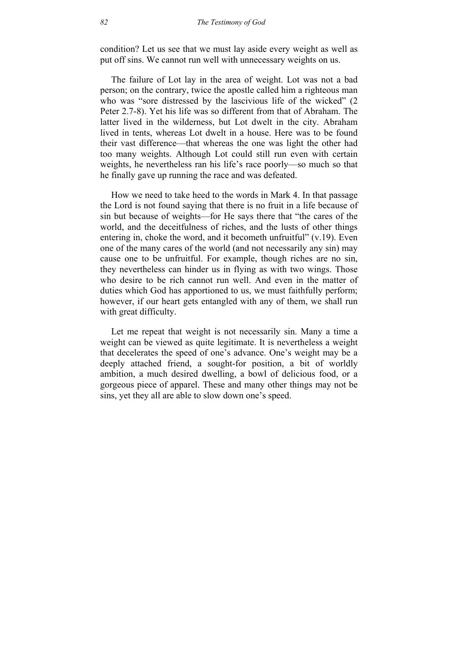condition? Let us see that we must lay aside every weight as well as put off sins. We cannot run well with unnecessary weights on us.

The failure of Lot lay in the area of weight. Lot was not a bad person; on the contrary, twice the apostle called him a righteous man who was "sore distressed by the lascivious life of the wicked" (2 Peter 2.7-8). Yet his life was so different from that of Abraham. The latter lived in the wilderness, but Lot dwelt in the city. Abraham lived in tents, whereas Lot dwelt in a house. Here was to be found their vast difference—that whereas the one was light the other had too many weights. Although Lot could still run even with certain weights, he nevertheless ran his life's race poorly—so much so that he finally gave up running the race and was defeated.

How we need to take heed to the words in Mark 4. In that passage the Lord is not found saying that there is no fruit in a life because of sin but because of weights—for He says there that "the cares of the world, and the deceitfulness of riches, and the lusts of other things entering in, choke the word, and it becometh unfruitful" (v.19). Even one of the many cares of the world (and not necessarily any sin) may cause one to be unfruitful. For example, though riches are no sin, they nevertheless can hinder us in flying as with two wings. Those who desire to be rich cannot run well. And even in the matter of duties which God has apportioned to us, we must faithfully perform; however, if our heart gets entangled with any of them, we shall run with great difficulty.

Let me repeat that weight is not necessarily sin. Many a time a weight can be viewed as quite legitimate. It is nevertheless a weight that decelerates the speed of one's advance. One's weight may be a deeply attached friend, a sought-for position, a bit of worldly ambition, a much desired dwelling, a bowl of delicious food, or a gorgeous piece of apparel. These and many other things may not be sins, yet they all are able to slow down one's speed.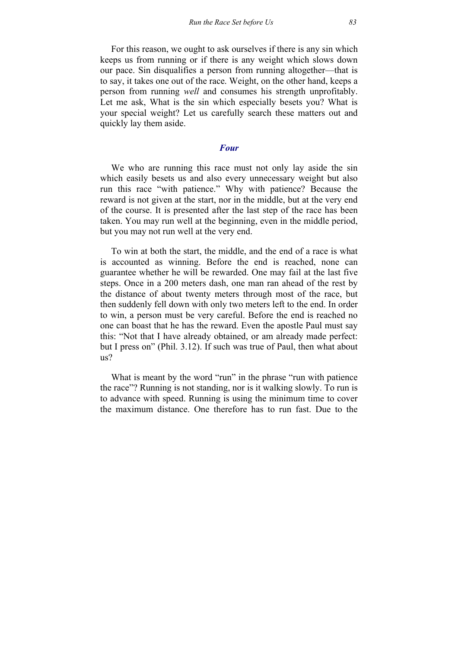For this reason, we ought to ask ourselves if there is any sin which keeps us from running or if there is any weight which slows down our pace. Sin disqualifies a person from running altogether—that is to say, it takes one out of the race. Weight, on the other hand, keeps a person from running *well* and consumes his strength unprofitably. Let me ask, What is the sin which especially besets you? What is your special weight? Let us carefully search these matters out and quickly lay them aside.

## *Four*

We who are running this race must not only lay aside the sin which easily besets us and also every unnecessary weight but also run this race "with patience." Why with patience? Because the reward is not given at the start, nor in the middle, but at the very end of the course. It is presented after the last step of the race has been taken. You may run well at the beginning, even in the middle period, but you may not run well at the very end.

To win at both the start, the middle, and the end of a race is what is accounted as winning. Before the end is reached, none can guarantee whether he will be rewarded. One may fail at the last five steps. Once in a 200 meters dash, one man ran ahead of the rest by the distance of about twenty meters through most of the race, but then suddenly fell down with only two meters left to the end. In order to win, a person must be very careful. Before the end is reached no one can boast that he has the reward. Even the apostle Paul must say this: "Not that I have already obtained, or am already made perfect: but I press on" (Phil. 3.12). If such was true of Paul, then what about us?

What is meant by the word "run" in the phrase "run with patience" the race"? Running is not standing, nor is it walking slowly. To run is to advance with speed. Running is using the minimum time to cover the maximum distance. One therefore has to run fast. Due to the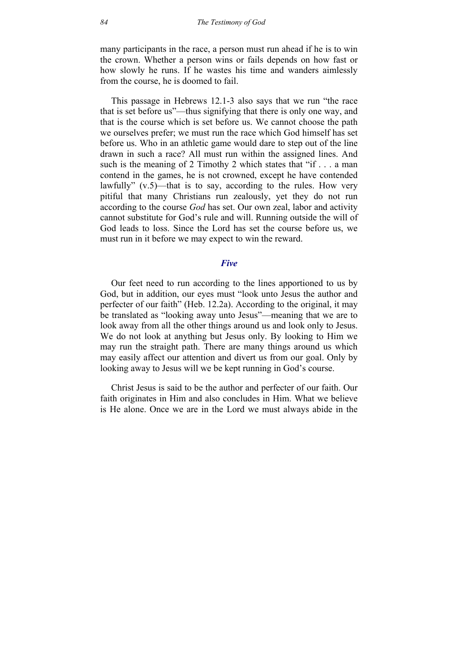many participants in the race, a person must run ahead if he is to win the crown. Whether a person wins or fails depends on how fast or how slowly he runs. If he wastes his time and wanders aimlessly from the course, he is doomed to fail.

This passage in Hebrews 12.1-3 also says that we run "the race that is set before us"—thus signifying that there is only one way, and that is the course which is set before us. We cannot choose the path we ourselves prefer; we must run the race which God himself has set before us. Who in an athletic game would dare to step out of the line drawn in such a race? All must run within the assigned lines. And such is the meaning of 2 Timothy 2 which states that "if . . . a man contend in the games, he is not crowned, except he have contended lawfully" (v.5)—that is to say, according to the rules. How very pitiful that many Christians run zealously, yet they do not run according to the course *God* has set. Our own zeal, labor and activity cannot substitute for God's rule and will. Running outside the will of God leads to loss. Since the Lord has set the course before us, we must run in it before we may expect to win the reward.

# *Five*

Our feet need to run according to the lines apportioned to us by God, but in addition, our eyes must "look unto Jesus the author and perfecter of our faith" (Heb. 12.2a). According to the original, it may be translated as "looking away unto Jesus"—meaning that we are to look away from all the other things around us and look only to Jesus. We do not look at anything but Jesus only. By looking to Him we may run the straight path. There are many things around us which may easily affect our attention and divert us from our goal. Only by looking away to Jesus will we be kept running in God's course.

Christ Jesus is said to be the author and perfecter of our faith. Our faith originates in Him and also concludes in Him. What we believe is He alone. Once we are in the Lord we must always abide in the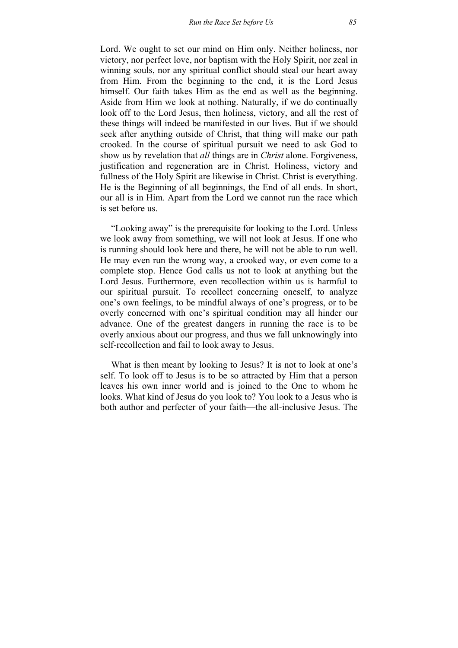Lord. We ought to set our mind on Him only. Neither holiness, nor victory, nor perfect love, nor baptism with the Holy Spirit, nor zeal in winning souls, nor any spiritual conflict should steal our heart away from Him. From the beginning to the end, it is the Lord Jesus himself. Our faith takes Him as the end as well as the beginning. Aside from Him we look at nothing. Naturally, if we do continually look off to the Lord Jesus, then holiness, victory, and all the rest of these things will indeed be manifested in our lives. But if we should seek after anything outside of Christ, that thing will make our path crooked. In the course of spiritual pursuit we need to ask God to show us by revelation that *all* things are in *Christ* alone. Forgiveness, justification and regeneration are in Christ. Holiness, victory and fullness of the Holy Spirit are likewise in Christ. Christ is everything. He is the Beginning of all beginnings, the End of all ends. In short, our all is in Him. Apart from the Lord we cannot run the race which is set before us.

"Looking away" is the prerequisite for looking to the Lord. Unless we look away from something, we will not look at Jesus. If one who is running should look here and there, he will not be able to run well. He may even run the wrong way, a crooked way, or even come to a complete stop. Hence God calls us not to look at anything but the Lord Jesus. Furthermore, even recollection within us is harmful to our spiritual pursuit. To recollect concerning oneself, to analyze one's own feelings, to be mindful always of one's progress, or to be overly concerned with one's spiritual condition may all hinder our advance. One of the greatest dangers in running the race is to be overly anxious about our progress, and thus we fall unknowingly into self-recollection and fail to look away to Jesus.

What is then meant by looking to Jesus? It is not to look at one's self. To look off to Jesus is to be so attracted by Him that a person leaves his own inner world and is joined to the One to whom he looks. What kind of Jesus do you look to? You look to a Jesus who is both author and perfecter of your faith—the all-inclusive Jesus. The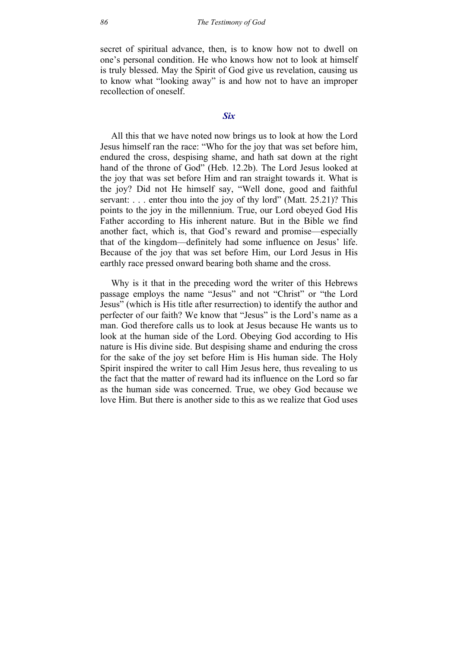secret of spiritual advance, then, is to know how not to dwell on one's personal condition. He who knows how not to look at himself is truly blessed. May the Spirit of God give us revelation, causing us to know what "looking away" is and how not to have an improper recollection of oneself.

# *Six*

All this that we have noted now brings us to look at how the Lord Jesus himself ran the race: "Who for the joy that was set before him, endured the cross, despising shame, and hath sat down at the right hand of the throne of God" (Heb. 12.2b). The Lord Jesus looked at the joy that was set before Him and ran straight towards it. What is the joy? Did not He himself say, "Well done, good and faithful servant: . . . enter thou into the joy of thy lord" (Matt. 25.21)? This points to the joy in the millennium. True, our Lord obeyed God His Father according to His inherent nature. But in the Bible we find another fact, which is, that God's reward and promise—especially that of the kingdom—definitely had some influence on Jesus' life. Because of the joy that was set before Him, our Lord Jesus in His earthly race pressed onward bearing both shame and the cross.

Why is it that in the preceding word the writer of this Hebrews passage employs the name "Jesus" and not "Christ" or "the Lord Jesus" (which is His title after resurrection) to identify the author and perfecter of our faith? We know that "Jesus" is the Lord's name as a man. God therefore calls us to look at Jesus because He wants us to look at the human side of the Lord. Obeying God according to His nature is His divine side. But despising shame and enduring the cross for the sake of the joy set before Him is His human side. The Holy Spirit inspired the writer to call Him Jesus here, thus revealing to us the fact that the matter of reward had its influence on the Lord so far as the human side was concerned. True, we obey God because we love Him. But there is another side to this as we realize that God uses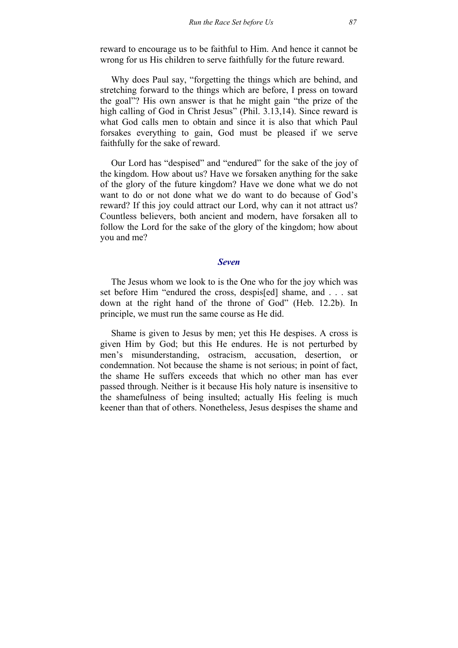reward to encourage us to be faithful to Him. And hence it cannot be wrong for us His children to serve faithfully for the future reward.

Why does Paul say, "forgetting the things which are behind, and stretching forward to the things which are before, I press on toward the goal"? His own answer is that he might gain "the prize of the high calling of God in Christ Jesus" (Phil. 3.13,14). Since reward is what God calls men to obtain and since it is also that which Paul forsakes everything to gain, God must be pleased if we serve faithfully for the sake of reward.

Our Lord has "despised" and "endured" for the sake of the joy of the kingdom. How about us? Have we forsaken anything for the sake of the glory of the future kingdom? Have we done what we do not want to do or not done what we do want to do because of God's reward? If this joy could attract our Lord, why can it not attract us? Countless believers, both ancient and modern, have forsaken all to follow the Lord for the sake of the glory of the kingdom; how about you and me?

## *Seven*

The Jesus whom we look to is the One who for the joy which was set before Him "endured the cross, despis[ed] shame, and . . . sat down at the right hand of the throne of God" (Heb. 12.2b). In principle, we must run the same course as He did.

Shame is given to Jesus by men; yet this He despises. A cross is given Him by God; but this He endures. He is not perturbed by men's misunderstanding, ostracism, accusation, desertion, or condemnation. Not because the shame is not serious; in point of fact, the shame He suffers exceeds that which no other man has ever passed through. Neither is it because His holy nature is insensitive to the shamefulness of being insulted; actually His feeling is much keener than that of others. Nonetheless, Jesus despises the shame and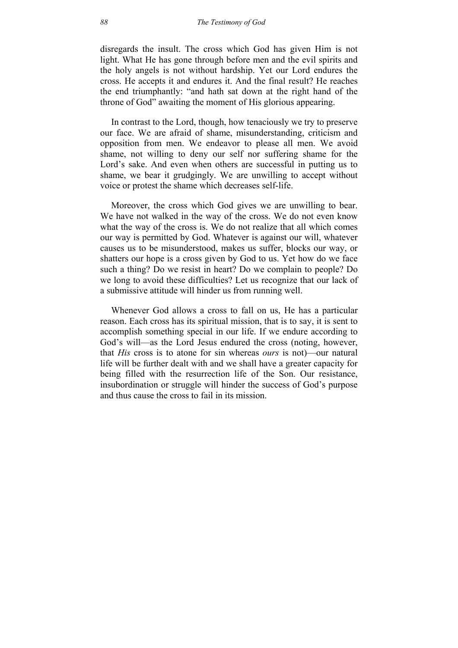disregards the insult. The cross which God has given Him is not light. What He has gone through before men and the evil spirits and the holy angels is not without hardship. Yet our Lord endures the cross. He accepts it and endures it. And the final result? He reaches the end triumphantly: "and hath sat down at the right hand of the throne of God" awaiting the moment of His glorious appearing.

In contrast to the Lord, though, how tenaciously we try to preserve our face. We are afraid of shame, misunderstanding, criticism and opposition from men. We endeavor to please all men. We avoid shame, not willing to deny our self nor suffering shame for the Lord's sake. And even when others are successful in putting us to shame, we bear it grudgingly. We are unwilling to accept without voice or protest the shame which decreases self-life.

Moreover, the cross which God gives we are unwilling to bear. We have not walked in the way of the cross. We do not even know what the way of the cross is. We do not realize that all which comes our way is permitted by God. Whatever is against our will, whatever causes us to be misunderstood, makes us suffer, blocks our way, or shatters our hope is a cross given by God to us. Yet how do we face such a thing? Do we resist in heart? Do we complain to people? Do we long to avoid these difficulties? Let us recognize that our lack of a submissive attitude will hinder us from running well.

Whenever God allows a cross to fall on us, He has a particular reason. Each cross has its spiritual mission, that is to say, it is sent to accomplish something special in our life. If we endure according to God's will—as the Lord Jesus endured the cross (noting, however, that *His* cross is to atone for sin whereas *ours* is not)—our natural life will be further dealt with and we shall have a greater capacity for being filled with the resurrection life of the Son. Our resistance, insubordination or struggle will hinder the success of God's purpose and thus cause the cross to fail in its mission.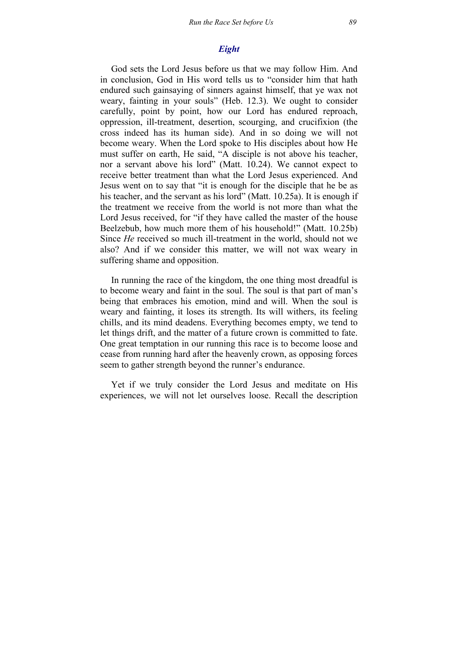# *Eight*

God sets the Lord Jesus before us that we may follow Him. And in conclusion, God in His word tells us to "consider him that hath endured such gainsaying of sinners against himself, that ye wax not weary, fainting in your souls" (Heb. 12.3). We ought to consider carefully, point by point, how our Lord has endured reproach, oppression, ill-treatment, desertion, scourging, and crucifixion (the cross indeed has its human side). And in so doing we will not become weary. When the Lord spoke to His disciples about how He must suffer on earth, He said, "A disciple is not above his teacher, nor a servant above his lord" (Matt. 10.24). We cannot expect to receive better treatment than what the Lord Jesus experienced. And Jesus went on to say that "it is enough for the disciple that he be as his teacher, and the servant as his lord" (Matt. 10.25a). It is enough if the treatment we receive from the world is not more than what the Lord Jesus received, for "if they have called the master of the house Beelzebub, how much more them of his household!" (Matt. 10.25b) Since *He* received so much ill-treatment in the world, should not we also? And if we consider this matter, we will not wax weary in suffering shame and opposition.

In running the race of the kingdom, the one thing most dreadful is to become weary and faint in the soul. The soul is that part of man's being that embraces his emotion, mind and will. When the soul is weary and fainting, it loses its strength. Its will withers, its feeling chills, and its mind deadens. Everything becomes empty, we tend to let things drift, and the matter of a future crown is committed to fate. One great temptation in our running this race is to become loose and cease from running hard after the heavenly crown, as opposing forces seem to gather strength beyond the runner's endurance.

Yet if we truly consider the Lord Jesus and meditate on His experiences, we will not let ourselves loose. Recall the description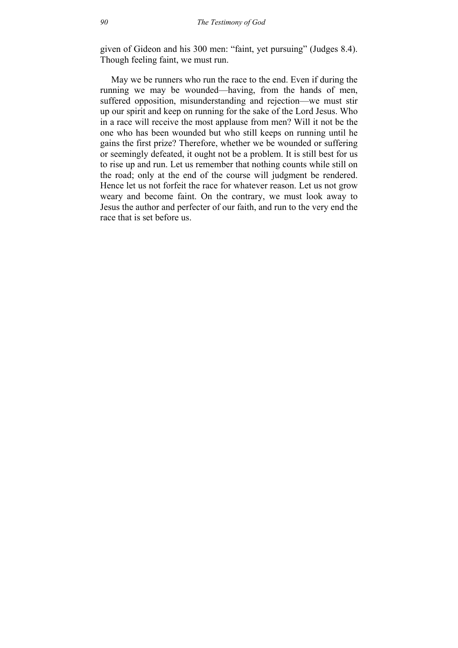given of Gideon and his 300 men: "faint, yet pursuing" (Judges 8.4). Though feeling faint, we must run.

May we be runners who run the race to the end. Even if during the running we may be wounded—having, from the hands of men, suffered opposition, misunderstanding and rejection—we must stir up our spirit and keep on running for the sake of the Lord Jesus. Who in a race will receive the most applause from men? Will it not be the one who has been wounded but who still keeps on running until he gains the first prize? Therefore, whether we be wounded or suffering or seemingly defeated, it ought not be a problem. It is still best for us to rise up and run. Let us remember that nothing counts while still on the road; only at the end of the course will judgment be rendered. Hence let us not forfeit the race for whatever reason. Let us not grow weary and become faint. On the contrary, we must look away to Jesus the author and perfecter of our faith, and run to the very end the race that is set before us.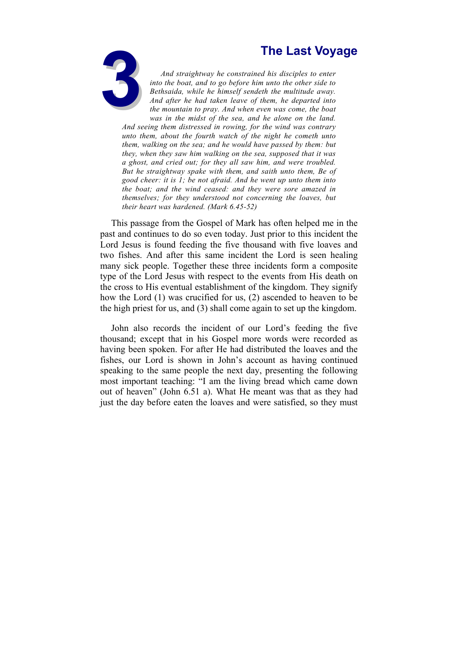

**3The Last Voyage**<br>
And straightway he constrained his disciples to enter<br>
into the boat, and to go before him unto the other side to<br>
Bethsaida, while he himself sendeth the multitude away.<br>
And after he had taken leave o *And straightway he constrained his disciples to enter into the boat, and to go before him unto the other side to Bethsaida, while he himself sendeth the multitude away. And after he had taken leave of them, he departed into the mountain to pray. And when even was come, the boat was in the midst of the sea, and he alone on the land. And seeing them distressed in rowing, for the wind was contrary unto them, about the fourth watch of the night he cometh unto them, walking on the sea; and he would have passed by them: but they, when they saw him walking on the sea, supposed that it was a ghost, and cried out; for they all saw him, and were troubled. But he straightway spake with them, and saith unto them, Be of good cheer: it is 1; be not afraid. And he went up unto them into the boat; and the wind ceased: and they were sore amazed in themselves; for they understood not concerning the loaves, but their heart was hardened. (Mark 6.45-52)*

This passage from the Gospel of Mark has often helped me in the past and continues to do so even today. Just prior to this incident the Lord Jesus is found feeding the five thousand with five loaves and two fishes. And after this same incident the Lord is seen healing many sick people. Together these three incidents form a composite type of the Lord Jesus with respect to the events from His death on the cross to His eventual establishment of the kingdom. They signify how the Lord (1) was crucified for us, (2) ascended to heaven to be the high priest for us, and (3) shall come again to set up the kingdom.

John also records the incident of our Lord's feeding the five thousand; except that in his Gospel more words were recorded as having been spoken. For after He had distributed the loaves and the fishes, our Lord is shown in John's account as having continued speaking to the same people the next day, presenting the following most important teaching: "I am the living bread which came down out of heaven" (John 6.51 a). What He meant was that as they had just the day before eaten the loaves and were satisfied, so they must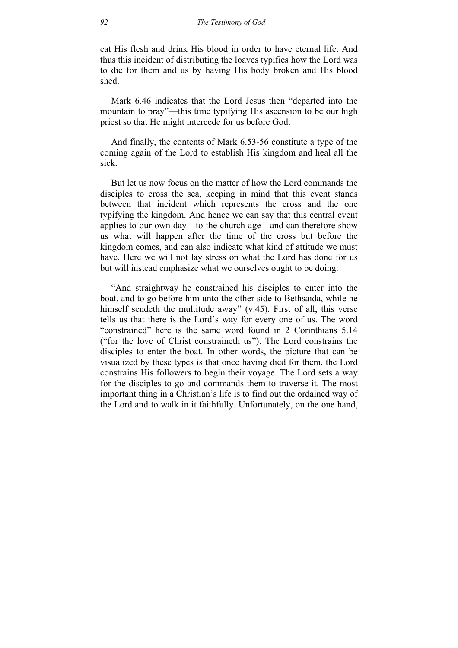eat His flesh and drink His blood in order to have eternal life. And thus this incident of distributing the loaves typifies how the Lord was to die for them and us by having His body broken and His blood shed.

Mark 6.46 indicates that the Lord Jesus then "departed into the mountain to pray"—this time typifying His ascension to be our high priest so that He might intercede for us before God.

And finally, the contents of Mark 6.53-56 constitute a type of the coming again of the Lord to establish His kingdom and heal all the sick.

But let us now focus on the matter of how the Lord commands the disciples to cross the sea, keeping in mind that this event stands between that incident which represents the cross and the one typifying the kingdom. And hence we can say that this central event applies to our own day—to the church age—and can therefore show us what will happen after the time of the cross but before the kingdom comes, and can also indicate what kind of attitude we must have. Here we will not lay stress on what the Lord has done for us but will instead emphasize what we ourselves ought to be doing.

"And straightway he constrained his disciples to enter into the boat, and to go before him unto the other side to Bethsaida, while he himself sendeth the multitude away" (v.45). First of all, this verse tells us that there is the Lord's way for every one of us. The word "constrained" here is the same word found in 2 Corinthians 5.14 ("for the love of Christ constraineth us"). The Lord constrains the disciples to enter the boat. In other words, the picture that can be visualized by these types is that once having died for them, the Lord constrains His followers to begin their voyage. The Lord sets a way for the disciples to go and commands them to traverse it. The most important thing in a Christian's life is to find out the ordained way of the Lord and to walk in it faithfully. Unfortunately, on the one hand,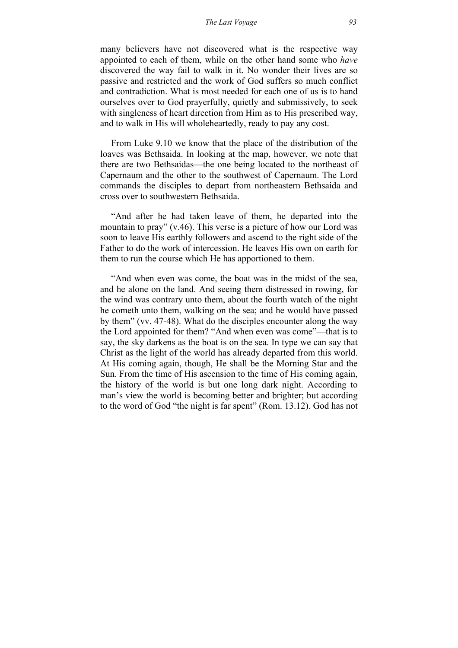many believers have not discovered what is the respective way appointed to each of them, while on the other hand some who *have* discovered the way fail to walk in it. No wonder their lives are so passive and restricted and the work of God suffers so much conflict and contradiction. What is most needed for each one of us is to hand ourselves over to God prayerfully, quietly and submissively, to seek with singleness of heart direction from Him as to His prescribed way, and to walk in His will wholeheartedly, ready to pay any cost.

From Luke 9.10 we know that the place of the distribution of the loaves was Bethsaida. In looking at the map, however, we note that there are two Bethsaidas—the one being located to the northeast of Capernaum and the other to the southwest of Capernaum. The Lord commands the disciples to depart from northeastern Bethsaida and cross over to southwestern Bethsaida.

"And after he had taken leave of them, he departed into the mountain to pray" (v.46). This verse is a picture of how our Lord was soon to leave His earthly followers and ascend to the right side of the Father to do the work of intercession. He leaves His own on earth for them to run the course which He has apportioned to them.

"And when even was come, the boat was in the midst of the sea, and he alone on the land. And seeing them distressed in rowing, for the wind was contrary unto them, about the fourth watch of the night he cometh unto them, walking on the sea; and he would have passed by them" (vv. 47-48). What do the disciples encounter along the way the Lord appointed for them? "And when even was come"—that is to say, the sky darkens as the boat is on the sea. In type we can say that Christ as the light of the world has already departed from this world. At His coming again, though, He shall be the Morning Star and the Sun. From the time of His ascension to the time of His coming again, the history of the world is but one long dark night. According to man's view the world is becoming better and brighter; but according to the word of God "the night is far spent" (Rom. 13.12). God has not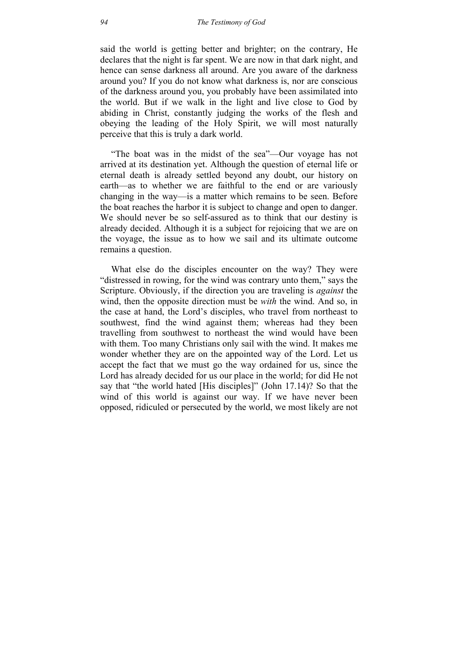said the world is getting better and brighter; on the contrary, He declares that the night is far spent. We are now in that dark night, and hence can sense darkness all around. Are you aware of the darkness around you? If you do not know what darkness is, nor are conscious of the darkness around you, you probably have been assimilated into the world. But if we walk in the light and live close to God by abiding in Christ, constantly judging the works of the flesh and obeying the leading of the Holy Spirit, we will most naturally perceive that this is truly a dark world.

"The boat was in the midst of the sea"—Our voyage has not arrived at its destination yet. Although the question of eternal life or eternal death is already settled beyond any doubt, our history on earth—as to whether we are faithful to the end or are variously changing in the way—is a matter which remains to be seen. Before the boat reaches the harbor it is subject to change and open to danger. We should never be so self-assured as to think that our destiny is already decided. Although it is a subject for rejoicing that we are on the voyage, the issue as to how we sail and its ultimate outcome remains a question.

What else do the disciples encounter on the way? They were "distressed in rowing, for the wind was contrary unto them," says the Scripture. Obviously, if the direction you are traveling is *against* the wind, then the opposite direction must be *with* the wind. And so, in the case at hand, the Lord's disciples, who travel from northeast to southwest, find the wind against them; whereas had they been travelling from southwest to northeast the wind would have been with them. Too many Christians only sail with the wind. It makes me wonder whether they are on the appointed way of the Lord. Let us accept the fact that we must go the way ordained for us, since the Lord has already decided for us our place in the world; for did He not say that "the world hated [His disciples]" (John 17.14)? So that the wind of this world is against our way. If we have never been opposed, ridiculed or persecuted by the world, we most likely are not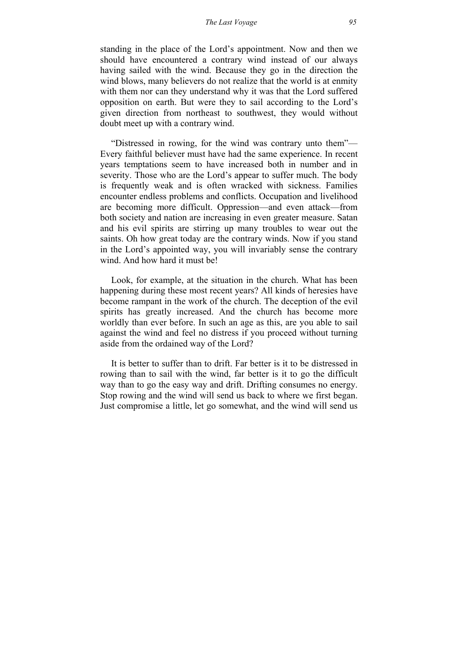standing in the place of the Lord's appointment. Now and then we should have encountered a contrary wind instead of our always having sailed with the wind. Because they go in the direction the wind blows, many believers do not realize that the world is at enmity with them nor can they understand why it was that the Lord suffered opposition on earth. But were they to sail according to the Lord's given direction from northeast to southwest, they would without doubt meet up with a contrary wind.

"Distressed in rowing, for the wind was contrary unto them"— Every faithful believer must have had the same experience. In recent years temptations seem to have increased both in number and in severity. Those who are the Lord's appear to suffer much. The body is frequently weak and is often wracked with sickness. Families encounter endless problems and conflicts. Occupation and livelihood are becoming more difficult. Oppression—and even attack—from both society and nation are increasing in even greater measure. Satan and his evil spirits are stirring up many troubles to wear out the saints. Oh how great today are the contrary winds. Now if you stand in the Lord's appointed way, you will invariably sense the contrary wind. And how hard it must be!

Look, for example, at the situation in the church. What has been happening during these most recent years? All kinds of heresies have become rampant in the work of the church. The deception of the evil spirits has greatly increased. And the church has become more worldly than ever before. In such an age as this, are you able to sail against the wind and feel no distress if you proceed without turning aside from the ordained way of the Lord?

It is better to suffer than to drift. Far better is it to be distressed in rowing than to sail with the wind, far better is it to go the difficult way than to go the easy way and drift. Drifting consumes no energy. Stop rowing and the wind will send us back to where we first began. Just compromise a little, let go somewhat, and the wind will send us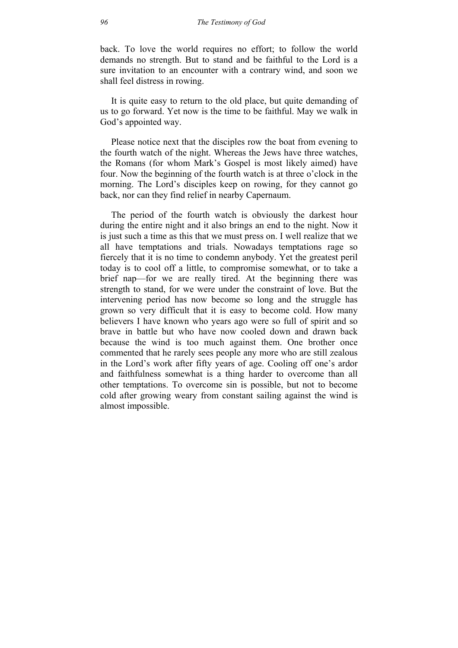back. To love the world requires no effort; to follow the world demands no strength. But to stand and be faithful to the Lord is a sure invitation to an encounter with a contrary wind, and soon we shall feel distress in rowing.

It is quite easy to return to the old place, but quite demanding of us to go forward. Yet now is the time to be faithful. May we walk in God's appointed way.

Please notice next that the disciples row the boat from evening to the fourth watch of the night. Whereas the Jews have three watches, the Romans (for whom Mark's Gospel is most likely aimed) have four. Now the beginning of the fourth watch is at three o'clock in the morning. The Lord's disciples keep on rowing, for they cannot go back, nor can they find relief in nearby Capernaum.

The period of the fourth watch is obviously the darkest hour during the entire night and it also brings an end to the night. Now it is just such a time as this that we must press on. I well realize that we all have temptations and trials. Nowadays temptations rage so fiercely that it is no time to condemn anybody. Yet the greatest peril today is to cool off a little, to compromise somewhat, or to take a brief nap—for we are really tired. At the beginning there was strength to stand, for we were under the constraint of love. But the intervening period has now become so long and the struggle has grown so very difficult that it is easy to become cold. How many believers I have known who years ago were so full of spirit and so brave in battle but who have now cooled down and drawn back because the wind is too much against them. One brother once commented that he rarely sees people any more who are still zealous in the Lord's work after fifty years of age. Cooling off one's ardor and faithfulness somewhat is a thing harder to overcome than all other temptations. To overcome sin is possible, but not to become cold after growing weary from constant sailing against the wind is almost impossible.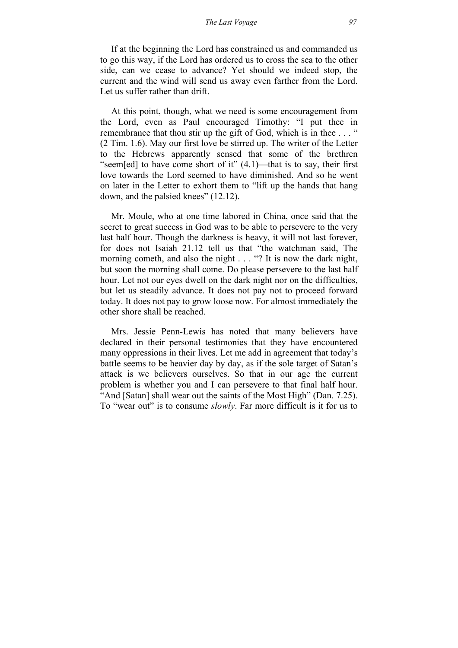If at the beginning the Lord has constrained us and commanded us to go this way, if the Lord has ordered us to cross the sea to the other side, can we cease to advance? Yet should we indeed stop, the current and the wind will send us away even farther from the Lord. Let us suffer rather than drift.

At this point, though, what we need is some encouragement from the Lord, even as Paul encouraged Timothy: "I put thee in remembrance that thou stir up the gift of God, which is in thee ... " (2 Tim. 1.6). May our first love be stirred up. The writer of the Letter to the Hebrews apparently sensed that some of the brethren "seem[ed] to have come short of it"  $(4.1)$ —that is to say, their first love towards the Lord seemed to have diminished. And so he went on later in the Letter to exhort them to "lift up the hands that hang down, and the palsied knees" (12.12).

Mr. Moule, who at one time labored in China, once said that the secret to great success in God was to be able to persevere to the very last half hour. Though the darkness is heavy, it will not last forever, for does not Isaiah 21.12 tell us that "the watchman said, The morning cometh, and also the night . . . "? It is now the dark night, but soon the morning shall come. Do please persevere to the last half hour. Let not our eyes dwell on the dark night nor on the difficulties, but let us steadily advance. It does not pay not to proceed forward today. It does not pay to grow loose now. For almost immediately the other shore shall be reached.

Mrs. Jessie Penn-Lewis has noted that many believers have declared in their personal testimonies that they have encountered many oppressions in their lives. Let me add in agreement that today's battle seems to be heavier day by day, as if the sole target of Satan's attack is we believers ourselves. So that in our age the current problem is whether you and I can persevere to that final half hour. "And [Satan] shall wear out the saints of the Most High" (Dan. 7.25). To "wear out" is to consume *slowly*. Far more difficult is it for us to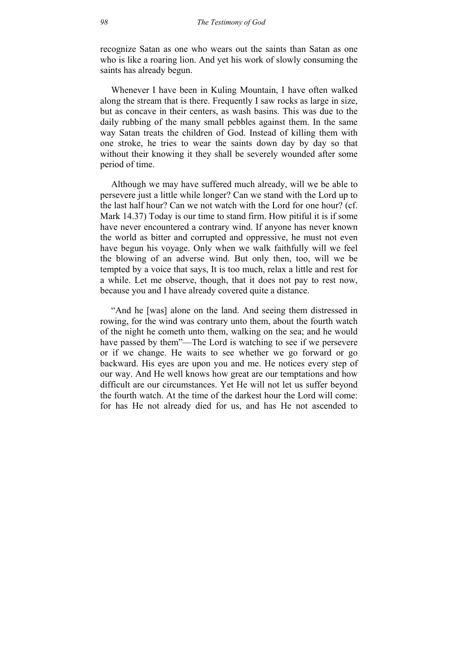recognize Satan as one who wears out the saints than Satan as one who is like a roaring lion. And yet his work of slowly consuming the saints has already begun.

Whenever I have been in Kuling Mountain, I have often walked along the stream that is there. Frequently I saw rocks as large in size, but as concave in their centers, as wash basins. This was due to the daily rubbing of the many small pebbles against them. In the same way Satan treats the children of God. Instead of killing them with one stroke, he tries to wear the saints down day by day so that without their knowing it they shall be severely wounded after some period of time.

Although we may have suffered much already, will we be able to persevere just a little while longer? Can we stand with the Lord up to the last half hour? Can we not watch with the Lord for one hour? (cf. Mark 14.37) Today is our time to stand firm. How pitiful it is if some have never encountered a contrary wind. If anyone has never known the world as bitter and corrupted and oppressive, he must not even have begun his voyage. Only when we walk faithfully will we feel the blowing of an adverse wind. But only then, too, will we be tempted by a voice that says, It is too much, relax a little and rest for a while. Let me observe, though, that it does not pay to rest now, because you and I have already covered quite a distance.

"And he [was] alone on the land. And seeing them distressed in rowing, for the wind was contrary unto them, about the fourth watch of the night he cometh unto them, walking on the sea; and he would have passed by them"—The Lord is watching to see if we persevere or if we change. He waits to see whether we go forward or go backward. His eyes are upon you and me. He notices every step of our way. And He well knows how great are our temptations and how difficult are our circumstances. Yet He will not let us suffer beyond the fourth watch. At the time of the darkest hour the Lord will come: for has He not already died for us, and has He not ascended to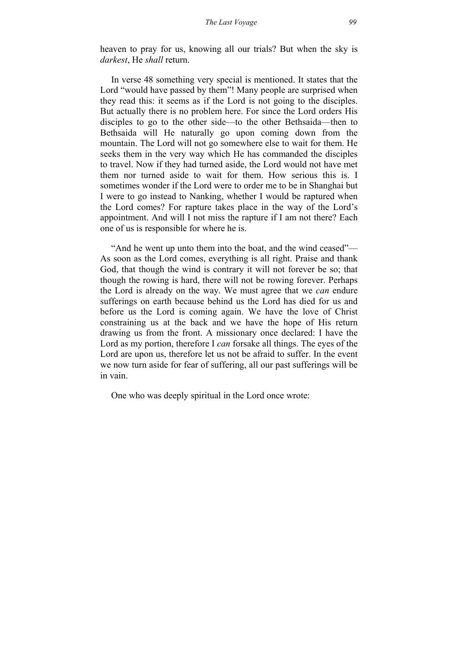heaven to pray for us, knowing all our trials? But when the sky is *darkest*, He *shall* return.

In verse 48 something very special is mentioned. It states that the Lord "would have passed by them"! Many people are surprised when they read this: it seems as if the Lord is not going to the disciples. But actually there is no problem here. For since the Lord orders His disciples to go to the other side—to the other Bethsaida—then to Bethsaida will He naturally go upon coming down from the mountain. The Lord will not go somewhere else to wait for them. He seeks them in the very way which He has commanded the disciples to travel. Now if they had turned aside, the Lord would not have met them nor turned aside to wait for them. How serious this is. I sometimes wonder if the Lord were to order me to be in Shanghai but I were to go instead to Nanking, whether I would be raptured when the Lord comes? For rapture takes place in the way of the Lord's appointment. And will I not miss the rapture if I am not there? Each one of us is responsible for where he is.

"And he went up unto them into the boat, and the wind ceased"— As soon as the Lord comes, everything is all right. Praise and thank God, that though the wind is contrary it will not forever be so; that though the rowing is hard, there will not be rowing forever. Perhaps the Lord is already on the way. We must agree that we *can* endure sufferings on earth because behind us the Lord has died for us and before us the Lord is coming again. We have the love of Christ constraining us at the back and we have the hope of His return drawing us from the front. A missionary once declared: I have the Lord as my portion, therefore I *can* forsake all things. The eyes of the Lord are upon us, therefore let us not be afraid to suffer. In the event we now turn aside for fear of suffering, all our past sufferings will be in vain.

One who was deeply spiritual in the Lord once wrote: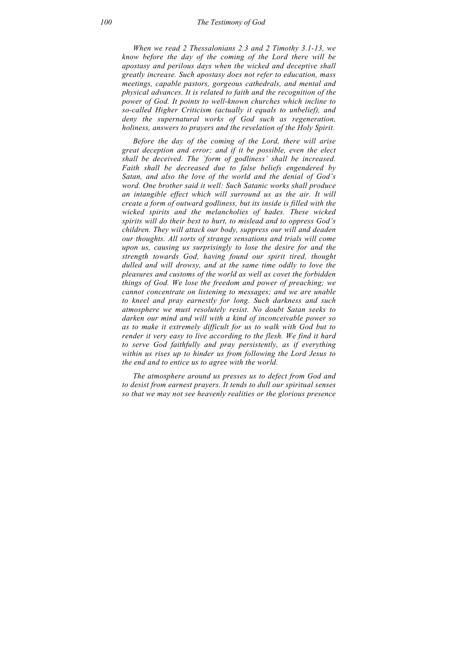*When we read 2 Thessalonians 2.3 and 2 Timothy 3.1-13, we know before the day of the coming of the Lord there will be apostasy and perilous days when the wicked and deceptive shall greatly increase. Such apostasy does not refer to education, mass meetings, capable pastors, gorgeous cathedrals, and mental and physical advances. It is related to faith and the recognition of the power of God. It points to well-known churches which incline to so-called Higher Criticism (actually it equals to unbelief), and deny the supernatural works of God such as regeneration, holiness, answers to prayers and the revelation of the Holy Spirit.* 

*Before the day of the coming of the Lord, there will arise great deception and error; and if it be possible, even the elect shall be deceived. The `form of godliness' shall be increased. Faith shall be decreased due to false beliefs engendered by Satan, and also the love of the world and the denial of God's word. One brother said it well: Such Satanic works shall produce an intangible effect which will surround us as the air. It will create a form of outward godliness, but its inside is filled with the wicked spirits and the melancholies of hades. These wicked spirits will do their best to hurt, to mislead and to oppress God's children. They will attack our body, suppress our will and deaden our thoughts. All sorts of strange sensations and trials will come upon us, causing us surprisingly to lose the desire for and the strength towards God, having found our spirit tired, thought dulled and will drowsy, and at the same time oddly to love the pleasures and customs of the world as well as covet the forbidden things of God. We lose the freedom and power of preaching; we cannot concentrate on listening to messages; and we are unable to kneel and pray earnestly for long. Such darkness and such atmosphere we must resolutely resist. No doubt Satan seeks to darken our mind and will with a kind of inconceivable power so as to make it extremely difficult for us to walk with God but to render it very easy to live according to the flesh. We find it hard to serve God faithfully and pray persistently, as if everything within us rises up to hinder us from following the Lord Jesus to the end and to entice us to agree with the world.* 

*The atmosphere around us presses us to defect from God and to desist from earnest prayers. It tends to dull our spiritual senses so that we may not see heavenly realities or the glorious presence*